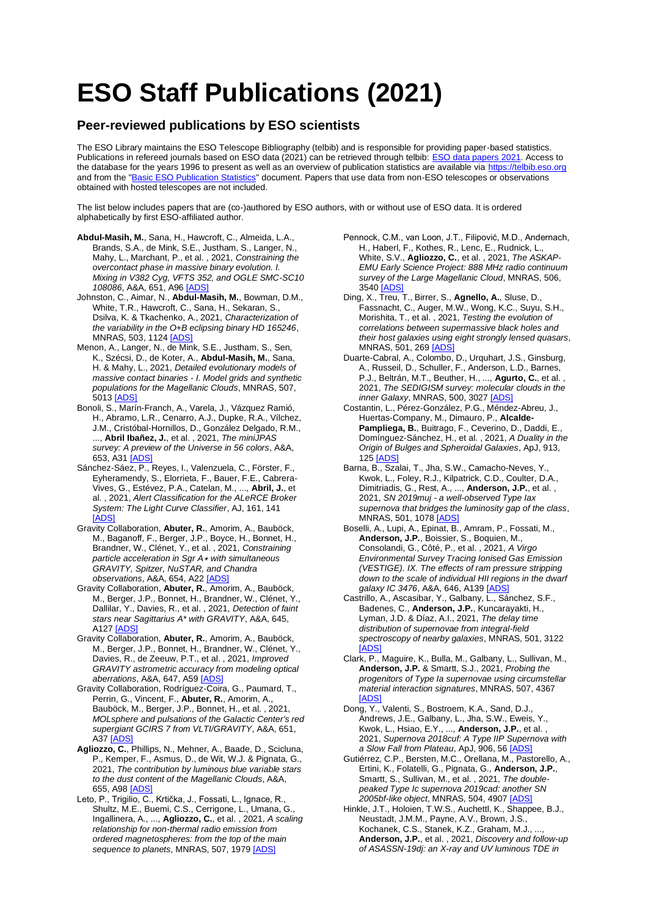## **ESO Staff Publications (2021)**

## **Peer-reviewed publications by ESO scientists**

The ESO Library maintains the ESO Telescope Bibliography (telbib) and is responsible for providing paper-based statistics. Publications in refereed journals based on ESO data (2021) can be retrieved through telbib: [ESO data papers 2021.](https://telbib.eso.org/?yearfrom=2021&yearto=2021&published=yes&search=Search) Access to the database for the years 1996 to present as well as an overview of publication statistics are available via [https://telbib.eso.org](https://telbib.eso.org/) and from the ["Basic ESO Publication Statistics"](https://www.eso.org/sci/libraries/edocs/ESO/ESOstats.pdf) document. Papers that use data from non-ESO telescopes or observations obtained with hosted telescopes are not included.

The list below includes papers that are (co-)authored by ESO authors, with or without use of ESO data. It is ordered alphabetically by first ESO-affiliated author.

- **Abdul-Masih, M.**, Sana, H., Hawcroft, C., Almeida, L.A., Brands, S.A., de Mink, S.E., Justham, S., Langer, N., Mahy, L., Marchant, P., et al. , 2021, *Constraining the overcontact phase in massive binary evolution. I. Mixing in V382 Cyg, VFTS 352, and OGLE SMC-SC10 108086*, A&A, 651, A96 [\[ADS\]](https://ui.adsabs.harvard.edu/#abs/2021A%26A...651A..96A)
- Johnston, C., Aimar, N., **Abdul-Masih, M.**, Bowman, D.M., White, T.R., Hawcroft, C., Sana, H., Sekaran, S., Dsilva, K. & Tkachenko, A., 2021, *Characterization of the variability in the O+B eclipsing binary HD 165246*, MNRAS, 503, 1124 [ADS
- Menon, A., Langer, N., de Mink, S.E., Justham, S., Sen, K., Szécsi, D., de Koter, A., **Abdul-Masih, M.**, Sana, H. & Mahy, L., 2021, *Detailed evolutionary models of massive contact binaries - I. Model grids and synthetic populations for the Magellanic Clouds*, MNRAS, 507, 5013 [\[ADS\]](https://ui.adsabs.harvard.edu/#abs/2021MNRAS.507.5013M)
- Bonoli, S., Marín-Franch, A., Varela, J., Vázquez Ramió, H., Abramo, L.R., Cenarro, A.J., Dupke, R.A., Vílchez, J.M., Cristóbal-Hornillos, D., González Delgado, R.M., ..., **Abril Ibañez, J.**, et al. , 2021, *The miniJPAS survey: A preview of the Universe in 56 colors*, A&A, 653, A3[1 \[ADS\]](https://ui.adsabs.harvard.edu/#abs/2021A%26A...653A..31B)
- Sánchez-Sáez, P., Reyes, I., Valenzuela, C., Förster, F., Eyheramendy, S., Elorrieta, F., Bauer, F.E., Cabrera-Vives, G., Estévez, P.A., Catelan, M., ..., **Abril, J.**, et al. , 2021, *Alert Classification for the ALeRCE Broker System: The Light Curve Classifier*, AJ, 161, 141 [\[ADS\]](https://ui.adsabs.harvard.edu/#abs/2021AJ....161..141S)
- Gravity Collaboration, **Abuter, R.**, Amorim, A., Bauböck, M., Baganoff, F., Berger, J.P., Boyce, H., Bonnet, H., Brandner, W., Clénet, Y., et al. , 2021, *Constraining particle acceleration in Sgr A*<sup>⋆</sup> *with simultaneous GRAVITY, Spitzer, NuSTAR, and Chandra observations*, A&A, 654, A2[2 \[ADS\]](https://ui.adsabs.harvard.edu/#abs/2021A%26A...654A..22G)
- Gravity Collaboration, **Abuter, R.**, Amorim, A., Bauböck, M., Berger, J.P., Bonnet, H., Brandner, W., Clénet, Y., Dallilar, Y., Davies, R., et al. , 2021, *Detection of faint stars near Sagittarius A\* with GRAVITY*, A&A, 645, A127 [\[ADS\]](https://ui.adsabs.harvard.edu/#abs/2021A%26A...645A.127G)
- Gravity Collaboration, **Abuter, R.**, Amorim, A., Bauböck, M., Berger, J.P., Bonnet, H., Brandner, W., Clénet, Y., Davies, R., de Zeeuw, P.T., et al. , 2021, *Improved GRAVITY astrometric accuracy from modeling optical aberrations*, A&A, 647, A5[9 \[ADS\]](https://ui.adsabs.harvard.edu/#abs/2021A%26A...647A..59G)
- Gravity Collaboration, Rodríguez-Coira, G., Paumard, T., Perrin, G., Vincent, F., **Abuter, R.**, Amorim, A., Bauböck, M., Berger, J.P., Bonnet, H., et al. , 2021, *MOLsphere and pulsations of the Galactic Center's red supergiant GCIRS 7 from VLTI/GRAVITY*, A&A, 651, A37 [ADS
- **Agliozzo, C.**, Phillips, N., Mehner, A., Baade, D., Scicluna, P., Kemper, F., Asmus, D., de Wit, W.J. & Pignata, G., 2021, *The contribution by luminous blue variable stars to the dust content of the Magellanic Clouds*, A&A, 655, A9[8 \[ADS\]](https://ui.adsabs.harvard.edu/#abs/2021A%26A...655A..98A)
- Leto, P., Trigilio, C., Krtička, J., Fossati, L., Ignace, R., Shultz, M.E., Buemi, C.S., Cerrigone, L., Umana, G., Ingallinera, A., ..., **Agliozzo, C.**, et al. , 2021, *A scaling relationship for non-thermal radio emission from ordered magnetospheres: from the top of the main sequence to planets*, MNRAS, 507, 197[9 \[ADS\]](https://ui.adsabs.harvard.edu/#abs/2021MNRAS.507.1979L)
- Pennock, C.M., van Loon, J.T., Filipović, M.D., Andernach, H., Haberl, F., Kothes, R., Lenc, E., Rudnick, L., White, S.V., **Agliozzo, C.**, et al. , 2021, *The ASKAP-EMU Early Science Project: 888 MHz radio continuum survey of the Large Magellanic Cloud*, MNRAS, 506, 3540 [\[ADS\]](https://ui.adsabs.harvard.edu/#abs/2021MNRAS.506.3540P)
- Ding, X., Treu, T., Birrer, S., **Agnello, A.**, Sluse, D., Fassnacht, C., Auger, M.W., Wong, K.C., Suyu, S.H., Morishita, T., et al. , 2021, *Testing the evolution of correlations between supermassive black holes and their host galaxies using eight strongly lensed quasars*, MNRAS, 501, 26[9 \[ADS\]](https://ui.adsabs.harvard.edu/#abs/2021MNRAS.501..269D)
- Duarte-Cabral, A., Colombo, D., Urquhart, J.S., Ginsburg, A., Russeil, D., Schuller, F., Anderson, L.D., Barnes, P.J., Beltrán, M.T., Beuther, H., ..., **Agurto, C.**, et al. , 2021, *The SEDIGISM survey: molecular clouds in the inner Galaxy*, MNRAS, 500, 302[7 \[ADS\]](https://ui.adsabs.harvard.edu/#abs/2021MNRAS.500.3027D)
- Costantin, L., Pérez-González, P.G., Méndez-Abreu, J., Huertas-Company, M., Dimauro, P., **Alcalde-Pampliega, B.**, Buitrago, F., Ceverino, D., Daddi, E., Domínguez-Sánchez, H., et al. , 2021, *A Duality in the Origin of Bulges and Spheroidal Galaxies*, ApJ, 913, 12[5 \[ADS\]](https://ui.adsabs.harvard.edu/#abs/2021ApJ...913..125C)
- Barna, B., Szalai, T., Jha, S.W., Camacho-Neves, Y., Kwok, L., Foley, R.J., Kilpatrick, C.D., Coulter, D.A., Dimitriadis, G., Rest, A., ..., **Anderson, J.P.**, et al. , 2021, *SN 2019muj - a well-observed Type Iax supernova that bridges the luminosity gap of the class*, MNRAS, 501, 107[8 \[ADS\]](https://ui.adsabs.harvard.edu/#abs/2021MNRAS.501.1078B)
- Boselli, A., Lupi, A., Epinat, B., Amram, P., Fossati, M., **Anderson, J.P.**, Boissier, S., Boquien, M., Consolandi, G., Côté, P., et al. , 2021, *A Virgo Environmental Survey Tracing Ionised Gas Emission (VESTIGE). IX. The effects of ram pressure stripping down to the scale of individual HII regions in the dwarf galaxy IC 3476*, A&A, 646, A13[9 \[ADS\]](https://ui.adsabs.harvard.edu/#abs/2021A%26A...646A.139B)
- Castrillo, A., Ascasibar, Y., Galbany, L., Sánchez, S.F., Badenes, C., **Anderson, J.P.**, Kuncarayakti, H., Lyman, J.D. & Díaz, A.I., 2021, *The delay time distribution of supernovae from integral-field spectroscopy of nearby galaxies*, MNRAS, 501, 3122 [\[ADS\]](https://ui.adsabs.harvard.edu/#abs/2021MNRAS.501.3122C)
- Clark, P., Maguire, K., Bulla, M., Galbany, L., Sullivan, M., **Anderson, J.P.** & Smartt, S.J., 2021, *Probing the progenitors of Type Ia supernovae using circumstellar material interaction signatures*, MNRAS, 507, 4367 [\[ADS\]](https://ui.adsabs.harvard.edu/#abs/2021MNRAS.507.4367C)
- Dong, Y., Valenti, S., Bostroem, K.A., Sand, D.J., Andrews, J.E., Galbany, L., Jha, S.W., Eweis, Y., Kwok, L., Hsiao, E.Y., ..., **Anderson, J.P.**, et al. , 2021, *Supernova 2018cuf: A Type IIP Supernova with a Slow Fall from Plateau*, ApJ, 906, 5[6 \[ADS\]](https://ui.adsabs.harvard.edu/#abs/2021ApJ...906...56D)
- Gutiérrez, C.P., Bersten, M.C., Orellana, M., Pastorello, A., Ertini, K., Folatelli, G., Pignata, G., **Anderson, J.P.**, Smartt, S., Sullivan, M., et al. , 2021, *The doublepeaked Type Ic supernova 2019cad: another SN 2005bf-like object*, MNRAS, 504, 490[7 \[ADS\]](https://ui.adsabs.harvard.edu/#abs/2021MNRAS.504.4907G)
- Hinkle, J.T., Holoien, T.W.S., Auchettl, K., Shappee, B.J., Neustadt, J.M.M., Payne, A.V., Brown, J.S., Kochanek, C.S., Stanek, K.Z., Graham, M.J., **Anderson, J.P.**, et al. , 2021, *Discovery and follow-up of ASASSN-19dj: an X-ray and UV luminous TDE in*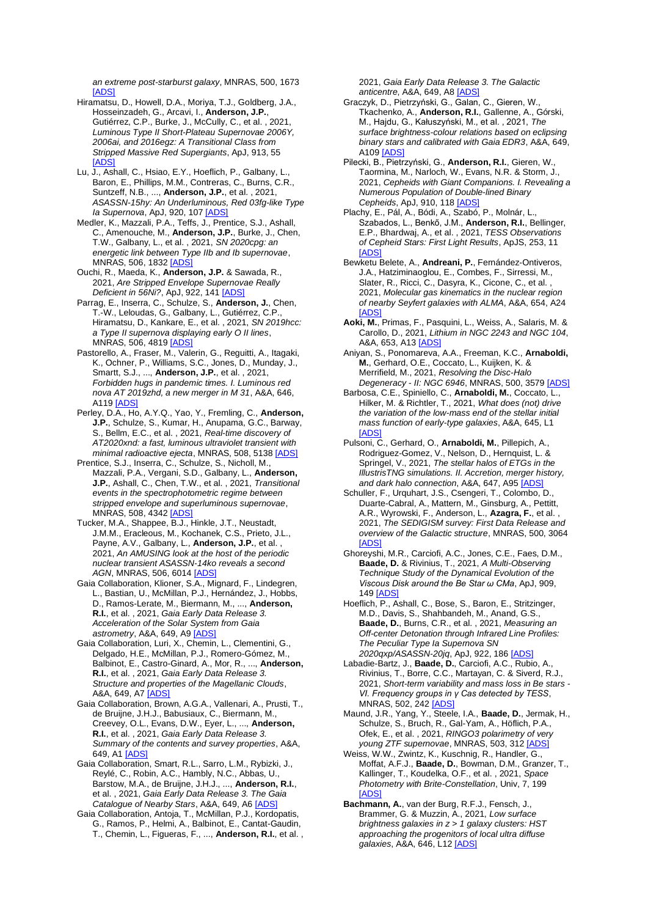*an extreme post-starburst galaxy*, MNRAS, 500, 1673 [\[ADS\]](https://ui.adsabs.harvard.edu/#abs/2021MNRAS.500.1673H)

- Hiramatsu, D., Howell, D.A., Moriya, T.J., Goldberg, J.A., Hosseinzadeh, G., Arcavi, I., **Anderson, J.P.**, Gutiérrez, C.P., Burke, J., McCully, C., et al. , 2021, *Luminous Type II Short-Plateau Supernovae 2006Y, 2006ai, and 2016egz: A Transitional Class from Stripped Massive Red Supergiants*, ApJ, 913, 55 [\[ADS\]](https://ui.adsabs.harvard.edu/#abs/2021ApJ...913...55H)
- Lu, J., Ashall, C., Hsiao, E.Y., Hoeflich, P., Galbany, L., Baron, E., Phillips, M.M., Contreras, C., Burns, C.R., Suntzeff, N.B., ..., **Anderson, J.P.**, et al. , 2021, *ASASSN-15hy: An Underluminous, Red 03fg-like Type Ia Supernova*, ApJ, 920, 10[7 \[ADS\]](https://ui.adsabs.harvard.edu/#abs/2021ApJ...920..107L)
- Medler, K., Mazzali, P.A., Teffs, J., Prentice, S.J., Ashall, C., Amenouche, M., **Anderson, J.P.**, Burke, J., Chen, T.W., Galbany, L., et al. , 2021, *SN 2020cpg: an energetic link between Type IIb and Ib supernovae*, MNRAS, 506, 183[2 \[ADS\]](https://ui.adsabs.harvard.edu/#abs/2021MNRAS.506.1832M)
- Ouchi, R., Maeda, K., **Anderson, J.P.** & Sawada, R., 2021, *Are Stripped Envelope Supernovae Really Deficient in 56Ni?*, ApJ, 922, 14[1 \[ADS\]](https://ui.adsabs.harvard.edu/#abs/2021ApJ...922..141O)
- Parrag, E., Inserra, C., Schulze, S., **Anderson, J.**, Chen, T.-W., Leloudas, G., Galbany, L., Gutiérrez, C.P., Hiramatsu, D., Kankare, E., et al. , 2021, *SN 2019hcc: a Type II supernova displaying early O II lines*, MNRAS, 506, 481[9 \[ADS\]](https://ui.adsabs.harvard.edu/#abs/2021MNRAS.506.4819P)
- Pastorello, A., Fraser, M., Valerin, G., Reguitti, A., Itagaki, K., Ochner, P., Williams, S.C., Jones, D., Munday, J., Smartt, S.J., ..., **Anderson, J.P.**, et al. , 2021, *Forbidden hugs in pandemic times. I. Luminous red nova AT 2019zhd, a new merger in M 31*, A&A, 646, **A119 [\[ADS\]](https://ui.adsabs.harvard.edu/#abs/2021A%26A...646A.119P)**
- Perley, D.A., Ho, A.Y.Q., Yao, Y., Fremling, C., **Anderson, J.P.**, Schulze, S., Kumar, H., Anupama, G.C., Barway, S., Bellm, E.C., et al. , 2021, *Real-time discovery of AT2020xnd: a fast, luminous ultraviolet transient with minimal radioactive ejecta*, MNRAS, 508, 513[8 \[ADS\]](https://ui.adsabs.harvard.edu/#abs/2021MNRAS.508.5138P)
- Prentice, S.J., Inserra, C., Schulze, S., Nicholl, M., Mazzali, P.A., Vergani, S.D., Galbany, L., **Anderson, J.P.**, Ashall, C., Chen, T.W., et al. , 2021, *Transitional events in the spectrophotometric regime between stripped envelope and superluminous supernovae*, MNRAS, 508, 4342 **[ADS**
- Tucker, M.A., Shappee, B.J., Hinkle, J.T., Neustadt, J.M.M., Eracleous, M., Kochanek, C.S., Prieto, J.L., Payne, A.V., Galbany, L., **Anderson, J.P.**, et al. , 2021, *An AMUSING look at the host of the periodic nuclear transient ASASSN-14ko reveals a second AGN*, MNRAS, 506, 6014 [\[ADS\]](https://ui.adsabs.harvard.edu/#abs/2021MNRAS.506.6014T)
- Gaia Collaboration, Klioner, S.A., Mignard, F., Lindegren, L., Bastian, U., McMillan, P.J., Hernández, J., Hobbs, D., Ramos-Lerate, M., Biermann, M., ..., **Anderson, R.I.**, et al. , 2021, *Gaia Early Data Release 3. Acceleration of the Solar System from Gaia astrometry*, A&A, 649, A[9 \[ADS\]](https://ui.adsabs.harvard.edu/#abs/2021A%26A...649A...9G)
- Gaia Collaboration, Luri, X., Chemin, L., Clementini, G., Delgado, H.E., McMillan, P.J., Romero-Gómez, M., Balbinot, E., Castro-Ginard, A., Mor, R., ..., **Anderson, R.I.**, et al. , 2021, *Gaia Early Data Release 3. Structure and properties of the Magellanic Clouds*, A&A, 649, A7 [\[ADS\]](https://ui.adsabs.harvard.edu/#abs/2021A%26A...649A...7G)
- Gaia Collaboration, Brown, A.G.A., Vallenari, A., Prusti, T., de Bruijne, J.H.J., Babusiaux, C., Biermann, M., Creevey, O.L., Evans, D.W., Eyer, L., ..., **Anderson, R.I.**, et al. , 2021, *Gaia Early Data Release 3. Summary of the contents and survey properties*, A&A, 649, A1 [\[ADS\]](https://ui.adsabs.harvard.edu/#abs/2021A%26A...649A...1G)
- Gaia Collaboration, Smart, R.L., Sarro, L.M., Rybizki, J., Reylé, C., Robin, A.C., Hambly, N.C., Abbas, U., Barstow, M.A., de Bruijne, J.H.J., ..., **Anderson, R.I.**, et al. , 2021, *Gaia Early Data Release 3. The Gaia Catalogue of Nearby Stars*, A&A, 649, A6 [\[ADS\]](https://ui.adsabs.harvard.edu/#abs/2021A%26A...649A...6G)
- Gaia Collaboration, Antoja, T., McMillan, P.J., Kordopatis, G., Ramos, P., Helmi, A., Balbinot, E., Cantat-Gaudin, T., Chemin, L., Figueras, F., ..., **Anderson, R.I.**, et al. ,

2021, *Gaia Early Data Release 3. The Galactic anticentre*, A&A, 649, A[8 \[ADS\]](https://ui.adsabs.harvard.edu/#abs/2021A%26A...649A...8G)

- Graczyk, D., Pietrzyński, G., Galan, C., Gieren, W., Tkachenko, A., **Anderson, R.I.**, Gallenne, A., Górski, M., Hajdu, G., Kałuszyński, M., et al. , 2021, *The surface brightness-colour relations based on eclipsing binary stars and calibrated with Gaia EDR3*, A&A, 649, A10[9 \[ADS\]](https://ui.adsabs.harvard.edu/#abs/2021A%26A...649A.109G)
- Pilecki, B., Pietrzyński, G., **Anderson, R.I.**, Gieren, W., Taormina, M., Narloch, W., Evans, N.R. & Storm, J., 2021, *Cepheids with Giant Companions. I. Revealing a Numerous Population of Double-lined Binary Cepheids*, ApJ, 910, 11[8 \[ADS\]](https://ui.adsabs.harvard.edu/#abs/2021ApJ...910..118P)
- Plachy, E., Pál, A., Bódi, A., Szabó, P., Molnár, L. Szabados, L., Benkő, J.M., **Anderson, R.I.**, Bellinger, E.P., Bhardwaj, A., et al. , 2021, *TESS Observations of Cepheid Stars: First Light Results*, ApJS, 253, 11 [\[ADS\]](https://ui.adsabs.harvard.edu/#abs/2021ApJS..253...11P)
- Bewketu Belete, A., **Andreani, P.**, Fernández-Ontiveros, J.A., Hatziminaoglou, E., Combes, F., Sirressi, M., Slater, R., Ricci, C., Dasyra, K., Cicone, C., et al. , 2021, *Molecular gas kinematics in the nuclear region of nearby Seyfert galaxies with ALMA*, A&A, 654, A24 **TADS**
- **Aoki, M.**, Primas, F., Pasquini, L., Weiss, A., Salaris, M. & Carollo, D., 2021, *Lithium in NGC 2243 and NGC 104*, A&A, 653, A1[3 \[ADS\]](https://ui.adsabs.harvard.edu/#abs/2021A%26A...653A..13A)
- Aniyan, S., Ponomareva, A.A., Freeman, K.C., **Arnaboldi, M.**, Gerhard, O.E., Coccato, L., Kuijken, K. & Merrifield, M., 2021, *Resolving the Disc-Halo Degeneracy - II: NGC 6946*, MNRAS, 500, 357[9 \[ADS\]](https://ui.adsabs.harvard.edu/#abs/2021MNRAS.500.3579A)
- Barbosa, C.E., Spiniello, C., **Arnaboldi, M.**, Coccato, L., Hilker, M. & Richtler, T., 2021, *What does (not) drive the variation of the low-mass end of the stellar initial mass function of early-type galaxies*, A&A, 645, L1 **[ADS**
- Pulsoni, C., Gerhard, O., **Arnaboldi, M.**, Pillepich, A., Rodriguez-Gomez, V., Nelson, D., Hernquist, L. & Springel, V., 2021, *The stellar halos of ETGs in the IllustrisTNG simulations. II. Accretion, merger history, and dark halo connection*, A&A, 647, A9[5 \[ADS\]](https://ui.adsabs.harvard.edu/#abs/2021A%26A...647A..95P)
- Schuller, F., Urquhart, J.S., Csengeri, T., Colombo, D., Duarte-Cabral, A., Mattern, M., Ginsburg, A., Pettitt, A.R., Wyrowski, F., Anderson, L., **Azagra, F.**, et al. , 2021, *The SEDIGISM survey: First Data Release and overview of the Galactic structure*, MNRAS, 500, 3064 [\[ADS\]](https://ui.adsabs.harvard.edu/#abs/2021MNRAS.500.3064S)
- Ghoreyshi, M.R., Carciofi, A.C., Jones, C.E., Faes, D.M., **Baade, D.** & Rivinius, T., 2021, *A Multi-Observing Technique Study of the Dynamical Evolution of the Viscous Disk around the Be Star ω CMa*, ApJ, 909, 14[9 \[ADS\]](https://ui.adsabs.harvard.edu/#abs/2021ApJ...909..149G)
- Hoeflich, P., Ashall, C., Bose, S., Baron, E., Stritzinger, M.D., Davis, S., Shahbandeh, M., Anand, G.S., **Baade, D.**, Burns, C.R., et al. , 2021, *Measuring an Off-center Detonation through Infrared Line Profiles: The Peculiar Type Ia Supernova SN 2020qxp/ASASSN-20jq*, ApJ, 922, 18[6 \[ADS\]](https://ui.adsabs.harvard.edu/#abs/2021ApJ...922..186H)
- Labadie-Bartz, J., **Baade, D.**, Carciofi, A.C., Rubio, A., Rivinius, T., Borre, C.C., Martayan, C. & Siverd, R.J., 2021, *Short-term variability and mass loss in Be stars - VI. Frequency groups in γ Cas detected by TESS*, MNRAS, 502, 24[2 \[ADS\]](https://ui.adsabs.harvard.edu/#abs/2021MNRAS.502..242L)
- Maund, J.R., Yang, Y., Steele, I.A., **Baade, D.**, Jermak, H., Schulze, S., Bruch, R., Gal-Yam, A., Höflich, P.A., Ofek, E., et al. , 2021, *RINGO3 polarimetry of very young ZTF supernovae*, MNRAS, 503, 31[2 \[ADS\]](https://ui.adsabs.harvard.edu/#abs/2021MNRAS.503..312M)
- Weiss, W.W., Zwintz, K., Kuschnig, R., Handler, G., Moffat, A.F.J., **Baade, D.**, Bowman, D.M., Granzer, T., Kallinger, T., Koudelka, O.F., et al. , 2021, *Space Photometry with Brite-Constellation*, Univ, 7, 199 [\[ADS\]](https://ui.adsabs.harvard.edu/#abs/2021Univ....7..199W)
- **Bachmann, A.**, van der Burg, R.F.J., Fensch, J., Brammer, G. & Muzzin, A., 2021, *Low surface brightness galaxies in z > 1 galaxy clusters: HST approaching the progenitors of local ultra diffuse galaxies*, A&A, 646, L1[2 \[ADS\]](https://ui.adsabs.harvard.edu/#abs/2021A%26A...646L..12B)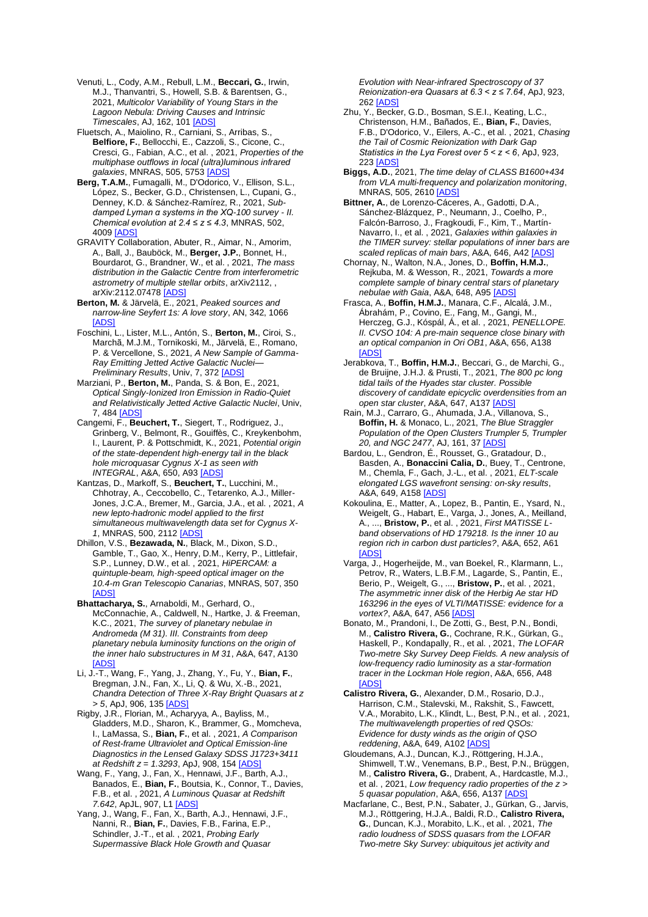Venuti, L., Cody, A.M., Rebull, L.M., **Beccari, G.**, Irwin, M.J., Thanvantri, S., Howell, S.B. & Barentsen, G., 2021, *Multicolor Variability of Young Stars in the Lagoon Nebula: Driving Causes and Intrinsic Timescales*, AJ, 162, 101 [\[ADS\]](https://ui.adsabs.harvard.edu/#abs/2021AJ....162..101V)

Fluetsch, A., Maiolino, R., Carniani, S., Arribas, S., **Belfiore, F.**, Bellocchi, E., Cazzoli, S., Cicone, C., Cresci, G., Fabian, A.C., et al. , 2021, *Properties of the multiphase outflows in local (ultra)luminous infrared galaxies*, MNRAS, 505, 5753 [\[ADS\]](https://ui.adsabs.harvard.edu/#abs/2021MNRAS.505.5753F)

**Berg, T.A.M.**, Fumagalli, M., D'Odorico, V., Ellison, S.L., López, S., Becker, G.D., Christensen, L., Cupani, G., Denney, K.D. & Sánchez-Ramírez, R., 2021, *Subdamped Lyman α systems in the XQ-100 survey - II. Chemical evolution at 2.4 ≤ z ≤ 4.3*, MNRAS, 502, 4009 [\[ADS\]](https://ui.adsabs.harvard.edu/#abs/2021MNRAS.502.4009B)

GRAVITY Collaboration, Abuter, R., Aimar, N., Amorim, A., Ball, J., Bauböck, M., **Berger, J.P.**, Bonnet, H., Bourdarot, G., Brandner, W., et al. , 2021, *The mass distribution in the Galactic Centre from interferometric astrometry of multiple stellar orbits*, arXiv2112, , arXiv:2112.07478 [\[ADS\]](https://ui.adsabs.harvard.edu/#abs/2021arXiv211207478G)

**Berton, M.** & Järvelä, E., 2021, *Peaked sources and narrow-line Seyfert 1s: A love story*, AN, 342, 1066 **IADS** 

Foschini, L., Lister, M.L., Antón, S., **Berton, M.**, Ciroi, S., Marchã, M.J.M., Tornikoski, M., Järvelä, E., Romano, P. & Vercellone, S., 2021, *A New Sample of Gamma-Ray Emitting Jetted Active Galactic Nuclei— Preliminary Results*, Univ, 7, 37[2 \[ADS\]](https://ui.adsabs.harvard.edu/#abs/2021Univ....7..372F)

Marziani, P., **Berton, M.**, Panda, S. & Bon, E., 2021, *Optical Singly-Ionized Iron Emission in Radio-Quiet and Relativistically Jetted Active Galactic Nuclei*, Univ, 7, 48[4 \[ADS\]](https://ui.adsabs.harvard.edu/#abs/2021Univ....7..484M)

Cangemi, F., **Beuchert, T.**, Siegert, T., Rodriguez, J., Grinberg, V., Belmont, R., Gouiffès, C., Kreykenbohm, I., Laurent, P. & Pottschmidt, K., 2021, *Potential origin of the state-dependent high-energy tail in the black hole microquasar Cygnus X-1 as seen with INTEGRAL*, A&A, 650, A93 [\[ADS\]](https://ui.adsabs.harvard.edu/#abs/2021A%26A...650A..93C)

Kantzas, D., Markoff, S., **Beuchert, T.**, Lucchini, M., Chhotray, A., Ceccobello, C., Tetarenko, A.J., Miller-Jones, J.C.A., Bremer, M., Garcia, J.A., et al. , 2021, *A new lepto-hadronic model applied to the first simultaneous multiwavelength data set for Cygnus X-1*, MNRAS, 500, 2112 [\[ADS\]](https://ui.adsabs.harvard.edu/#abs/2021MNRAS.500.2112K)

Dhillon, V.S., **Bezawada, N.**, Black, M., Dixon, S.D., Gamble, T., Gao, X., Henry, D.M., Kerry, P., Littlefair, S.P., Lunney, D.W., et al. , 2021, *HiPERCAM: a quintuple-beam, high-speed optical imager on the 10.4-m Gran Telescopio Canarias*, MNRAS, 507, 350 [\[ADS\]](https://ui.adsabs.harvard.edu/#abs/2021MNRAS.507..350D)

**Bhattacharya, S.**, Arnaboldi, M., Gerhard, O., McConnachie, A., Caldwell, N., Hartke, J. & Freeman, K.C., 2021, *The survey of planetary nebulae in Andromeda (M 31). III. Constraints from deep planetary nebula luminosity functions on the origin of the inner halo substructures in M 31*, A&A, 647, A130 [\[ADS\]](https://ui.adsabs.harvard.edu/#abs/2021A%26A...647A.130B)

Li, J.-T., Wang, F., Yang, J., Zhang, Y., Fu, Y., **Bian, F.**, Bregman, J.N., Fan, X., Li, Q. & Wu, X.-B., 2021, *Chandra Detection of Three X-Ray Bright Quasars at z > 5*, ApJ, 906, 13[5 \[ADS\]](https://ui.adsabs.harvard.edu/#abs/2021ApJ...906..135L)

Rigby, J.R., Florian, M., Acharyya, A., Bayliss, M., Gladders, M.D., Sharon, K., Brammer, G., Momcheva, I., LaMassa, S., **Bian, F.**, et al. , 2021, *A Comparison of Rest-frame Ultraviolet and Optical Emission-line Diagnostics in the Lensed Galaxy SDSS J1723+3411 at Redshift z = 1.3293*, ApJ, 908, 154 [\[ADS\]](https://ui.adsabs.harvard.edu/#abs/2021ApJ...908..154R)

Wang, F., Yang, J., Fan, X., Hennawi, J.F., Barth, A.J., Banados, E., **Bian, F.**, Boutsia, K., Connor, T., Davies, F.B., et al. , 2021, *A Luminous Quasar at Redshift 7.642*, ApJL, 907, L1 [\[ADS\]](https://ui.adsabs.harvard.edu/#abs/2021ApJ...907L...1W)

Yang, J., Wang, F., Fan, X., Barth, A.J., Hennawi, J.F., Nanni, R., **Bian, F.**, Davies, F.B., Farina, E.P., Schindler, J.-T., et al. , 2021, *Probing Early Supermassive Black Hole Growth and Quasar* 

*Evolution with Near-infrared Spectroscopy of 37 Reionization-era Quasars at 6.3 < z ≤ 7.64*, ApJ, 923, 26[2 \[ADS\]](https://ui.adsabs.harvard.edu/#abs/2021ApJ...923..262Y)

Zhu, Y., Becker, G.D., Bosman, S.E.I., Keating, L.C., Christenson, H.M., Bañados, E., **Bian, F.**, Davies, F.B., D'Odorico, V., Eilers, A.-C., et al. , 2021, *Chasing the Tail of Cosmic Reionization with Dark Gap Statistics in the Lyα Forest over 5 < z < 6*, ApJ, 923, 22[3 \[ADS\]](https://ui.adsabs.harvard.edu/#abs/2021ApJ...923..223Z)

**Biggs, A.D.**, 2021, *The time delay of CLASS B1600+434 from VLA multi-frequency and polarization monitoring*, MNRAS, 505, 261[0 \[ADS\]](https://ui.adsabs.harvard.edu/#abs/2021MNRAS.505.2610B)

**Bittner, A.**, de Lorenzo-Cáceres, A., Gadotti, D.A., Sánchez-Blázquez, P., Neumann, J., Coelho, P., Falcón-Barroso, J., Fragkoudi, F., Kim, T., Martín-Navarro, I., et al. , 2021, *Galaxies within galaxies in the TIMER survey: stellar populations of inner bars are scaled replicas of main bars*, A&A, 646, A4[2 \[ADS\]](https://ui.adsabs.harvard.edu/#abs/2021A%26A...646A..42B)

Chornay, N., Walton, N.A., Jones, D., **Boffin, H.M.J.**, Rejkuba, M. & Wesson, R., 2021, *Towards a more complete sample of binary central stars of planetary nebulae with Gaia*, A&A, 648, A9[5 \[ADS\]](https://ui.adsabs.harvard.edu/#abs/2021A%26A...648A..95C)

Frasca, A., **Boffin, H.M.J.**, Manara, C.F., Alcalá, J.M., Ábrahám, P., Covino, E., Fang, M., Gangi, M., Herczeg, G.J., Kóspál, Á., et al. , 2021, *PENELLOPE. II. CVSO 104: A pre-main sequence close binary with an optical companion in Ori OB1*, A&A, 656, A138 **TAD** 

Jerabkova, T., **Boffin, H.M.J.**, Beccari, G., de Marchi, G., de Bruijne, J.H.J. & Prusti, T., 2021, *The 800 pc long tidal tails of the Hyades star cluster. Possible discovery of candidate epicyclic overdensities from an open star cluster*, A&A, 647, A13[7 \[ADS\]](https://ui.adsabs.harvard.edu/#abs/2021A%26A...647A.137J)

Rain, M.J., Carraro, G., Ahumada, J.A., Villanova, S., **Boffin, H.** & Monaco, L., 2021, *The Blue Straggler Population of the Open Clusters Trumpler 5, Trumpler 20, and NGC 2477*, AJ, 161, 3[7 \[ADS\]](https://ui.adsabs.harvard.edu/#abs/2021AJ....161...37R)

Bardou, L., Gendron, É., Rousset, G., Gratadour, D., Basden, A., **Bonaccini Calia, D.**, Buey, T., Centrone, M., Chemla, F., Gach, J.-L., et al. , 2021, *ELT-scale elongated LGS wavefront sensing: on-sky results*, A&A, 649, A158 [\[ADS\]](https://ui.adsabs.harvard.edu/#abs/2021A%26A...649A.158B)

Kokoulina, E., Matter, A., Lopez, B., Pantin, E., Ysard, N., Weigelt, G., Habart, E., Varga, J., Jones, A., Meilland, A., ..., **Bristow, P.**, et al. , 2021, *First MATISSE Lband observations of HD 179218. Is the inner 10 au region rich in carbon dust particles?*, A&A, 652, A61 [\[ADS\]](https://ui.adsabs.harvard.edu/#abs/2021A%26A...652A..61K)

Varga, J., Hogerheijde, M., van Boekel, R., Klarmann, L., Petrov, R., Waters, L.B.F.M., Lagarde, S., Pantin, E., Berio, P., Weigelt, G., ..., **Bristow, P.**, et al. , 2021, *The asymmetric inner disk of the Herbig Ae star HD 163296 in the eyes of VLTI/MATISSE: evidence for a vortex?*, A&A, 647, A5[6 \[ADS\]](https://ui.adsabs.harvard.edu/#abs/2021A%26A...647A..56V)

Bonato, M., Prandoni, I., De Zotti, G., Best, P.N., Bondi, M., **Calistro Rivera, G.**, Cochrane, R.K., Gürkan, G., Haskell, P., Kondapally, R., et al. , 2021, *The LOFAR Two-metre Sky Survey Deep Fields. A new analysis of low-frequency radio luminosity as a star-formation tracer in the Lockman Hole region*, A&A, 656, A48 **[ADS** 

**Calistro Rivera, G.**, Alexander, D.M., Rosario, D.J., Harrison, C.M., Stalevski, M., Rakshit, S., Fawcett, V.A., Morabito, L.K., Klindt, L., Best, P.N., et al. , 2021, *The multiwavelength properties of red QSOs: Evidence for dusty winds as the origin of QSO reddening*, A&A, 649, A10[2 \[ADS\]](https://ui.adsabs.harvard.edu/#abs/2021A%26A...649A.102C)

Gloudemans, A.J., Duncan, K.J., Röttgering, H.J.A., Shimwell, T.W., Venemans, B.P., Best, P.N., Brüggen, M., **Calistro Rivera, G.**, Drabent, A., Hardcastle, M.J., et al. , 2021, *Low frequency radio properties of the z > 5 quasar population*, A&A, 656, A13[7 \[ADS\]](https://ui.adsabs.harvard.edu/#abs/2021A%26A...656A.137G)

Macfarlane, C., Best, P.N., Sabater, J., Gürkan, G., Jarvis, M.J., Röttgering, H.J.A., Baldi, R.D., **Calistro Rivera, G.**, Duncan, K.J., Morabito, L.K., et al. , 2021, *The radio loudness of SDSS quasars from the LOFAR Two-metre Sky Survey: ubiquitous jet activity and*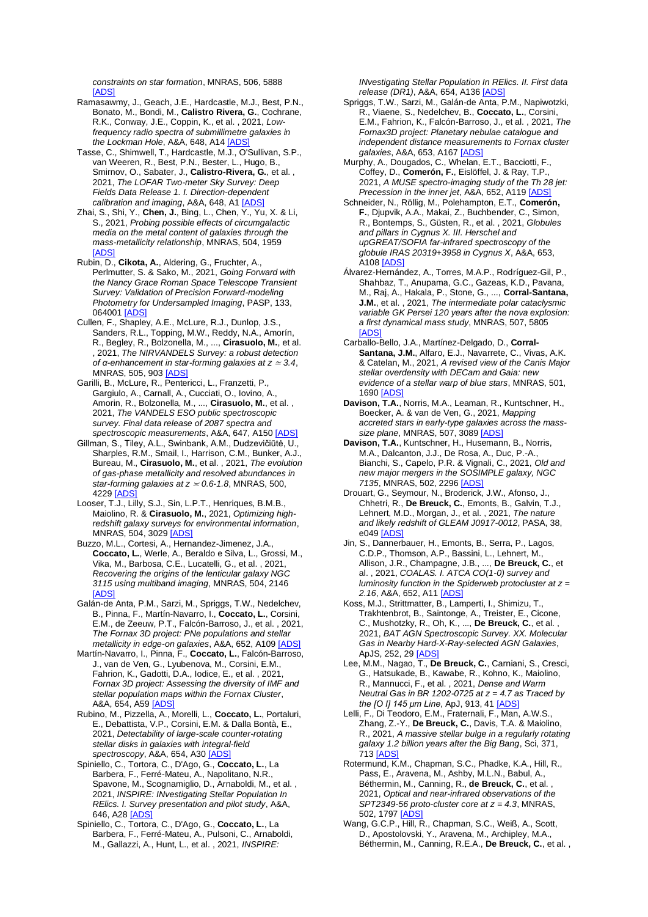*constraints on star formation*, MNRAS, 506, 5888 [\[ADS\]](https://ui.adsabs.harvard.edu/#abs/2021MNRAS.506.5888M)

- Ramasawmy, J., Geach, J.E., Hardcastle, M.J., Best, P.N., Bonato, M., Bondi, M., **Calistro Rivera, G.**, Cochrane, R.K., Conway, J.E., Coppin, K., et al. , 2021, *Lowfrequency radio spectra of submillimetre galaxies in the Lockman Hole*, A&A, 648, A1[4 \[ADS\]](https://ui.adsabs.harvard.edu/#abs/2021A%26A...648A..14R)
- Tasse, C., Shimwell, T., Hardcastle, M.J., O'Sullivan, S.P., van Weeren, R., Best, P.N., Bester, L., Hugo, B., Smirnov, O., Sabater, J., **Calistro-Rivera, G.**, et al. , 2021, *The LOFAR Two-meter Sky Survey: Deep Fields Data Release 1. I. Direction-dependent calibration and imaging*, A&A, 648, A1 [\[ADS\]](https://ui.adsabs.harvard.edu/#abs/2021A%26A...648A...1T)
- Zhai, S., Shi, Y., **Chen, J.**, Bing, L., Chen, Y., Yu, X. & Li, S., 2021, *Probing possible effects of circumgalactic media on the metal content of galaxies through the mass-metallicity relationship*, MNRAS, 504, 1959 [\[ADS\]](https://ui.adsabs.harvard.edu/#abs/2021MNRAS.504.1959Z)
- Rubin, D., **Cikota, A.**, Aldering, G., Fruchter, A., Perlmutter, S. & Sako, M., 2021, *Going Forward with the Nancy Grace Roman Space Telescope Transient Survey: Validation of Precision Forward-modeling Photometry for Undersampled Imaging*, PASP, 133, 064001 [\[ADS\]](https://ui.adsabs.harvard.edu/#abs/2021PASP..133f4001R)
- Cullen, F., Shapley, A.E., McLure, R.J., Dunlop, J.S., Sanders, R.L., Topping, M.W., Reddy, N.A., Amorín, R., Begley, R., Bolzonella, M., ..., **Cirasuolo, M.**, et al. , 2021, *The NIRVANDELS Survey: a robust detection of α-enhancement in star-forming galaxies at z* <sup>≃</sup> *3.4*, MNRAS, 505, 90[3 \[ADS\]](https://ui.adsabs.harvard.edu/#abs/2021MNRAS.505..903C)
- Garilli, B., McLure, R., Pentericci, L., Franzetti, P., Gargiulo, A., Carnall, A., Cucciati, O., Iovino, A., Amorin, R., Bolzonella, M., ..., **Cirasuolo, M.**, et al. , 2021, *The VANDELS ESO public spectroscopic survey. Final data release of 2087 spectra and spectroscopic measurements*, A&A, 647, A15[0 \[ADS\]](https://ui.adsabs.harvard.edu/#abs/2021A%26A...647A.150G)
- Gillman, S., Tiley, A.L., Swinbank, A.M., Dudzevičiūtė, U., Sharples, R.M., Smail, I., Harrison, C.M., Bunker, A.J., Bureau, M., **Cirasuolo, M.**, et al. , 2021, *The evolution of gas-phase metallicity and resolved abundances in star-forming galaxies at*  $z \approx 0.6$ *-1.8*, MNRAS, 500, 4229 [\[ADS\]](https://ui.adsabs.harvard.edu/#abs/2021MNRAS.500.4229G)
- Looser, T.J., Lilly, S.J., Sin, L.P.T., Henriques, B.M.B., Maiolino, R. & **Cirasuolo, M.**, 2021, *Optimizing highredshift galaxy surveys for environmental information*, MNRAS, 504, 302[9 \[ADS\]](https://ui.adsabs.harvard.edu/#abs/2021MNRAS.504.3029L)
- Buzzo, M.L., Cortesi, A., Hernandez-Jimenez, J.A., **Coccato, L.**, Werle, A., Beraldo e Silva, L., Grossi, M., Vika, M., Barbosa, C.E., Lucatelli, G., et al. , 2021, *Recovering the origins of the lenticular galaxy NGC 3115 using multiband imaging*, MNRAS, 504, 2146 [\[ADS\]](https://ui.adsabs.harvard.edu/#abs/2021MNRAS.504.2146B)
- Galán-de Anta, P.M., Sarzi, M., Spriggs, T.W., Nedelchev, B., Pinna, F., Martín-Navarro, I., **Coccato, L.**, Corsini, E.M., de Zeeuw, P.T., Falcón-Barroso, J., et al. , 2021, *The Fornax 3D project: PNe populations and stellar metallicity in edge-on galaxies*, A&A, 652, A10[9 \[ADS\]](https://ui.adsabs.harvard.edu/#abs/2021A%26A...652A.109G)
- Martín-Navarro, I., Pinna, F., **Coccato, L.**, Falcón-Barroso, J., van de Ven, G., Lyubenova, M., Corsini, E.M., Fahrion, K., Gadotti, D.A., Iodice, E., et al. , 2021, *Fornax 3D project: Assessing the diversity of IMF and stellar population maps within the Fornax Cluster*, A&A, 654, A5[9 \[ADS\]](https://ui.adsabs.harvard.edu/#abs/2021A%26A...654A..59M)
- Rubino, M., Pizzella, A., Morelli, L., **Coccato, L.**, Portaluri, E., Debattista, V.P., Corsini, E.M. & Dalla Bontà, E., 2021, *Detectability of large-scale counter-rotating stellar disks in galaxies with integral-field spectroscopy*, A&A, 654, A3[0 \[ADS\]](https://ui.adsabs.harvard.edu/#abs/2021A%26A...654A..30R)
- Spiniello, C., Tortora, C., D'Ago, G., **Coccato, L.**, La Barbera, F., Ferré-Mateu, A., Napolitano, N.R., Spavone, M., Scognamiglio, D., Arnaboldi, M., et al. , 2021, *INSPIRE: INvestigating Stellar Population In RElics. I. Survey presentation and pilot study*, A&A, 646, A2[8 \[ADS\]](https://ui.adsabs.harvard.edu/#abs/2021A%26A...646A..28S)
- Spiniello, C., Tortora, C., D'Ago, G., **Coccato, L.**, La Barbera, F., Ferré-Mateu, A., Pulsoni, C., Arnaboldi, M., Gallazzi, A., Hunt, L., et al. , 2021, *INSPIRE:*

*INvestigating Stellar Population In RElics. II. First data release (DR1)*, A&A, 654, A13[6 \[ADS\]](https://ui.adsabs.harvard.edu/#abs/2021A%26A...654A.136S)

- Spriggs, T.W., Sarzi, M., Galán-de Anta, P.M., Napiwotzki, R., Viaene, S., Nedelchev, B., **Coccato, L.**, Corsini, E.M., Fahrion, K., Falcón-Barroso, J., et al. , 2021, *The Fornax3D project: Planetary nebulae catalogue and independent distance measurements to Fornax cluster galaxies*, A&A, 653, A16[7 \[ADS\]](https://ui.adsabs.harvard.edu/#abs/2021A%26A...653A.167S)
- Murphy, A., Dougados, C., Whelan, E.T., Bacciotti, F., Coffey, D., **Comerón, F.**, Eislöffel, J. & Ray, T.P., 2021, *A MUSE spectro-imaging study of the Th 28 jet: Precession in the inner jet*, A&A, 652, A11[9 \[ADS\]](https://ui.adsabs.harvard.edu/#abs/2021A%26A...652A.119M)
- Schneider, N., Röllig, M., Polehampton, E.T., **Comerón, F.**, Djupvik, A.A., Makai, Z., Buchbender, C., Simon, R., Bontemps, S., Güsten, R., et al. , 2021, *Globules and pillars in Cygnus X. III. Herschel and upGREAT/SOFIA far-infrared spectroscopy of the globule IRAS 20319+3958 in Cygnus X*, A&A, 653, A10[8 \[ADS\]](https://ui.adsabs.harvard.edu/#abs/2021A%26A...653A.108S)
- Álvarez-Hernández, A., Torres, M.A.P., Rodríguez-Gil, P., Shahbaz, T., Anupama, G.C., Gazeas, K.D., Pavana, M., Raj, A., Hakala, P., Stone, G., ..., **Corral-Santana, J.M.**, et al. , 2021, *The intermediate polar cataclysmic variable GK Persei 120 years after the nova explosion: a first dynamical mass study*, MNRAS, 507, 5805 [\[ADS\]](https://ui.adsabs.harvard.edu/#abs/2021MNRAS.507.5805A)
- Carballo-Bello, J.A., Martínez-Delgado, D., **Corral-Santana, J.M.**, Alfaro, E.J., Navarrete, C., Vivas, A.K. & Catelan, M., 2021, *A revised view of the Canis Major stellar overdensity with DECam and Gaia: new evidence of a stellar warp of blue stars*, MNRAS, 501, 1690 [AD
- **Davison, T.A.**, Norris, M.A., Leaman, R., Kuntschner, H., Boecker, A. & van de Ven, G., 2021, *Mapping accreted stars in early-type galaxies across the masssize plane*, MNRAS, 507, 308[9 \[ADS\]](https://ui.adsabs.harvard.edu/#abs/2021MNRAS.507.3089D)
- **Davison, T.A.**, Kuntschner, H., Husemann, B., Norris, M.A., Dalcanton, J.J., De Rosa, A., Duc, P.-A., Bianchi, S., Capelo, P.R. & Vignali, C., 2021, *Old and new major mergers in the SOSIMPLE galaxy, NGC 7135*, MNRAS, 502, 229[6 \[ADS\]](https://ui.adsabs.harvard.edu/#abs/2021MNRAS.502.2296D)
- Drouart, G., Seymour, N., Broderick, J.W., Afonso, J., Chhetri, R., **De Breuck, C.**, Emonts, B., Galvin, T.J., Lehnert, M.D., Morgan, J., et al. , 2021, *The nature and likely redshift of GLEAM J0917-0012*, PASA, 38,  $e049$  [\[ADS\]](https://ui.adsabs.harvard.edu/#abs/2021PASA...38...49D)
- Jin, S., Dannerbauer, H., Emonts, B., Serra, P., Lagos, C.D.P., Thomson, A.P., Bassini, L., Lehnert, M., Allison, J.R., Champagne, J.B., ..., **De Breuck, C.**, et al. , 2021, *COALAS. I. ATCA CO(1-0) survey and luminosity function in the Spiderweb protocluster at z = 2.16*, A&A, 652, A1[1 \[ADS\]](https://ui.adsabs.harvard.edu/#abs/2021A%26A...652A..11J)
- Koss, M.J., Strittmatter, B., Lamperti, I., Shimizu, T., Trakhtenbrot, B., Saintonge, A., Treister, E., Cicone, C., Mushotzky, R., Oh, K., ..., **De Breuck, C.**, et al. , 2021, *BAT AGN Spectroscopic Survey. XX. Molecular Gas in Nearby Hard-X-Ray-selected AGN Galaxies*, ApJS, 252, 2[9 \[ADS\]](https://ui.adsabs.harvard.edu/#abs/2021ApJS..252...29K)
- Lee, M.M., Nagao, T., **De Breuck, C.**, Carniani, S., Cresci, G., Hatsukade, B., Kawabe, R., Kohno, K., Maiolino, R., Mannucci, F., et al. , 2021, *Dense and Warm Neutral Gas in BR 1202-0725 at z = 4.7 as Traced by the [O I] 145 μm Line*, ApJ, 913, 4[1 \[ADS\]](https://ui.adsabs.harvard.edu/#abs/2021ApJ...913...41L)
- Lelli, F., Di Teodoro, E.M., Fraternali, F., Man, A.W.S., Zhang, Z.-Y., **De Breuck, C.**, Davis, T.A. & Maiolino, R., 2021, *A massive stellar bulge in a regularly rotating galaxy 1.2 billion years after the Big Bang*, Sci, 371, 71[3 \[ADS\]](https://ui.adsabs.harvard.edu/#abs/2021Sci...371..713L)
- Rotermund, K.M., Chapman, S.C., Phadke, K.A., Hill, R., Pass, E., Aravena, M., Ashby, M.L.N., Babul, A., Béthermin, M., Canning, R., **de Breuck, C.**, et al. , 2021, *Optical and near-infrared observations of the SPT2349-56 proto-cluster core at z = 4.3*, MNRAS, 502, 1797 [ADS
- Wang, G.C.P., Hill, R., Chapman, S.C., Weiß, A., Scott, D., Apostolovski, Y., Aravena, M., Archipley, M.A., Béthermin, M., Canning, R.E.A., **De Breuck, C.**, et al. ,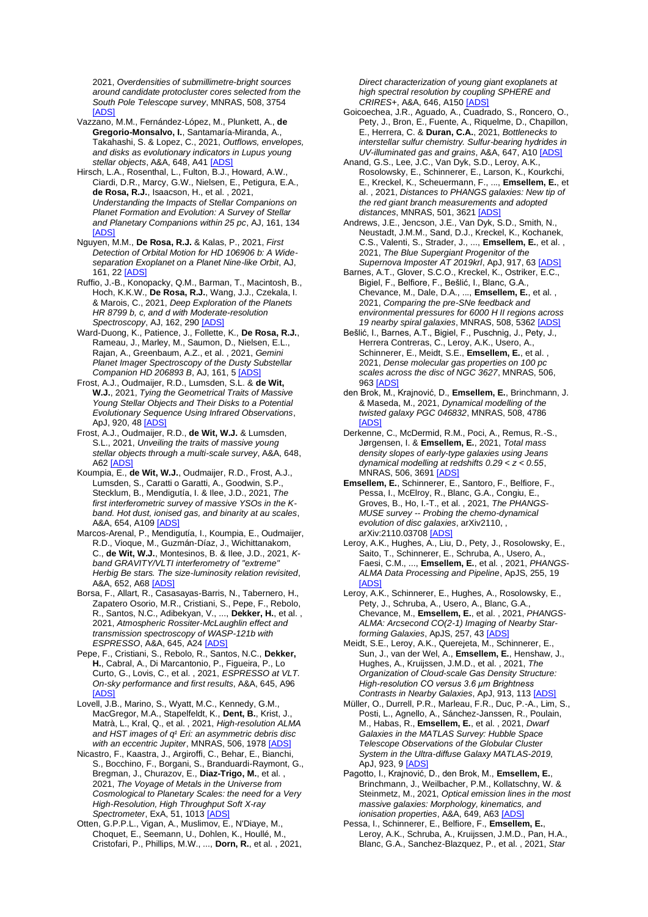2021, *Overdensities of submillimetre-bright sources around candidate protocluster cores selected from the South Pole Telescope survey*, MNRAS, 508, 3754 [\[ADS\]](https://ui.adsabs.harvard.edu/#abs/2021MNRAS.508.3754W)

- Vazzano, M.M., Fernández-López, M., Plunkett, A., **de Gregorio-Monsalvo, I.**, Santamaría-Miranda, A., Takahashi, S. & Lopez, C., 2021, *Outflows, envelopes, and disks as evolutionary indicators in Lupus young stellar objects*, A&A, 648, A41 [\[ADS\]](https://ui.adsabs.harvard.edu/#abs/2021A%26A...648A..41V)
- Hirsch, L.A., Rosenthal, L., Fulton, B.J., Howard, A.W., Ciardi, D.R., Marcy, G.W., Nielsen, E., Petigura, E.A., **de Rosa, R.J.**, Isaacson, H., et al. , 2021, *Understanding the Impacts of Stellar Companions on Planet Formation and Evolution: A Survey of Stellar and Planetary Companions within 25 pc*, AJ, 161, 134 [\[ADS\]](https://ui.adsabs.harvard.edu/#abs/2021AJ....161..134H)
- Nguyen, M.M., **De Rosa, R.J.** & Kalas, P., 2021, *First Detection of Orbital Motion for HD 106906 b: A Wideseparation Exoplanet on a Planet Nine-like Orbit*, AJ, 161, 22 [\[ADS\]](https://ui.adsabs.harvard.edu/#abs/2021AJ....161...22N)
- Ruffio, J.-B., Konopacky, Q.M., Barman, T., Macintosh, B., Hoch, K.K.W., **De Rosa, R.J.**, Wang, J.J., Czekala, I. & Marois, C., 2021, *Deep Exploration of the Planets HR 8799 b, c, and d with Moderate-resolution Spectroscopy*, AJ, 162, 290 [\[ADS\]](https://ui.adsabs.harvard.edu/#abs/2021AJ....162..290R)
- Ward-Duong, K., Patience, J., Follette, K., **De Rosa, R.J.**, Rameau, J., Marley, M., Saumon, D., Nielsen, E.L., Rajan, A., Greenbaum, A.Z., et al. , 2021, *Gemini Planet Imager Spectroscopy of the Dusty Substellar Companion HD 206893 B*, AJ, 161, 5 [\[ADS\]](https://ui.adsabs.harvard.edu/#abs/2021AJ....161....5W)
- Frost, A.J., Oudmaijer, R.D., Lumsden, S.L. & **de Wit, W.J.**, 2021, *Tying the Geometrical Traits of Massive Young Stellar Objects and Their Disks to a Potential Evolutionary Sequence Using Infrared Observations*, ApJ, 920, 4[8 \[ADS\]](https://ui.adsabs.harvard.edu/#abs/2021ApJ...920...48F)
- Frost, A.J., Oudmaijer, R.D., **de Wit, W.J.** & Lumsden, S.L., 2021, *Unveiling the traits of massive young stellar objects through a multi-scale survey*, A&A, 648, A6[2 \[ADS\]](https://ui.adsabs.harvard.edu/#abs/2021A%26A...648A..62F)
- Koumpia, E., **de Wit, W.J.**, Oudmaijer, R.D., Frost, A.J., Lumsden, S., Caratti o Garatti, A., Goodwin, S.P., Stecklum, B., Mendigutía, I. & Ilee, J.D., 2021, *The first interferometric survey of massive YSOs in the Kband. Hot dust, ionised gas, and binarity at au scales*, A&A, 654, A109 [\[ADS\]](https://ui.adsabs.harvard.edu/#abs/2021A%26A...654A.109K)
- Marcos-Arenal, P., Mendigutía, I., Koumpia, E., Oudmaijer, R.D., Vioque, M., Guzmán-Díaz, J., Wichittanakom, C., **de Wit, W.J.**, Montesinos, B. & Ilee, J.D., 2021, *Kband GRAVITY/VLTI interferometry of ''extreme'' Herbig Be stars. The size-luminosity relation revisited*, A&A, 652, A6[8 \[ADS\]](https://ui.adsabs.harvard.edu/#abs/2021A%26A...652A..68M)
- Borsa, F., Allart, R., Casasayas-Barris, N., Tabernero, H., Zapatero Osorio, M.R., Cristiani, S., Pepe, F., Rebolo, R., Santos, N.C., Adibekyan, V., ..., **Dekker, H.**, et al. , 2021, *Atmospheric Rossiter-McLaughlin effect and transmission spectroscopy of WASP-121b with ESPRESSO*, A&A, 645, A24 [\[ADS\]](https://ui.adsabs.harvard.edu/#abs/2021A%26A...645A..24B)
- Pepe, F., Cristiani, S., Rebolo, R., Santos, N.C., **Dekker, H.**, Cabral, A., Di Marcantonio, P., Figueira, P., Lo Curto, G., Lovis, C., et al. , 2021, *ESPRESSO at VLT. On-sky performance and first results*, A&A, 645, A96 [\[ADS\]](https://ui.adsabs.harvard.edu/#abs/2021A%26A...645A..96P)
- Lovell, J.B., Marino, S., Wyatt, M.C., Kennedy, G.M., MacGregor, M.A., Stapelfeldt, K., **Dent, B.**, Krist, J., Matrà, L., Kral, Q., et al. , 2021, *High-resolution ALMA*  and HST images of q<sup>1</sup> Eri: an asymmetric debris disc *with an eccentric Jupiter*, MNRAS, 506, 197[8 \[ADS\]](https://ui.adsabs.harvard.edu/#abs/2021MNRAS.506.1978L)
- Nicastro, F., Kaastra, J., Argiroffi, C., Behar, E., Bianchi, S., Bocchino, F., Borgani, S., Branduardi-Raymont, G., Bregman, J., Churazov, E., **Diaz-Trigo, M.**, et al. , 2021, *The Voyage of Metals in the Universe from Cosmological to Planetary Scales: the need for a Very High-Resolution, High Throughput Soft X-ray Spectrometer*, ExA, 51, 1013 [\[ADS\]](https://ui.adsabs.harvard.edu/#abs/2021ExA....51.1013N)
- Otten, G.P.P.L., Vigan, A., Muslimov, E., N'Diaye, M., Choquet, E., Seemann, U., Dohlen, K., Houllé, M., Cristofari, P., Phillips, M.W., ..., **Dorn, R.**, et al. , 2021,

*Direct characterization of young giant exoplanets at high spectral resolution by coupling SPHERE and CRIRES+*, A&A, 646, A15[0 \[ADS\]](https://ui.adsabs.harvard.edu/#abs/2021A%26A...646A.150O)

- Goicoechea, J.R., Aguado, A., Cuadrado, S., Roncero, O., Pety, J., Bron, E., Fuente, A., Riquelme, D., Chapillon, E., Herrera, C. & **Duran, C.A.**, 2021, *Bottlenecks to interstellar sulfur chemistry. Sulfur-bearing hydrides in UV-illuminated gas and grains*, A&A, 647, A1[0 \[ADS\]](https://ui.adsabs.harvard.edu/#abs/2021A%26A...647A..10G)
- Anand, G.S., Lee, J.C., Van Dyk, S.D., Leroy, A.K., Rosolowsky, E., Schinnerer, E., Larson, K., Kourkchi, E., Kreckel, K., Scheuermann, F., ..., **Emsellem, E.**, et al. , 2021, *Distances to PHANGS galaxies: New tip of the red giant branch measurements and adopted*  distances, MNRAS, 501, 3621 [AD;
- Andrews, J.E., Jencson, J.E., Van Dyk, S.D., Smith, N., Neustadt, J.M.M., Sand, D.J., Kreckel, K., Kochanek, C.S., Valenti, S., Strader, J., ..., **Emsellem, E.**, et al. , 2021, *The Blue Supergiant Progenitor of the Supernova Imposter AT 2019krl*, ApJ, 917, 6[3 \[ADS\]](https://ui.adsabs.harvard.edu/#abs/2021ApJ...917...63A)
- Barnes, A.T., Glover, S.C.O., Kreckel, K., Ostriker, E.C., Bigiel, F., Belfiore, F., Bešlić, I., Blanc, G.A., Chevance, M., Dale, D.A., ..., **Emsellem, E.**, et al. , 2021, *Comparing the pre-SNe feedback and environmental pressures for 6000 H II regions across 19 nearby spiral galaxies*, MNRAS, 508, 5362 [\[ADS\]](https://ui.adsabs.harvard.edu/#abs/2021MNRAS.508.5362B)
- Bešlić, I., Barnes, A.T., Bigiel, F., Puschnig, J., Pety, J., Herrera Contreras, C., Leroy, A.K., Usero, A., Schinnerer, E., Meidt, S.E., **Emsellem, E.**, et al. , 2021, *Dense molecular gas properties on 100 pc scales across the disc of NGC 3627*, MNRAS, 506, 96[3 \[ADS\]](https://ui.adsabs.harvard.edu/#abs/2021MNRAS.506..963B)
- den Brok, M., Krajnović, D., **Emsellem, E.**, Brinchmann, J. & Maseda, M., 2021, *Dynamical modelling of the twisted galaxy PGC 046832*, MNRAS, 508, 4786 [\[ADS\]](https://ui.adsabs.harvard.edu/#abs/2021MNRAS.508.4786D)
- Derkenne, C., McDermid, R.M., Poci, A., Remus, R.-S., Jørgensen, I. & **Emsellem, E.**, 2021, *Total mass density slopes of early-type galaxies using Jeans dynamical modelling at redshifts 0.29 < z < 0.55*, MNRAS, 506, 369[1 \[ADS\]](https://ui.adsabs.harvard.edu/#abs/2021MNRAS.506.3691D)
- **Emsellem, E.**, Schinnerer, E., Santoro, F., Belfiore, F., Pessa, I., McElroy, R., Blanc, G.A., Congiu, E., Groves, B., Ho, I.-T., et al. , 2021, *The PHANGS-MUSE survey -- Probing the chemo-dynamical evolution of disc galaxies*, arXiv2110, , arXiv:2110.0370[8 \[ADS\]](https://ui.adsabs.harvard.edu/#abs/2021arXiv211003708E)
- Leroy, A.K., Hughes, A., Liu, D., Pety, J., Rosolowsky, E., Saito, T., Schinnerer, E., Schruba, A., Usero, A., Faesi, C.M., ..., **Emsellem, E.**, et al. , 2021, *PHANGS-ALMA Data Processing and Pipeline*, ApJS, 255, 19 **[ADS**
- Leroy, A.K., Schinnerer, E., Hughes, A., Rosolowsky, E., Pety, J., Schruba, A., Usero, A., Blanc, G.A. Chevance, M., **Emsellem, E.**, et al. , 2021, *PHANGS-ALMA: Arcsecond CO(2-1) Imaging of Nearby Starforming Galaxies*, ApJS, 257, 4[3 \[ADS\]](https://ui.adsabs.harvard.edu/#abs/2021ApJS..257...43L)
- Meidt, S.E., Leroy, A.K., Querejeta, M., Schinnerer, E., Sun, J., van der Wel, A., **Emsellem, E.**, Henshaw, J., Hughes, A., Kruijssen, J.M.D., et al. , 2021, *The Organization of Cloud-scale Gas Density Structure: High-resolution CO versus 3.6 μm Brightness Contrasts in Nearby Galaxies*, ApJ, 913, 113 [\[ADS\]](https://ui.adsabs.harvard.edu/#abs/2021ApJ...913..113M)
- Müller, O., Durrell, P.R., Marleau, F.R., Duc, P.-A., Lim, S., Posti, L., Agnello, A., Sánchez-Janssen, R., Poulain, M., Habas, R., **Emsellem, E.**, et al. , 2021, *Dwarf Galaxies in the MATLAS Survey: Hubble Space Telescope Observations of the Globular Cluster System in the Ultra-diffuse Galaxy MATLAS-2019*, ApJ, 923, [9 \[ADS\]](https://ui.adsabs.harvard.edu/#abs/2021ApJ...923....9M)
- Pagotto, I., Krajnović, D., den Brok, M., **Emsellem, E.**, Brinchmann, J., Weilbacher, P.M., Kollatschny, W. & Steinmetz, M., 2021, *Optical emission lines in the most massive galaxies: Morphology, kinematics, and ionisation properties*, A&A, 649, A6[3 \[ADS\]](https://ui.adsabs.harvard.edu/#abs/2021A%26A...649A..63P)
- Pessa, I., Schinnerer, E., Belfiore, F., **Emsellem, E.**, Leroy, A.K., Schruba, A., Kruijssen, J.M.D., Pan, H.A., Blanc, G.A., Sanchez-Blazquez, P., et al. , 2021, *Star*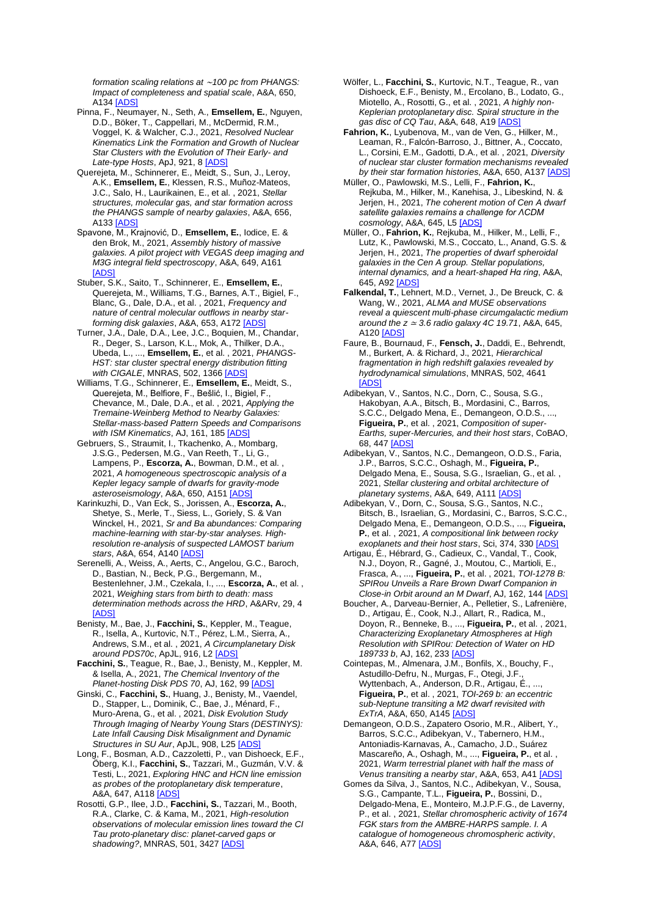*formation scaling relations at* ∼*100 pc from PHANGS: Impact of completeness and spatial scale*, A&A, 650, **A134 [\[ADS\]](https://ui.adsabs.harvard.edu/#abs/2021A%26A...650A.134P)** 

Pinna, F., Neumayer, N., Seth, A., **Emsellem, E.**, Nguyen, D.D., Böker, T., Cappellari, M., McDermid, R.M., Voggel, K. & Walcher, C.J., 2021, *Resolved Nuclear Kinematics Link the Formation and Growth of Nuclear Star Clusters with the Evolution of Their Early- and Late-type Hosts*, ApJ, 921, [8 \[ADS\]](https://ui.adsabs.harvard.edu/#abs/2021ApJ...921....8P)

Querejeta, M., Schinnerer, E., Meidt, S., Sun, J., Leroy, A.K., **Emsellem, E.**, Klessen, R.S., Muñoz-Mateos, J.C., Salo, H., Laurikainen, E., et al. , 2021, *Stellar structures, molecular gas, and star formation across the PHANGS sample of nearby galaxies*, A&A, 656, A133 [\[ADS\]](https://ui.adsabs.harvard.edu/#abs/2021A%26A...656A.133Q)

Spavone, M., Krajnović, D., **Emsellem, E.**, Iodice, E. & den Brok, M., 2021, *Assembly history of massive galaxies. A pilot project with VEGAS deep imaging and M3G integral field spectroscopy*, A&A, 649, A161 [\[ADS\]](https://ui.adsabs.harvard.edu/#abs/2021A%26A...649A.161S)

Stuber, S.K., Saito, T., Schinnerer, E., **Emsellem, E.**, Querejeta, M., Williams, T.G., Barnes, A.T., Bigiel, F., Blanc, G., Dale, D.A., et al. , 2021, *Frequency and nature of central molecular outflows in nearby starforming disk galaxies*, A&A, 653, A17[2 \[ADS\]](https://ui.adsabs.harvard.edu/#abs/2021A%26A...653A.172S)

Turner, J.A., Dale, D.A., Lee, J.C., Boquien, M., Chandar, R., Deger, S., Larson, K.L., Mok, A., Thilker, D.A., Ubeda, L., ..., **Emsellem, E.**, et al. , 2021, *PHANGS-HST: star cluster spectral energy distribution fitting with CIGALE*, MNRAS, 502, 136[6 \[ADS\]](https://ui.adsabs.harvard.edu/#abs/2021MNRAS.502.1366T)

Williams, T.G., Schinnerer, E., **Emsellem, E.**, Meidt, S., Querejeta, M., Belfiore, F., Bešlić, I., Bigiel, F., Chevance, M., Dale, D.A., et al. , 2021, *Applying the Tremaine-Weinberg Method to Nearby Galaxies: Stellar-mass-based Pattern Speeds and Comparisons with ISM Kinematics*, AJ, 161, 18[5 \[ADS\]](https://ui.adsabs.harvard.edu/#abs/2021AJ....161..185W)

Gebruers, S., Straumit, I., Tkachenko, A., Mombarg, J.S.G., Pedersen, M.G., Van Reeth, T., Li, G., Lampens, P., **Escorza, A.**, Bowman, D.M., et al. , 2021, *A homogeneous spectroscopic analysis of a Kepler legacy sample of dwarfs for gravity-mode asteroseismology*, A&A, 650, A151 [\[ADS\]](https://ui.adsabs.harvard.edu/#abs/2021A%26A...650A.151G)

Karinkuzhi, D., Van Eck, S., Jorissen, A., **Escorza, A.**, Shetye, S., Merle, T., Siess, L., Goriely, S. & Van Winckel, H., 2021, *Sr and Ba abundances: Comparing machine-learning with star-by-star analyses. Highresolution re-analysis of suspected LAMOST barium stars*, A&A, 654, A140 [\[ADS\]](https://ui.adsabs.harvard.edu/#abs/2021A%26A...654A.140K)

Serenelli, A., Weiss, A., Aerts, C., Angelou, G.C., Baroch, D., Bastian, N., Beck, P.G., Bergemann, M., Bestenlehner, J.M., Czekala, I., ..., **Escorza, A.**, et al. , 2021, *Weighing stars from birth to death: mass determination methods across the HRD*, A&ARv, 29, 4 [\[ADS\]](https://ui.adsabs.harvard.edu/#abs/2021A%26ARv..29....4S)

Benisty, M., Bae, J., **Facchini, S.**, Keppler, M., Teague, R., Isella, A., Kurtovic, N.T., Pérez, L.M., Sierra, A., Andrews, S.M., et al. , 2021, *A Circumplanetary Disk around PDS70c*, ApJL, 916, L[2 \[ADS\]](https://ui.adsabs.harvard.edu/#abs/2021ApJ...916L...2B)

**Facchini, S.**, Teague, R., Bae, J., Benisty, M., Keppler, M. & Isella, A., 2021, *The Chemical Inventory of the Planet-hosting Disk PDS 70*, AJ, 162, 99 [\[ADS\]](https://ui.adsabs.harvard.edu/#abs/2021AJ....162...99F)

Ginski, C., **Facchini, S.**, Huang, J., Benisty, M., Vaendel, D., Stapper, L., Dominik, C., Bae, J., Ménard, F., Muro-Arena, G., et al. , 2021, *Disk Evolution Study Through Imaging of Nearby Young Stars (DESTINYS): Late Infall Causing Disk Misalignment and Dynamic Structures in SU Aur*, ApJL, 908, L2[5 \[ADS\]](https://ui.adsabs.harvard.edu/#abs/2021ApJ...908L..25G)

Long, F., Bosman, A.D., Cazzoletti, P., van Dishoeck, E.F. Öberg, K.I., **Facchini, S.**, Tazzari, M., Guzmán, V.V. & Testi, L., 2021, *Exploring HNC and HCN line emission as probes of the protoplanetary disk temperature*, A&A, 647, A118 [\[ADS\]](https://ui.adsabs.harvard.edu/#abs/2021A%26A...647A.118L)

Rosotti, G.P., Ilee, J.D., **Facchini, S.**, Tazzari, M., Booth, R.A., Clarke, C. & Kama, M., 2021, *High-resolution observations of molecular emission lines toward the CI Tau proto-planetary disc: planet-carved gaps or*  shadowing?, MNRAS, 501, 342[7 \[ADS\]](https://ui.adsabs.harvard.edu/#abs/2021MNRAS.501.3427R)

Wölfer, L., **Facchini, S.**, Kurtovic, N.T., Teague, R., van Dishoeck, E.F., Benisty, M., Ercolano, B., Lodato, G., Miotello, A., Rosotti, G., et al. , 2021, *A highly non-Keplerian protoplanetary disc. Spiral structure in the gas disc of CQ Tau*, A&A, 648, A1[9 \[ADS\]](https://ui.adsabs.harvard.edu/#abs/2021A%26A...648A..19W)

**Fahrion, K.**, Lyubenova, M., van de Ven, G., Hilker, M., Leaman, R., Falcón-Barroso, J., Bittner, A., Coccato, L., Corsini, E.M., Gadotti, D.A., et al. , 2021, *Diversity of nuclear star cluster formation mechanisms revealed by their star formation histories*, A&A, 650, A13[7 \[ADS\]](https://ui.adsabs.harvard.edu/#abs/2021A%26A...650A.137F)

Müller, O., Pawlowski, M.S., Lelli, F., **Fahrion, K.**, Rejkuba, M., Hilker, M., Kanehisa, J., Libeskind, N. & Jerjen, H., 2021, *The coherent motion of Cen A dwarf satellite galaxies remains a challenge for ΛCDM cosmology*, A&A, 645, L5 [\[ADS\]](https://ui.adsabs.harvard.edu/#abs/2021A%26A...645L...5M)

Müller, O., **Fahrion, K.**, Rejkuba, M., Hilker, M., Lelli, F., Lutz, K., Pawlowski, M.S., Coccato, L., Anand, G.S. & Jerjen, H., 2021, *The properties of dwarf spheroidal galaxies in the Cen A group. Stellar populations, internal dynamics, and a heart-shaped Hα ring*, A&A, 645, A9[2 \[ADS\]](https://ui.adsabs.harvard.edu/#abs/2021A%26A...645A..92M)

**Falkendal, T.**, Lehnert, M.D., Vernet, J., De Breuck, C. & Wang, W., 2021, *ALMA and MUSE observations reveal a quiescent multi-phase circumgalactic medium around the z* <sup>≃</sup> *3.6 radio galaxy 4C 19.71*, A&A, 645, A12[0 \[ADS\]](https://ui.adsabs.harvard.edu/#abs/2021A%26A...645A.120F)

Faure, B., Bournaud, F., **Fensch, J.**, Daddi, E., Behrendt, M., Burkert, A. & Richard, J., 2021, *Hierarchical fragmentation in high redshift galaxies revealed by hydrodynamical simulations*, MNRAS, 502, 4641 [\[ADS\]](https://ui.adsabs.harvard.edu/#abs/2021MNRAS.502.4641F)

Adibekyan, V., Santos, N.C., Dorn, C., Sousa, S.G., Hakobyan, A.A., Bitsch, B., Mordasini, C., Barros, S.C.C., Delgado Mena, E., Demangeon, O.D.S., ..., **Figueira, P.**, et al. , 2021, *Composition of super-Earths, super-Mercuries, and their host stars*, CoBAO, 68, 44[7 \[ADS\]](https://ui.adsabs.harvard.edu/#abs/2021CoBAO..68..447A)

Adibekyan, V., Santos, N.C., Demangeon, O.D.S., Faria, J.P., Barros, S.C.C., Oshagh, M., **Figueira, P.**, Delgado Mena, E., Sousa, S.G., Israelian, G., et al. , 2021, *Stellar clustering and orbital architecture of planetary systems*, A&A, 649, A111 [\[ADS\]](https://ui.adsabs.harvard.edu/#abs/2021A%26A...649A.111A)

Adibekyan, V., Dorn, C., Sousa, S.G., Santos, N.C., Bitsch, B., Israelian, G., Mordasini, C., Barros, S.C.C., Delgado Mena, E., Demangeon, O.D.S., ..., **Figueira, P.**, et al. , 2021, *A compositional link between rocky exoplanets and their host stars*, Sci, 374, 33[0 \[ADS\]](https://ui.adsabs.harvard.edu/#abs/2021Sci...374..330A)

Artigau, É., Hébrard, G., Cadieux, C., Vandal, T., Cook, N.J., Doyon, R., Gagné, J., Moutou, C., Martioli, E., Frasca, A., ..., **Figueira, P.**, et al. , 2021, *TOI-1278 B: SPIRou Unveils a Rare Brown Dwarf Companion in Close-in Orbit around an M Dwarf*, AJ, 162, 14[4 \[ADS\]](https://ui.adsabs.harvard.edu/#abs/2021AJ....162..144A)

Boucher, A., Darveau-Bernier, A., Pelletier, S., Lafrenière, D., Artigau, É., Cook, N.J., Allart, R., Radica, M., Doyon, R., Benneke, B., ..., **Figueira, P.**, et al. , 2021, *Characterizing Exoplanetary Atmospheres at High Resolution with SPIRou: Detection of Water on HD 189733 b*, AJ, 162, 23[3 \[ADS\]](https://ui.adsabs.harvard.edu/#abs/2021AJ....162..233B)

Cointepas, M., Almenara, J.M., Bonfils, X., Bouchy, F., Astudillo-Defru, N., Murgas, F., Otegi, J.F., Wyttenbach, A., Anderson, D.R., Artigau, É., ..., **Figueira, P.**, et al. , 2021, *TOI-269 b: an eccentric sub-Neptune transiting a M2 dwarf revisited with ExTrA*, A&A, 650, A14[5 \[ADS\]](https://ui.adsabs.harvard.edu/#abs/2021A%26A...650A.145C)

Demangeon, O.D.S., Zapatero Osorio, M.R., Alibert, Y., Barros, S.C.C., Adibekyan, V., Tabernero, H.M., Antoniadis-Karnavas, A., Camacho, J.D., Suárez Mascareño, A., Oshagh, M., ..., **Figueira, P.**, et al. , 2021, *Warm terrestrial planet with half the mass of Venus transiting a nearby star*, A&A, 653, A4[1 \[ADS\]](https://ui.adsabs.harvard.edu/#abs/2021A%26A...653A..41D)

Gomes da Silva, J., Santos, N.C., Adibekyan, V., Sousa, S.G., Campante, T.L., **Figueira, P.**, Bossini, D., Delgado-Mena, E., Monteiro, M.J.P.F.G., de Laverny, P., et al. , 2021, *Stellar chromospheric activity of 1674 FGK stars from the AMBRE-HARPS sample. I. A catalogue of homogeneous chromospheric activity*, A&A, 646, A7[7 \[ADS\]](https://ui.adsabs.harvard.edu/#abs/2021A%26A...646A..77G)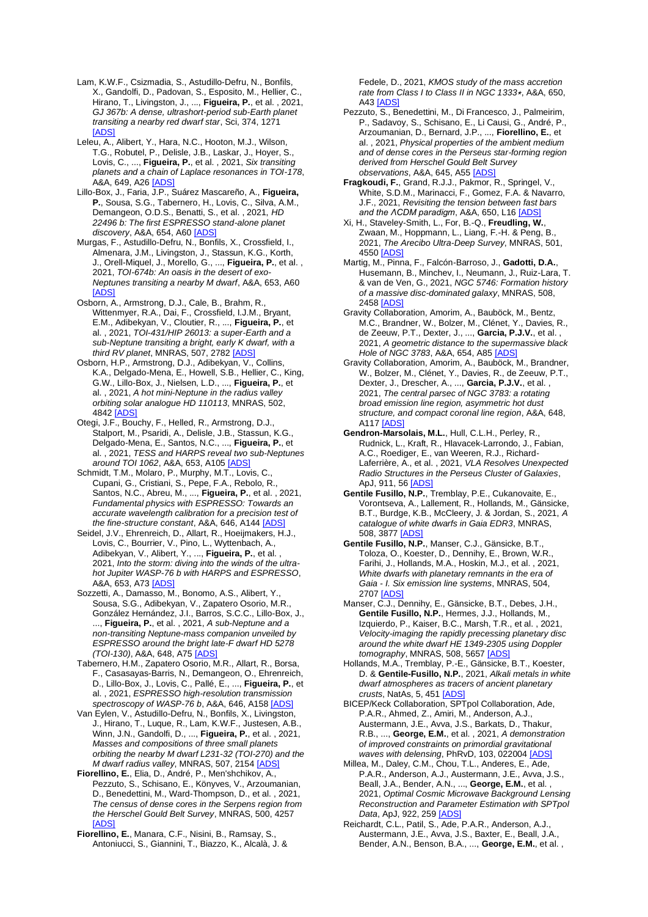- Lam, K.W.F., Csizmadia, S., Astudillo-Defru, N., Bonfils, X., Gandolfi, D., Padovan, S., Esposito, M., Hellier, C., Hirano, T., Livingston, J., ..., **Figueira, P.**, et al. , 2021, *GJ 367b: A dense, ultrashort-period sub-Earth planet transiting a nearby red dwarf star*, Sci, 374, 1271 **[\[ADS\]](https://ui.adsabs.harvard.edu/#abs/2021Sci...374.1271L)**
- Leleu, A., Alibert, Y., Hara, N.C., Hooton, M.J., Wilson, T.G., Robutel, P., Delisle, J.B., Laskar, J., Hoyer, S., Lovis, C., ..., **Figueira, P.**, et al. , 2021, *Six transiting planets and a chain of Laplace resonances in TOI-178*, .<br>A&A, 649, A26 <u>[ADS</u>
- Lillo-Box, J., Faria, J.P., Suárez Mascareño, A., **Figueira, P.**, Sousa, S.G., Tabernero, H., Lovis, C., Silva, A.M., Demangeon, O.D.S., Benatti, S., et al. , 2021, *HD 22496 b: The first ESPRESSO stand-alone planet discovery*, A&A, 654, A60 [\[ADS\]](https://ui.adsabs.harvard.edu/#abs/2021A%26A...654A..60L)
- Murgas, F., Astudillo-Defru, N., Bonfils, X., Crossfield, I., Almenara, J.M., Livingston, J., Stassun, K.G., Korth, J., Orell-Miquel, J., Morello, G., ..., **Figueira, P.**, et al. , 2021, *TOI-674b: An oasis in the desert of exo-Neptunes transiting a nearby M dwarf*, A&A, 653, A60 [\[ADS\]](https://ui.adsabs.harvard.edu/#abs/2021A%26A...653A..60M)
- Osborn, A., Armstrong, D.J., Cale, B., Brahm, R., Wittenmyer, R.A., Dai, F., Crossfield, I.J.M., Bryant, E.M., Adibekyan, V., Cloutier, R., ..., **Figueira, P.**, et al. , 2021, *TOI-431/HIP 26013: a super-Earth and a sub-Neptune transiting a bright, early K dwarf, with a third RV planet*, MNRAS, 507, 278[2 \[ADS\]](https://ui.adsabs.harvard.edu/#abs/2021MNRAS.507.2782O)
- Osborn, H.P., Armstrong, D.J., Adibekyan, V., Collins, K.A., Delgado-Mena, E., Howell, S.B., Hellier, C., King, G.W., Lillo-Box, J., Nielsen, L.D., ..., **Figueira, P.**, et al. , 2021, *A hot mini-Neptune in the radius valley orbiting solar analogue HD 110113*, MNRAS, 502, 4842 [\[ADS\]](https://ui.adsabs.harvard.edu/#abs/2021MNRAS.502.4842O)
- Otegi, J.F., Bouchy, F., Helled, R., Armstrong, D.J., Stalport, M., Psaridi, A., Delisle, J.B., Stassun, K.G., Delgado-Mena, E., Santos, N.C., ..., **Figueira, P.**, et al. , 2021, *TESS and HARPS reveal two sub-Neptunes around TOI 1062*, A&A, 653, A105 [\[ADS\]](https://ui.adsabs.harvard.edu/#abs/2021A%26A...653A.105O)
- Schmidt, T.M., Molaro, P., Murphy, M.T., Lovis, C., Cupani, G., Cristiani, S., Pepe, F.A., Rebolo, R., Santos, N.C., Abreu, M., ..., **Figueira, P.**, et al. , 2021, *Fundamental physics with ESPRESSO: Towards an accurate wavelength calibration for a precision test of the fine-structure constant*, A&A, 646, A144 [\[ADS\]](https://ui.adsabs.harvard.edu/#abs/2021A%26A...646A.144S)
- Seidel, J.V., Ehrenreich, D., Allart, R., Hoeijmakers, H.J., Lovis, C., Bourrier, V., Pino, L., Wyttenbach, A., Adibekyan, V., Alibert, Y., ..., **Figueira, P.**, et al. , 2021, *Into the storm: diving into the winds of the ultrahot Jupiter WASP-76 b with HARPS and ESPRESSO*, A&A, 653, A7[3 \[ADS\]](https://ui.adsabs.harvard.edu/#abs/2021A%26A...653A..73S)
- Sozzetti, A., Damasso, M., Bonomo, A.S., Alibert, Y., Sousa, S.G., Adibekyan, V., Zapatero Osorio, M.R., González Hernández, J.I., Barros, S.C.C., Lillo-Box, J., ..., **Figueira, P.**, et al. , 2021, *A sub-Neptune and a non-transiting Neptune-mass companion unveiled by ESPRESSO around the bright late-F dwarf HD 5278 (TOI-130)*, A&A, 648, A75 [\[ADS\]](https://ui.adsabs.harvard.edu/#abs/2021A%26A...648A..75S)
- Tabernero, H.M., Zapatero Osorio, M.R., Allart, R., Borsa, F., Casasayas-Barris, N., Demangeon, O., Ehrenreich, D., Lillo-Box, J., Lovis, C., Pallé, E., ..., **Figueira, P.**, et al. , 2021, *ESPRESSO high-resolution transmission spectroscopy of WASP-76 b*, A&A, 646, A15[8 \[ADS\]](https://ui.adsabs.harvard.edu/#abs/2021A%26A...646A.158T)
- Van Eylen, V., Astudillo-Defru, N., Bonfils, X., Livingston, J., Hirano, T., Luque, R., Lam, K.W.F., Justesen, A.B., Winn, J.N., Gandolfi, D., ..., **Figueira, P.**, et al. , 2021, *Masses and compositions of three small planets orbiting the nearby M dwarf L231-32 (TOI-270) and the M dwarf radius valley*, MNRAS, 507, 215[4 \[ADS\]](https://ui.adsabs.harvard.edu/#abs/2021MNRAS.507.2154V)
- **Fiorellino, E.**, Elia, D., André, P., Men'shchikov, A., Pezzuto, S., Schisano, E., Könyves, V., Arzoumanian, D., Benedettini, M., Ward-Thompson, D., et al. , 2021, *The census of dense cores in the Serpens region from the Herschel Gould Belt Survey*, MNRAS, 500, 4257 [\[ADS\]](https://ui.adsabs.harvard.edu/#abs/2021MNRAS.500.4257F)
- **Fiorellino, E.**, Manara, C.F., Nisini, B., Ramsay, S., Antoniucci, S., Giannini, T., Biazzo, K., Alcalà, J. &

Fedele, D., 2021, *KMOS study of the mass accretion rate from Class I to Class II in NGC 1333*⋆, A&A, 650, A4[3 \[ADS\]](https://ui.adsabs.harvard.edu/#abs/2021A%26A...650A..43F)

- Pezzuto, S., Benedettini, M., Di Francesco, J., Palmeirim, P., Sadavoy, S., Schisano, E., Li Causi, G., André, P., Arzoumanian, D., Bernard, J.P., ..., **Fiorellino, E.**, et al. , 2021, *Physical properties of the ambient medium and of dense cores in the Perseus star-forming region derived from Herschel Gould Belt Survey observations*, A&A, 645, A5[5 \[ADS\]](https://ui.adsabs.harvard.edu/#abs/2021A%26A...645A..55P)
- **Fragkoudi, F.**, Grand, R.J.J., Pakmor, R., Springel, V., White, S.D.M., Marinacci, F., Gomez, F.A. & Navarro, J.F., 2021, *Revisiting the tension between fast bars and the ΛCDM paradigm*, A&A, 650, L1[6 \[ADS\]](https://ui.adsabs.harvard.edu/#abs/2021A%26A...650L..16F)
- Xi, H., Staveley-Smith, L., For, B.-Q., **Freudling, W.**, Zwaan, M., Hoppmann, L., Liang, F.-H. & Peng, B., 2021, *The Arecibo Ultra-Deep Survey*, MNRAS, 501, 4550 [\[ADS\]](https://ui.adsabs.harvard.edu/#abs/2021MNRAS.501.4550X)
- Martig, M., Pinna, F., Falcón-Barroso, J., **Gadotti, D.A.**, Husemann, B., Minchev, I., Neumann, J., Ruiz-Lara, T. & van de Ven, G., 2021, *NGC 5746: Formation history of a massive disc-dominated galaxy*, MNRAS, 508, 2458 [\[ADS\]](https://ui.adsabs.harvard.edu/#abs/2021MNRAS.508.2458M)
- Gravity Collaboration, Amorim, A., Bauböck, M., Bentz, M.C., Brandner, W., Bolzer, M., Clénet, Y., Davies, R., de Zeeuw, P.T., Dexter, J., ..., **Garcia, P.J.V.**, et al. , 2021, *A geometric distance to the supermassive black Hole of NGC 3783*, A&A, 654, A8[5 \[ADS\]](https://ui.adsabs.harvard.edu/#abs/2021A%26A...654A..85G)
- Gravity Collaboration, Amorim, A., Bauböck, M., Brandner, W., Bolzer, M., Clénet, Y., Davies, R., de Zeeuw, P.T., Dexter, J., Drescher, A., ..., **Garcia, P.J.V.**, et al. , 2021, *The central parsec of NGC 3783: a rotating broad emission line region, asymmetric hot dust structure, and compact coronal line region*, A&A, 648, **A117 [ADS**
- **Gendron-Marsolais, M.L.**, Hull, C.L.H., Perley, R., Rudnick, L., Kraft, R., Hlavacek-Larrondo, J., Fabian, A.C., Roediger, E., van Weeren, R.J., Richard-Laferrière, A., et al. , 2021, *VLA Resolves Unexpected Radio Structures in the Perseus Cluster of Galaxies*, ApJ, 911, 5[6 \[ADS\]](https://ui.adsabs.harvard.edu/#abs/2021ApJ...911...56G)
- **Gentile Fusillo, N.P.**, Tremblay, P.E., Cukanovaite, E., Vorontseva, A., Lallement, R., Hollands, M., Gänsicke, B.T., Burdge, K.B., McCleery, J. & Jordan, S., 2021, *A catalogue of white dwarfs in Gaia EDR3*, MNRAS, 508, 387[7 \[ADS\]](https://ui.adsabs.harvard.edu/#abs/2021MNRAS.508.3877G)
- **Gentile Fusillo, N.P.**, Manser, C.J., Gänsicke, B.T., Toloza, O., Koester, D., Dennihy, E., Brown, W.R., Farihi, J., Hollands, M.A., Hoskin, M.J., et al. , 2021, *White dwarfs with planetary remnants in the era of Gaia - I. Six emission line systems*, MNRAS, 504, 2707 [\[ADS\]](https://ui.adsabs.harvard.edu/#abs/2021MNRAS.504.2707G)
- Manser, C.J., Dennihy, E., Gänsicke, B.T., Debes, J.H., **Gentile Fusillo, N.P.**, Hermes, J.J., Hollands, M., Izquierdo, P., Kaiser, B.C., Marsh, T.R., et al. , 2021, *Velocity-imaging the rapidly precessing planetary disc around the white dwarf HE 1349-2305 using Doppler tomography*, MNRAS, 508, 565[7 \[ADS\]](https://ui.adsabs.harvard.edu/#abs/2021MNRAS.508.5657M)
- Hollands, M.A., Tremblay, P.-E., Gänsicke, B.T., Koester, D. & **Gentile-Fusillo, N.P.**, 2021, *Alkali metals in white dwarf atmospheres as tracers of ancient planetary crusts*, NatAs, 5, 45[1 \[ADS\]](https://ui.adsabs.harvard.edu/#abs/2021NatAs...5..451H)
- BICEP/Keck Collaboration, SPTpol Collaboration, Ade, P.A.R., Ahmed, Z., Amiri, M., Anderson, A.J. Austermann, J.E., Avva, J.S., Barkats, D., Thakur, R.B., ..., **George, E.M.**, et al. , 2021, *A demonstration of improved constraints on primordial gravitational waves with delensing*, PhRvD, 103, 02200[4 \[ADS\]](https://ui.adsabs.harvard.edu/#abs/2021PhRvD.103b2004B)
- Millea, M., Daley, C.M., Chou, T.L., Anderes, E., Ade, P.A.R., Anderson, A.J., Austermann, J.E., Avva, J.S., Beall, J.A., Bender, A.N., ..., **George, E.M.**, et al. , 2021, *Optimal Cosmic Microwave Background Lensing Reconstruction and Parameter Estimation with SPTpol Data*, ApJ, 922, 25[9 \[ADS\]](https://ui.adsabs.harvard.edu/#abs/2021ApJ...922..259M)
- Reichardt, C.L., Patil, S., Ade, P.A.R., Anderson, A.J., Austermann, J.E., Avva, J.S., Baxter, E., Beall, J.A., Bender, A.N., Benson, B.A., ..., **George, E.M.**, et al. ,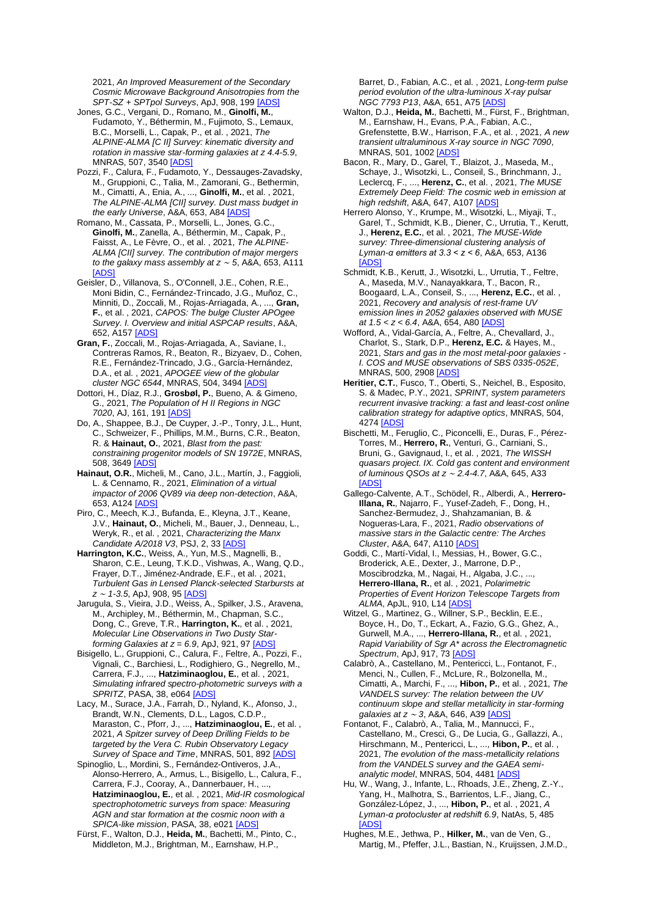2021, *An Improved Measurement of the Secondary Cosmic Microwave Background Anisotropies from the SPT-SZ + SPTpol Surveys*, ApJ, 908, 199 [\[ADS\]](https://ui.adsabs.harvard.edu/#abs/2021ApJ...908..199R)

- Jones, G.C., Vergani, D., Romano, M., **Ginolfi, M.**, Fudamoto, Y., Béthermin, M., Fujimoto, S., Lemaux, B.C., Morselli, L., Capak, P., et al. , 2021, *The ALPINE-ALMA [C II] Survey: kinematic diversity and rotation in massive star-forming galaxies at z 4.4-5.9*, MNRAS, 507, 354[0 \[ADS\]](https://ui.adsabs.harvard.edu/#abs/2021MNRAS.507.3540J)
- Pozzi, F., Calura, F., Fudamoto, Y., Dessauges-Zavadsky, M., Gruppioni, C., Talia, M., Zamorani, G., Bethermin, M., Cimatti, A., Enia, A., ..., **Ginolfi, M.**, et al. , 2021, *The ALPINE-ALMA [CII] survey. Dust mass budget in the early Universe*, A&A, 653, A8[4 \[ADS\]](https://ui.adsabs.harvard.edu/#abs/2021A%26A...653A..84P)
- Romano, M., Cassata, P., Morselli, L., Jones, G.C., **Ginolfi, M.**, Zanella, A., Béthermin, M., Capak, P., Faisst, A., Le Fèvre, O., et al. , 2021, *The ALPINE-ALMA [CII] survey. The contribution of major mergers to the galaxy mass assembly at z* <sup>∼</sup> *5*, A&A, 653, A111 **IADS**
- Geisler, D., Villanova, S., O'Connell, J.E., Cohen, R.E., Moni Bidin, C., Fernández-Trincado, J.G., Muñoz, C., Minniti, D., Zoccali, M., Rojas-Arriagada, A., ..., **Gran, F.**, et al. , 2021, *CAPOS: The bulge Cluster APOgee Survey. I. Overview and initial ASPCAP results*, A&A, 652, A15[7 \[ADS\]](https://ui.adsabs.harvard.edu/#abs/2021A%26A...652A.157G)
- **Gran, F.**, Zoccali, M., Rojas-Arriagada, A., Saviane, I., Contreras Ramos, R., Beaton, R., Bizyaev, D., Cohen, R.E., Fernández-Trincado, J.G., García-Hernández, D.A., et al. , 2021, *APOGEE view of the globular cluster NGC 6544*, MNRAS, 504, 349[4 \[ADS\]](https://ui.adsabs.harvard.edu/#abs/2021MNRAS.504.3494G)
- Dottori, H., Díaz, R.J., **Grosbøl, P.**, Bueno, A. & Gimeno, G., 2021, *The Population of H II Regions in NGC 7020*, AJ, 161, 19[1 \[ADS\]](https://ui.adsabs.harvard.edu/#abs/2021AJ....161..191D)
- Do, A., Shappee, B.J., De Cuyper, J.-P., Tonry, J.L., Hunt, C., Schweizer, F., Phillips, M.M., Burns, C.R., Beaton, R. & **Hainaut, O.**, 2021, *Blast from the past: constraining progenitor models of SN 1972E*, MNRAS, 508, 3649 [\[ADS\]](https://ui.adsabs.harvard.edu/#abs/2021MNRAS.508.3649D)
- **Hainaut, O.R.**, Micheli, M., Cano, J.L., Martín, J., Faggioli, L. & Cennamo, R., 2021, *Elimination of a virtual impactor of 2006 QV89 via deep non-detection*, A&A, 653, A12[4 \[ADS\]](https://ui.adsabs.harvard.edu/#abs/2021A%26A...653A.124H)
- Piro, C., Meech, K.J., Bufanda, E., Kleyna, J.T., Keane, J.V., **Hainaut, O.**, Micheli, M., Bauer, J., Denneau, L., Weryk, R., et al. , 2021, *Characterizing the Manx Candidate A/2018 V3*, PSJ, 2, 3[3 \[ADS\]](https://ui.adsabs.harvard.edu/#abs/2021PSJ.....2...33P)
- **Harrington, K.C.**, Weiss, A., Yun, M.S., Magnelli, B., Sharon, C.E., Leung, T.K.D., Vishwas, A., Wang, Q.D., Frayer, D.T., Jiménez-Andrade, E.F., et al. , 2021, *Turbulent Gas in Lensed Planck-selected Starbursts at z* <sup>∼</sup> *1-3.5*, ApJ, 908, 95 [\[ADS\]](https://ui.adsabs.harvard.edu/#abs/2021ApJ...908...95H)
- Jarugula, S., Vieira, J.D., Weiss, A., Spilker, J.S., Aravena, M., Archipley, M., Béthermin, M., Chapman, S.C., Dong, C., Greve, T.R., **Harrington, K.**, et al. , 2021, *Molecular Line Observations in Two Dusty Starforming Galaxies at z = 6.9*, ApJ, 921, 97 [\[ADS\]](https://ui.adsabs.harvard.edu/#abs/2021ApJ...921...97J)
- Bisigello, L., Gruppioni, C., Calura, F., Feltre, A., Pozzi, F., Vignali, C., Barchiesi, L., Rodighiero, G., Negrello, M., Carrera, F.J., ..., **Hatziminaoglou, E.**, et al. , 2021, *Simulating infrared spectro-photometric surveys with a SPRITZ*, PASA, 38, e06[4 \[ADS\]](https://ui.adsabs.harvard.edu/#abs/2021PASA...38...64B)
- Lacy, M., Surace, J.A., Farrah, D., Nyland, K., Afonso, J., Brandt, W.N., Clements, D.L., Lagos, C.D.P., Maraston, C., Pforr, J., ..., **Hatziminaoglou, E.**, et al. , 2021, *A Spitzer survey of Deep Drilling Fields to be targeted by the Vera C. Rubin Observatory Legacy Survey of Space and Time*, MNRAS, 501, 89[2 \[ADS\]](https://ui.adsabs.harvard.edu/#abs/2021MNRAS.501..892L)
- Spinoglio, L., Mordini, S., Fernández-Ontiveros, J.A., Alonso-Herrero, A., Armus, L., Bisigello, L., Calura, F., Carrera, F.J., Cooray, A., Dannerbauer, H., ..., **Hatziminaoglou, E.**, et al. , 2021, *Mid-IR cosmological spectrophotometric surveys from space: Measuring AGN and star formation at the cosmic noon with a SPICA-like mission*, PASA, 38, e02[1 \[ADS\]](https://ui.adsabs.harvard.edu/#abs/2021PASA...38...21S)
- Fürst, F., Walton, D.J., **Heida, M.**, Bachetti, M., Pinto, C., Middleton, M.J., Brightman, M., Earnshaw, H.P.,

Barret, D., Fabian, A.C., et al. , 2021, *Long-term pulse period evolution of the ultra-luminous X-ray pulsar NGC 7793 P13*, A&A, 651, A7[5 \[ADS\]](https://ui.adsabs.harvard.edu/#abs/2021A%26A...651A..75F)

- Walton, D.J., **Heida, M.**, Bachetti, M., Fürst, F., Brightman, M., Earnshaw, H., Evans, P.A., Fabian, A.C., Grefenstette, B.W., Harrison, F.A., et al. , 2021, *A new transient ultraluminous X-ray source in NGC 7090*, MNRAS, 501, 100[2 \[ADS\]](https://ui.adsabs.harvard.edu/#abs/2021MNRAS.501.1002W)
- Bacon, R., Mary, D., Garel, T., Blaizot, J., Maseda, M., Schaye, J., Wisotzki, L., Conseil, S., Brinchmann, J. Leclercq, F., ..., **Herenz, C.**, et al. , 2021, *The MUSE Extremely Deep Field: The cosmic web in emission at high redshift*, A&A, 647, A10[7 \[ADS\]](https://ui.adsabs.harvard.edu/#abs/2021A%26A...647A.107B)
- Herrero Alonso, Y., Krumpe, M., Wisotzki, L., Miyaji, T., Garel, T., Schmidt, K.B., Diener, C., Urrutia, T., Kerutt, J., **Herenz, E.C.**, et al. , 2021, *The MUSE-Wide survey: Three-dimensional clustering analysis of Lyman-α emitters at 3.3 < z < 6*, A&A, 653, A136 [\[ADS\]](https://ui.adsabs.harvard.edu/#abs/2021A%26A...653A.136H)
- Schmidt, K.B., Kerutt, J., Wisotzki, L., Urrutia, T., Feltre, A., Maseda, M.V., Nanayakkara, T., Bacon, R., Boogaard, L.A., Conseil, S., ..., **Herenz, E.C.**, et al. , 2021, *Recovery and analysis of rest-frame UV emission lines in 2052 galaxies observed with MUSE at 1.5 < z < 6.4*, A&A, 654, A8[0 \[ADS\]](https://ui.adsabs.harvard.edu/#abs/2021A%26A...654A..80S)
- Wofford, A., Vidal-García, A., Feltre, A., Chevallard, J., Charlot, S., Stark, D.P., **Herenz, E.C.** & Hayes, M., 2021, *Stars and gas in the most metal-poor galaxies - I. COS and MUSE observations of SBS 0335-052E*, MNRAS, 500, 290[8 \[ADS\]](https://ui.adsabs.harvard.edu/#abs/2021MNRAS.500.2908W)
- **Heritier, C.T.**, Fusco, T., Oberti, S., Neichel, B., Esposito, S. & Madec, P.Y., 2021, *SPRINT, system parameters recurrent invasive tracking: a fast and least-cost online calibration strategy for adaptive optics*, MNRAS, 504, 4274 [\[ADS\]](https://ui.adsabs.harvard.edu/#abs/2021MNRAS.504.4274H)
- Bischetti, M., Feruglio, C., Piconcelli, E., Duras, F., Pérez-Torres, M., **Herrero, R.**, Venturi, G., Carniani, S., Bruni, G., Gavignaud, I., et al. , 2021, *The WISSH quasars project. IX. Cold gas content and environment of luminous QSOs at z* <sup>∼</sup> *2.4-4.7*, A&A, 645, A33 [\[ADS\]](https://ui.adsabs.harvard.edu/#abs/2021A%26A...645A..33B)
- Gallego-Calvente, A.T., Schödel, R., Alberdi, A., **Herrero-Illana, R.**, Najarro, F., Yusef-Zadeh, F., Dong, H., Sanchez-Bermudez, J., Shahzamanian, B. & Nogueras-Lara, F., 2021, *Radio observations of massive stars in the Galactic centre: The Arches Cluster*, A&A, 647, A11[0 \[ADS\]](https://ui.adsabs.harvard.edu/#abs/2021A%26A...647A.110G)
- Goddi, C., Martí-Vidal, I., Messias, H., Bower, G.C., Broderick, A.E., Dexter, J., Marrone, D.P., Moscibrodzka, M., Nagai, H., Algaba, J.C., ..., **Herrero-Illana, R.**, et al. , 2021, *Polarimetric Properties of Event Horizon Telescope Targets from ALMA*, ApJL, 910, L1[4 \[ADS\]](https://ui.adsabs.harvard.edu/#abs/2021ApJ...910L..14G)
- Witzel, G., Martinez, G., Willner, S.P., Becklin, E.E., Boyce, H., Do, T., Eckart, A., Fazio, G.G., Ghez, A., Gurwell, M.A., ..., **Herrero-Illana, R.**, et al. , 2021, *Rapid Variability of Sgr A\* across the Electromagnetic Spectrum*, ApJ, 917, 7[3 \[ADS\]](https://ui.adsabs.harvard.edu/#abs/2021ApJ...917...73W)
- Calabrò, A., Castellano, M., Pentericci, L., Fontanot, F., Menci, N., Cullen, F., McLure, R., Bolzonella, M., Cimatti, A., Marchi, F., ..., **Hibon, P.**, et al. , 2021, *The VANDELS survey: The relation between the UV continuum slope and stellar metallicity in star-forming galaxies at z ~ 3*, A&A, 646, A39 [AD
- Fontanot, F., Calabrò, A., Talia, M., Mannucci, F., Castellano, M., Cresci, G., De Lucia, G., Gallazzi, A., Hirschmann, M., Pentericci, L., ..., **Hibon, P.**, et al. , 2021, *The evolution of the mass-metallicity relations from the VANDELS survey and the GAEA semianalytic model*, MNRAS, 504, 448[1 \[ADS\]](https://ui.adsabs.harvard.edu/#abs/2021MNRAS.504.4481F)
- Hu, W., Wang, J., Infante, L., Rhoads, J.E., Zheng, Z.-Y., Yang, H., Malhotra, S., Barrientos, L.F., Jiang, C., González-López, J., ..., **Hibon, P.**, et al. , 2021, *A Lyman-α protocluster at redshift 6.9*, NatAs, 5, 485 [\[ADS\]](https://ui.adsabs.harvard.edu/#abs/2021NatAs...5..485H)
- Hughes, M.E., Jethwa, P., **Hilker, M.**, van de Ven, G., Martig, M., Pfeffer, J.L., Bastian, N., Kruijssen, J.M.D.,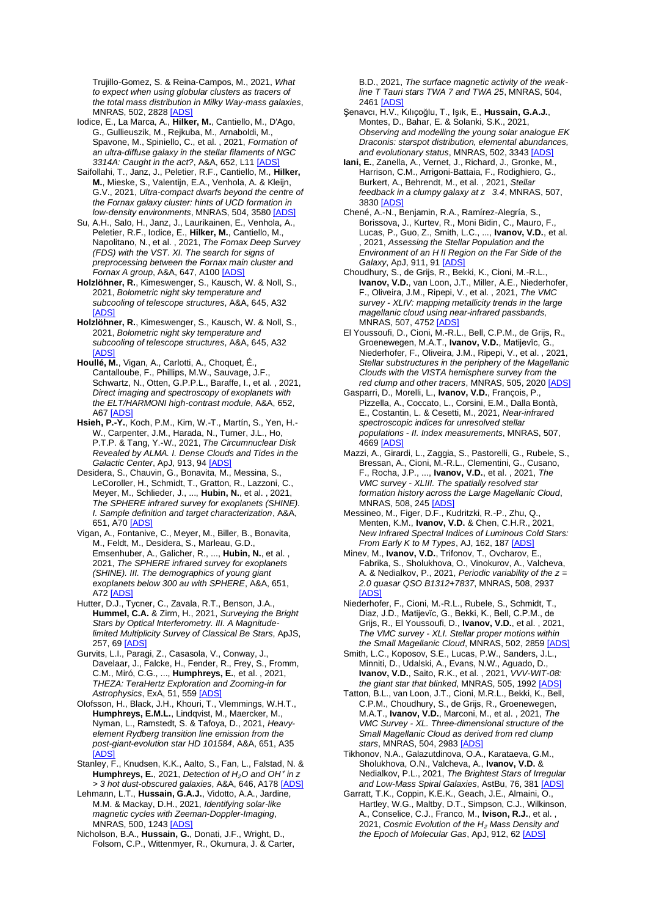Trujillo-Gomez, S. & Reina-Campos, M., 2021, *What to expect when using globular clusters as tracers of the total mass distribution in Milky Way-mass galaxies*, MNRAS, 502, 282[8 \[ADS\]](https://ui.adsabs.harvard.edu/#abs/2021MNRAS.502.2828H)

- Iodice, E., La Marca, A., **Hilker, M.**, Cantiello, M., D'Ago, G., Gullieuszik, M., Rejkuba, M., Arnaboldi, M., Spavone, M., Spiniello, C., et al. , 2021, *Formation of an ultra-diffuse galaxy in the stellar filaments of NGC 3314A: Caught in the act?*, A&A, 652, L11 [\[ADS\]](https://ui.adsabs.harvard.edu/#abs/2021A%26A...652L..11I)
- Saifollahi, T., Janz, J., Peletier, R.F., Cantiello, M., **Hilker, M.**, Mieske, S., Valentijn, E.A., Venhola, A. & Kleijn, G.V., 2021, *Ultra-compact dwarfs beyond the centre of the Fornax galaxy cluster: hints of UCD formation in low-density environments*, MNRAS, 504, 3580 [\[ADS\]](https://ui.adsabs.harvard.edu/#abs/2021MNRAS.504.3580S)
- Su, A.H., Salo, H., Janz, J., Laurikainen, E., Venhola, A., Peletier, R.F., Iodice, E., **Hilker, M.**, Cantiello, M., Napolitano, N., et al. , 2021, *The Fornax Deep Survey (FDS) with the VST. XI. The search for signs of preprocessing between the Fornax main cluster and Fornax A group*, A&A, 647, A10[0 \[ADS\]](https://ui.adsabs.harvard.edu/#abs/2021A%26A...647A.100S)
- **Holzlöhner, R.**, Kimeswenger, S., Kausch, W. & Noll, S., 2021, *Bolometric night sky temperature and subcooling of telescope structures*, A&A, 645, A32 [\[ADS\]](https://ui.adsabs.harvard.edu/#abs/2021A%26A...645A..32H)
- **Holzlöhner, R.**, Kimeswenger, S., Kausch, W. & Noll, S., 2021, *Bolometric night sky temperature and subcooling of telescope structures*, A&A, 645, A32 [\[ADS\]](https://ui.adsabs.harvard.edu/#abs/2021A%26A...645A..32H)
- **Houllé, M.**, Vigan, A., Carlotti, A., Choquet, É., Cantalloube, F., Phillips, M.W., Sauvage, J.F., Schwartz, N., Otten, G.P.P.L., Baraffe, I., et al. , 2021, *Direct imaging and spectroscopy of exoplanets with the ELT/HARMONI high-contrast module*, A&A, 652, A67 [ADS
- **Hsieh, P.-Y.**, Koch, P.M., Kim, W.-T., Martín, S., Yen, H.- W., Carpenter, J.M., Harada, N., Turner, J.L., Ho, P.T.P. & Tang, Y.-W., 2021, *The Circumnuclear Disk Revealed by ALMA. I. Dense Clouds and Tides in the Galactic Center*, ApJ, 913, 9[4 \[ADS\]](https://ui.adsabs.harvard.edu/#abs/2021ApJ...913...94H)
- Desidera, S., Chauvin, G., Bonavita, M., Messina, S., LeCoroller, H., Schmidt, T., Gratton, R., Lazzoni, C., Meyer, M., Schlieder, J., ..., **Hubin, N.**, et al. , 2021, *The SPHERE infrared survey for exoplanets (SHINE). I. Sample definition and target characterization*, A&A, 651, A7[0 \[ADS\]](https://ui.adsabs.harvard.edu/#abs/2021A%26A...651A..70D)
- Vigan, A., Fontanive, C., Meyer, M., Biller, B., Bonavita, M., Feldt, M., Desidera, S., Marleau, G.D., Emsenhuber, A., Galicher, R., ..., **Hubin, N.**, et al. , 2021, *The SPHERE infrared survey for exoplanets (SHINE). III. The demographics of young giant exoplanets below 300 au with SPHERE*, A&A, 651, A72 **[ADS]**
- Hutter, D.J., Tycner, C., Zavala, R.T., Benson, J.A., **Hummel, C.A.** & Zirm, H., 2021, *Surveying the Bright Stars by Optical Interferometry. III. A Magnitudelimited Multiplicity Survey of Classical Be Stars*, ApJS, 257, 69 **[ADS**
- Gurvits, L.I., Paragi, Z., Casasola, V., Conway, J., Davelaar, J., Falcke, H., Fender, R., Frey, S., Fromm, C.M., Miró, C.G., ..., **Humphreys, E.**, et al. , 2021, *THEZA: TeraHertz Exploration and Zooming-in for Astrophysics*, ExA, 51, 559 [\[ADS\]](https://ui.adsabs.harvard.edu/#abs/2021ExA....51..559G)
- Olofsson, H., Black, J.H., Khouri, T., Vlemmings, W.H.T., **Humphreys, E.M.L.**, Lindqvist, M., Maercker, M., Nyman, L., Ramstedt, S. & Tafoya, D., 2021, *Heavyelement Rydberg transition line emission from the post-giant-evolution star HD 101584*, A&A, 651, A35 [\[ADS\]](https://ui.adsabs.harvard.edu/#abs/2021A%26A...651A..35O)
- Stanley, F., Knudsen, K.K., Aalto, S., Fan, L., Falstad, N. & **Humphreys, E.**, 2021, *Detection of H*<sub>2</sub>O and OH<sup>+</sup> in z *> 3 hot dust-obscured galaxies*, A&A, 646, A178 [\[ADS\]](https://ui.adsabs.harvard.edu/#abs/2021A%26A...646A.178S)
- Lehmann, L.T., **Hussain, G.A.J.**, Vidotto, A.A., Jardine, M.M. & Mackay, D.H., 2021, *Identifying solar-like magnetic cycles with Zeeman-Doppler-Imaging*, MNRAS, 500, 1243 [ADS
- Nicholson, B.A., **Hussain, G.**, Donati, J.F., Wright, D., Folsom, C.P., Wittenmyer, R., Okumura, J. & Carter,

B.D., 2021, *The surface magnetic activity of the weakline T Tauri stars TWA 7 and TWA 25*, MNRAS, 504, 2461 [\[ADS\]](https://ui.adsabs.harvard.edu/#abs/2021MNRAS.504.2461N)

- Şenavcı, H.V., Kılıçoğlu, T., Işık, E., **Hussain, G.A.J.**, Montes, D., Bahar, E. & Solanki, S.K., 2021, *Observing and modelling the young solar analogue EK Draconis: starspot distribution, elemental abundances, and evolutionary status*, MNRAS, 502, 334[3 \[ADS\]](https://ui.adsabs.harvard.edu/#abs/2021MNRAS.502.3343S)
- **Iani, E.**, Zanella, A., Vernet, J., Richard, J., Gronke, M., Harrison, C.M., Arrigoni-Battaia, F., Rodighiero, G., Burkert, A., Behrendt, M., et al. , 2021, *Stellar feedback in a clumpy galaxy at z 3.4*, MNRAS, 507, 3830 **[ADS**]
- Chené, A.-N., Benjamin, R.A., Ramírez-Alegría, S., Borissova, J., Kurtev, R., Moni Bidin, C., Mauro, F., Lucas, P., Guo, Z., Smith, L.C., ..., **Ivanov, V.D.**, et al. , 2021, *Assessing the Stellar Population and the Environment of an H II Region on the Far Side of the Galaxy*, ApJ, 911, 9[1 \[ADS\]](https://ui.adsabs.harvard.edu/#abs/2021ApJ...911...91C)
- Choudhury, S., de Grijs, R., Bekki, K., Cioni, M.-R.L., **Ivanov, V.D.**, van Loon, J.T., Miller, A.E., Niederhofer, F., Oliveira, J.M., Ripepi, V., et al. , 2021, *The VMC survey - XLIV: mapping metallicity trends in the large magellanic cloud using near-infrared passbands*, MNRAS, 507, 475[2 \[ADS\]](https://ui.adsabs.harvard.edu/#abs/2021MNRAS.507.4752C)
- El Youssoufi, D., Cioni, M.-R.L., Bell, C.P.M., de Grijs, R., Groenewegen, M.A.T., **Ivanov, V.D.**, Matijevĭc, G., Niederhofer, F., Oliveira, J.M., Ripepi, V., et al. , 2021, *Stellar substructures in the periphery of the Magellanic Clouds with the VISTA hemisphere survey from the red clump and other tracers*, MNRAS, 505, 202[0 \[ADS\]](https://ui.adsabs.harvard.edu/#abs/2021MNRAS.505.2020E)
- Gasparri, D., Morelli, L., **Ivanov, V.D.**, François, P., Pizzella, A., Coccato, L., Corsini, E.M., Dalla Bontà, E., Costantin, L. & Cesetti, M., 2021, *Near-infrared spectroscopic indices for unresolved stellar populations - II. Index measurements*, MNRAS, 507, 4669 [\[ADS\]](https://ui.adsabs.harvard.edu/#abs/2021MNRAS.507.4669G)
- Mazzi, A., Girardi, L., Zaggia, S., Pastorelli, G., Rubele, S., Bressan, A., Cioni, M.-R.L., Clementini, G., Cusano, F., Rocha, J.P., ..., **Ivanov, V.D.**, et al. , 2021, *The VMC survey - XLIII. The spatially resolved star formation history across the Large Magellanic Cloud*, MNRAS, 508, 24[5 \[ADS\]](https://ui.adsabs.harvard.edu/#abs/2021MNRAS.508..245M)
- Messineo, M., Figer, D.F., Kudritzki, R.-P., Zhu, Q., Menten, K.M., **Ivanov, V.D.** & Chen, C.H.R., 2021, *New Infrared Spectral Indices of Luminous Cold Stars: From Early K to M Types*, AJ, 162, 187 [\[ADS\]](https://ui.adsabs.harvard.edu/#abs/2021AJ....162..187M)
- Minev, M., **Ivanov, V.D.**, Trifonov, T., Ovcharov, E., Fabrika, S., Sholukhova, O., Vinokurov, A., Valcheva, A. & Nedialkov, P., 2021, *Periodic variability of the z = 2.0 quasar QSO B1312+7837*, MNRAS, 508, 2937 [\[ADS\]](https://ui.adsabs.harvard.edu/#abs/2021MNRAS.508.2937M)
- Niederhofer, F., Cioni, M.-R.L., Rubele, S., Schmidt, T., Diaz, J.D., Matijevĭc, G., Bekki, K., Bell, C.P.M., de Grijs, R., El Youssoufi, D., **Ivanov, V.D.**, et al. , 2021, *The VMC survey - XLI. Stellar proper motions within the Small Magellanic Cloud*, MNRAS, 502, 285[9 \[ADS\]](https://ui.adsabs.harvard.edu/#abs/2021MNRAS.502.2859N)
- Smith, L.C., Koposov, S.E., Lucas, P.W., Sanders, J.L., Minniti, D., Udalski, A., Evans, N.W., Aguado, D., **Ivanov, V.D.**, Saito, R.K., et al. , 2021, *VVV-WIT-08:*  the giant star that blinked, MNRAS, 505, 1992 [ADS
- Tatton, B.L., van Loon, J.T., Cioni, M.R.L., Bekki, K., Bell, C.P.M., Choudhury, S., de Grijs, R., Groenewegen, M.A.T., **Ivanov, V.D.**, Marconi, M., et al. , 2021, *The VMC Survey - XL. Three-dimensional structure of the Small Magellanic Cloud as derived from red clump stars*, MNRAS, 504, 298[3 \[ADS\]](https://ui.adsabs.harvard.edu/#abs/2021MNRAS.504.2983T)
- Tikhonov, N.A., Galazutdinova, O.A., Karataeva, G.M., Sholukhova, O.N., Valcheva, A., **Ivanov, V.D.** & Nedialkov, P.L., 2021, *The Brightest Stars of Irregular and Low-Mass Spiral Galaxies*, AstBu, 76, 38[1 \[ADS\]](https://ui.adsabs.harvard.edu/#abs/2021AstBu..76..381T)
- Garratt, T.K., Coppin, K.E.K., Geach, J.E., Almaini, O., Hartley, W.G., Maltby, D.T., Simpson, C.J., Wilkinson, A., Conselice, C.J., Franco, M., **Ivison, R.J.**, et al. , 2021, *Cosmic Evolution of the H*<sup>₂</sup> *Mass Density and the Epoch of Molecular Gas*, ApJ, 912, 6[2 \[ADS\]](https://ui.adsabs.harvard.edu/#abs/2021ApJ...912...62G)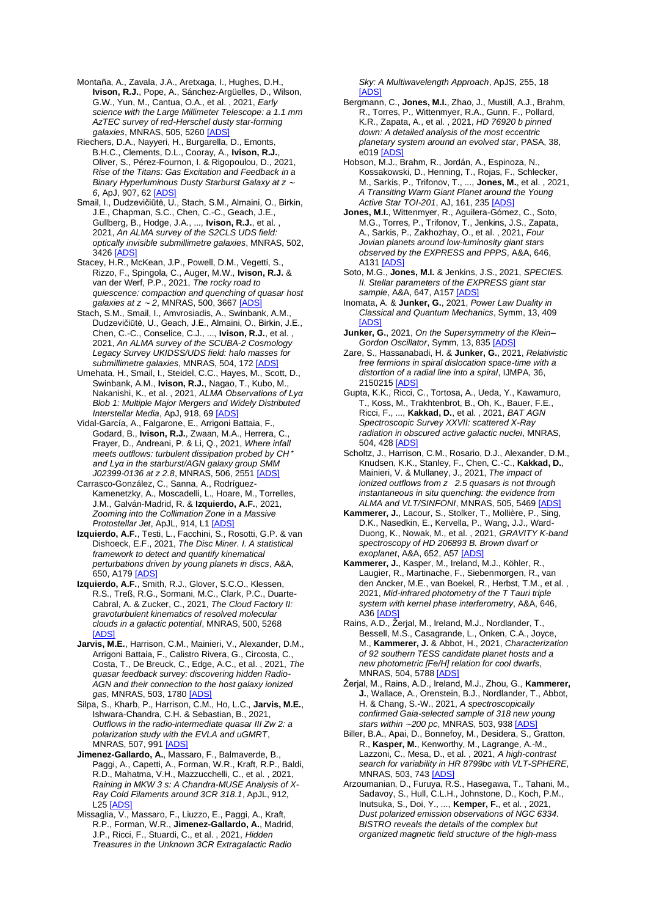Montaña, A., Zavala, J.A., Aretxaga, I., Hughes, D.H., **Ivison, R.J.**, Pope, A., Sánchez-Argüelles, D., Wilson, G.W., Yun, M., Cantua, O.A., et al. , 2021, *Early science with the Large Millimeter Telescope: a 1.1 mm AzTEC survey of red-Herschel dusty star-forming galaxies*, MNRAS, 505, 5260 [\[ADS\]](https://ui.adsabs.harvard.edu/#abs/2021MNRAS.505.5260M)

Riechers, D.A., Nayyeri, H., Burgarella, D., Emonts, B.H.C., Clements, D.L., Cooray, A., **Ivison, R.J.**, Oliver, S., Pérez-Fournon, I. & Rigopoulou, D., 2021, *Rise of the Titans: Gas Excitation and Feedback in a Binary Hyperluminous Dusty Starburst Galaxy at z* <sup>∼</sup> *6*, ApJ, 907, 62 [\[ADS\]](https://ui.adsabs.harvard.edu/#abs/2021ApJ...907...62R)

Smail, I., Dudzevičiūtė, U., Stach, S.M., Almaini, O., Birkin, J.E., Chapman, S.C., Chen, C.-C., Geach, J.E., Gullberg, B., Hodge, J.A., ..., **Ivison, R.J.**, et al. , 2021, *An ALMA survey of the S2CLS UDS field: optically invisible submillimetre galaxies*, MNRAS, 502, 3426 [\[ADS\]](https://ui.adsabs.harvard.edu/#abs/2021MNRAS.502.3426S)

Stacey, H.R., McKean, J.P., Powell, D.M., Vegetti, S., Rizzo, F., Spingola, C., Auger, M.W., **Ivison, R.J.** & van der Werf, P.P., 2021, *The rocky road to quiescence: compaction and quenching of quasar host galaxies at z* <sup>∼</sup> *2*, MNRAS, 500, 366[7 \[ADS\]](https://ui.adsabs.harvard.edu/#abs/2021MNRAS.500.3667S)

Stach, S.M., Smail, I., Amvrosiadis, A., Swinbank, A.M., Dudzevičiūtė, U., Geach, J.E., Almaini, O., Birkin, J.E., Chen, C.-C., Conselice, C.J., ..., **Ivison, R.J.**, et al. , 2021, *An ALMA survey of the SCUBA-2 Cosmology Legacy Survey UKIDSS/UDS field: halo masses for submillimetre galaxies*, MNRAS, 504, 172 [\[ADS\]](https://ui.adsabs.harvard.edu/#abs/2021MNRAS.504..172S)

Umehata, H., Smail, I., Steidel, C.C., Hayes, M., Scott, D., Swinbank, A.M., **Ivison, R.J.**, Nagao, T., Kubo, M., Nakanishi, K., et al. , 2021, *ALMA Observations of Lyα Blob 1: Multiple Major Mergers and Widely Distributed Interstellar Media*, ApJ, 918, 69 [\[ADS\]](https://ui.adsabs.harvard.edu/#abs/2021ApJ...918...69U)

Vidal-García, A., Falgarone, E., Arrigoni Battaia, F., Godard, B., **Ivison, R.J.**, Zwaan, M.A., Herrera, C., Frayer, D., Andreani, P. & Li, Q., 2021, *Where infall meets outflows: turbulent dissipation probed by CH*<sup>+</sup> *and Lyα in the starburst/AGN galaxy group SMM J02399-0136 at z 2.8*, MNRAS, 506, 2551 [\[ADS\]](https://ui.adsabs.harvard.edu/#abs/2021MNRAS.506.2551V)

Carrasco-González, C., Sanna, A., Rodríguez-Kamenetzky, A., Moscadelli, L., Hoare, M., Torrelles, J.M., Galván-Madrid, R. & **Izquierdo, A.F.**, 2021, *Zooming into the Collimation Zone in a Massive Protostellar Jet*, ApJL, 914, L[1 \[ADS\]](https://ui.adsabs.harvard.edu/#abs/2021ApJ...914L...1C)

**Izquierdo, A.F.**, Testi, L., Facchini, S., Rosotti, G.P. & van Dishoeck, E.F., 2021, *The Disc Miner. I. A statistical framework to detect and quantify kinematical perturbations driven by young planets in discs*, A&A, 650, A17[9 \[ADS\]](https://ui.adsabs.harvard.edu/#abs/2021A%26A...650A.179I)

**Izquierdo, A.F.**, Smith, R.J., Glover, S.C.O., Klessen, R.S., Treß, R.G., Sormani, M.C., Clark, P.C., Duarte-Cabral, A. & Zucker, C., 2021, *The Cloud Factory II: gravoturbulent kinematics of resolved molecular clouds in a galactic potential*, MNRAS, 500, 5268 **IADS** 

- **Jarvis, M.E.**, Harrison, C.M., Mainieri, V., Alexander, D.M., Arrigoni Battaia, F., Calistro Rivera, G., Circosta, C., Costa, T., De Breuck, C., Edge, A.C., et al. , 2021, *The quasar feedback survey: discovering hidden Radio-AGN and their connection to the host galaxy ionized gas*, MNRAS, 503, 178[0 \[ADS\]](https://ui.adsabs.harvard.edu/#abs/2021MNRAS.503.1780J)
- Silpa, S., Kharb, P., Harrison, C.M., Ho, L.C., **Jarvis, M.E.**, Ishwara-Chandra, C.H. & Sebastian, B., 2021, *Outflows in the radio-intermediate quasar III Zw 2: a polarization study with the EVLA and uGMRT*, MNRAS, 507, 99[1 \[ADS\]](https://ui.adsabs.harvard.edu/#abs/2021MNRAS.507..991S)

**Jimenez-Gallardo, A.**, Massaro, F., Balmaverde, B., Paggi, A., Capetti, A., Forman, W.R., Kraft, R.P., Baldi, R.D., Mahatma, V.H., Mazzucchelli, C., et al. , 2021, *Raining in MKW 3 s: A Chandra-MUSE Analysis of X-Ray Cold Filaments around 3CR 318.1*, ApJL, 912, **L25** [ADS]

Missaglia, V., Massaro, F., Liuzzo, E., Paggi, A., Kraft, R.P., Forman, W.R., **Jimenez-Gallardo, A.**, Madrid, J.P., Ricci, F., Stuardi, C., et al. , 2021, *Hidden Treasures in the Unknown 3CR Extragalactic Radio* 

*Sky: A Multiwavelength Approach*, ApJS, 255, 18 [\[ADS\]](https://ui.adsabs.harvard.edu/#abs/2021ApJS..255...18M)

- Bergmann, C., **Jones, M.I.**, Zhao, J., Mustill, A.J., Brahm, R., Torres, P., Wittenmyer, R.A., Gunn, F., Pollard, K.R., Zapata, A., et al. , 2021, *HD 76920 b pinned down: A detailed analysis of the most eccentric planetary system around an evolved star*, PASA, 38, e019 [ADS
- Hobson, M.J., Brahm, R., Jordán, A., Espinoza, N., Kossakowski, D., Henning, T., Rojas, F., Schlecker, M., Sarkis, P., Trifonov, T., ..., **Jones, M.**, et al. , 2021, *A Transiting Warm Giant Planet around the Young Active Star TOI-201*, AJ, 161, 23[5 \[ADS\]](https://ui.adsabs.harvard.edu/#abs/2021AJ....161..235H)

**Jones, M.I.**, Wittenmyer, R., Aguilera-Gómez, C., Soto, M.G., Torres, P., Trifonov, T., Jenkins, J.S., Zapata, A., Sarkis, P., Zakhozhay, O., et al. , 2021, *Four Jovian planets around low-luminosity giant stars observed by the EXPRESS and PPPS*, A&A, 646, A13[1 \[ADS\]](https://ui.adsabs.harvard.edu/#abs/2021A%26A...646A.131J)

- Soto, M.G., **Jones, M.I.** & Jenkins, J.S., 2021, *SPECIES. II. Stellar parameters of the EXPRESS giant star sample*, A&A, 647, A15[7 \[ADS\]](https://ui.adsabs.harvard.edu/#abs/2021A%26A...647A.157S)
- Inomata, A. & **Junker, G.**, 2021, *Power Law Duality in Classical and Quantum Mechanics*, Symm, 13, 409 [\[ADS\]](https://ui.adsabs.harvard.edu/#abs/2021Symm...13..409I)
- **Junker, G.**, 2021, *On the Supersymmetry of the Klein– Gordon Oscillator*, Symm, 13, 83[5 \[ADS\]](https://ui.adsabs.harvard.edu/#abs/2021Symm...13..835J)
- Zare, S., Hassanabadi, H. & **Junker, G.**, 2021, *Relativistic free fermions in spiral dislocation space-time with a distortion of a radial line into a spiral*, IJMPA, 36, 215021[5 \[ADS\]](https://ui.adsabs.harvard.edu/#abs/2021IJMPA..3650215Z)

Gupta, K.K., Ricci, C., Tortosa, A., Ueda, Y., Kawamuro, T., Koss, M., Trakhtenbrot, B., Oh, K., Bauer, F.E., Ricci, F., ..., **Kakkad, D.**, et al. , 2021, *BAT AGN Spectroscopic Survey XXVII: scattered X-Ray radiation in obscured active galactic nuclei*, MNRAS, 504, 42[8 \[ADS\]](https://ui.adsabs.harvard.edu/#abs/2021MNRAS.504..428G)

Scholtz, J., Harrison, C.M., Rosario, D.J., Alexander, D.M., Knudsen, K.K., Stanley, F., Chen, C.-C., **Kakkad, D.**, Mainieri, V. & Mullaney, J., 2021, *The impact of ionized outflows from z 2.5 quasars is not through instantaneous in situ quenching: the evidence from*  ALMA and VLT/SINFONI, MNRAS, 505, 546[9 \[ADS\]](https://ui.adsabs.harvard.edu/#abs/2021MNRAS.505.5469S)

**Kammerer, J.**, Lacour, S., Stolker, T., Mollière, P., Sing, D.K., Nasedkin, E., Kervella, P., Wang, J.J., Ward-Duong, K., Nowak, M., et al. , 2021, *GRAVITY K-band spectroscopy of HD 206893 B. Brown dwarf or exoplanet*, A&A, 652, A5[7 \[ADS\]](https://ui.adsabs.harvard.edu/#abs/2021A%26A...652A..57K)

- **Kammerer, J.**, Kasper, M., Ireland, M.J., Köhler, R., Laugier, R., Martinache, F., Siebenmorgen, R., van den Ancker, M.E., van Boekel, R., Herbst, T.M., et al. , 2021, *Mid-infrared photometry of the T Tauri triple system with kernel phase interferometry*, A&A, 646, A3[6 \[ADS\]](https://ui.adsabs.harvard.edu/#abs/2021A%26A...646A..36K)
- Rains, A.D., Žerjal, M., Ireland, M.J., Nordlander, T., Bessell, M.S., Casagrande, L., Onken, C.A., Joyce, M., **Kammerer, J.** & Abbot, H., 2021, *Characterization of 92 southern TESS candidate planet hosts and a new photometric [Fe/H] relation for cool dwarfs*, MNRAS, 504, 578[8 \[ADS\]](https://ui.adsabs.harvard.edu/#abs/2021MNRAS.504.5788R)
- Žerjal, M., Rains, A.D., Ireland, M.J., Zhou, G., **Kammerer, J.**, Wallace, A., Orenstein, B.J., Nordlander, T., Abbot, H. & Chang, S.-W., 2021, *A spectroscopically confirmed Gaia-selected sample of 318 new young stars within* ∼*200 pc*, MNRAS, 503, 93[8 \[ADS\]](https://ui.adsabs.harvard.edu/#abs/2021MNRAS.503..938Z)
- Biller, B.A., Apai, D., Bonnefoy, M., Desidera, S., Gratton, R., **Kasper, M.**, Kenworthy, M., Lagrange, A.-M., Lazzoni, C., Mesa, D., et al. , 2021, *A high-contrast search for variability in HR 8799bc with VLT-SPHERE*, MNRAS, 503, 74[3 \[ADS\]](https://ui.adsabs.harvard.edu/#abs/2021MNRAS.503..743B)
- Arzoumanian, D., Furuya, R.S., Hasegawa, T., Tahani, M., Sadavoy, S., Hull, C.L.H., Johnstone, D., Koch, P.M., Inutsuka, S., Doi, Y., ..., **Kemper, F.**, et al. , 2021, *Dust polarized emission observations of NGC 6334. BISTRO reveals the details of the complex but organized magnetic field structure of the high-mass*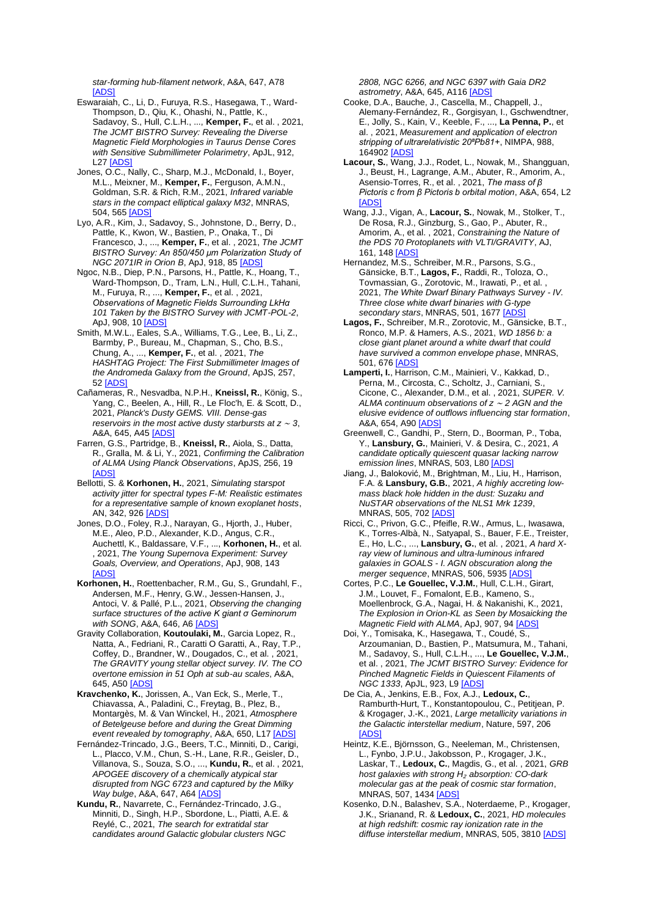*star-forming hub-filament network*, A&A, 647, A78 [\[ADS\]](https://ui.adsabs.harvard.edu/#abs/2021A%26A...647A..78A)

- Eswaraiah, C., Li, D., Furuya, R.S., Hasegawa, T., Ward-Thompson, D., Qiu, K., Ohashi, N., Pattle, K., Sadavoy, S., Hull, C.L.H., ..., **Kemper, F.**, et al. , 2021, *The JCMT BISTRO Survey: Revealing the Diverse Magnetic Field Morphologies in Taurus Dense Cores with Sensitive Submillimeter Polarimetry*, ApJL, 912, L2[7 \[ADS\]](https://ui.adsabs.harvard.edu/#abs/2021ApJ...912L..27E)
- Jones, O.C., Nally, C., Sharp, M.J., McDonald, I., Boyer, M.L., Meixner, M., **Kemper, F.**, Ferguson, A.M.N., Goldman, S.R. & Rich, R.M., 2021, *Infrared variable stars in the compact elliptical galaxy M32*, MNRAS, 504, 56[5 \[ADS\]](https://ui.adsabs.harvard.edu/#abs/2021MNRAS.504..565J)
- Lyo, A.R., Kim, J., Sadavoy, S., Johnstone, D., Berry, D., Pattle, K., Kwon, W., Bastien, P., Onaka, T., Di Francesco, J., ..., **Kemper, F.**, et al. , 2021, *The JCMT BISTRO Survey: An 850/450 μm Polarization Study of NGC 2071IR in Orion B*, ApJ, 918, 8[5 \[ADS\]](https://ui.adsabs.harvard.edu/#abs/2021ApJ...918...85L)
- Ngoc, N.B., Diep, P.N., Parsons, H., Pattle, K., Hoang, T., Ward-Thompson, D., Tram, L.N., Hull, C.L.H., Tahani, M., Furuya, R., ..., **Kemper, F.**, et al. , 2021, *Observations of Magnetic Fields Surrounding LkHα 101 Taken by the BISTRO Survey with JCMT-POL-2*, ApJ, 908, 10 [ADS
- Smith, M.W.L., Eales, S.A., Williams, T.G., Lee, B., Li, Z., Barmby, P., Bureau, M., Chapman, S., Cho, B.S., Chung, A., ..., **Kemper, F.**, et al. , 2021, *The HASHTAG Project: The First Submillimeter Images of the Andromeda Galaxy from the Ground*, ApJS, 257, 52 [\[ADS\]](https://ui.adsabs.harvard.edu/#abs/2021ApJS..257...52S)
- Cañameras, R., Nesvadba, N.P.H., **Kneissl, R.**, König, S., Yang, C., Beelen, A., Hill, R., Le Floc'h, E. & Scott, D., 2021, *Planck's Dusty GEMS. VIII. Dense-gas reservoirs in the most active dusty starbursts at z* <sup>∼</sup> *3*, A&A, 645, A4[5 \[ADS\]](https://ui.adsabs.harvard.edu/#abs/2021A%26A...645A..45C)
- Farren, G.S., Partridge, B., **Kneissl, R.**, Aiola, S., Datta, R., Gralla, M. & Li, Y., 2021, *Confirming the Calibration of ALMA Using Planck Observations*, ApJS, 256, 19 [\[ADS\]](https://ui.adsabs.harvard.edu/#abs/2021ApJS..256...19F)
- Bellotti, S. & **Korhonen, H.**, 2021, *Simulating starspot activity jitter for spectral types F-M: Realistic estimates for a representative sample of known exoplanet hosts*, AN, 342, 926 [ADS
- Jones, D.O., Foley, R.J., Narayan, G., Hjorth, J., Huber, M.E., Aleo, P.D., Alexander, K.D., Angus, C.R., Auchettl, K., Baldassare, V.F., ..., **Korhonen, H.**, et al. , 2021, *The Young Supernova Experiment: Survey Goals, Overview, and Operations*, ApJ, 908, 143 [\[ADS\]](https://ui.adsabs.harvard.edu/#abs/2021ApJ...908..143J)
- **Korhonen, H.**, Roettenbacher, R.M., Gu, S., Grundahl, F., Andersen, M.F., Henry, G.W., Jessen-Hansen, J., Antoci, V. & Pallé, P.L., 2021, *Observing the changing surface structures of the active K giant σ Geminorum with SONG*, A&A, 646, A[6 \[ADS\]](https://ui.adsabs.harvard.edu/#abs/2021A%26A...646A...6K)
- Gravity Collaboration, **Koutoulaki, M.**, Garcia Lopez, R., Natta, A., Fedriani, R., Caratti O Garatti, A., Ray, T.P., Coffey, D., Brandner, W., Dougados, C., et al. , 2021, *The GRAVITY young stellar object survey. IV. The CO overtone emission in 51 Oph at sub-au scales*, A&A, 645, A5[0 \[ADS\]](https://ui.adsabs.harvard.edu/#abs/2021A%26A...645A..50G)
- **Kravchenko, K.**, Jorissen, A., Van Eck, S., Merle, T., Chiavassa, A., Paladini, C., Freytag, B., Plez, B., Montargès, M. & Van Winckel, H., 2021, *Atmosphere of Betelgeuse before and during the Great Dimming event revealed by tomography*, A&A, 650, L17 [\[ADS\]](https://ui.adsabs.harvard.edu/#abs/2021A%26A...650L..17K)
- Fernández-Trincado, J.G., Beers, T.C., Minniti, D., Carigi, L., Placco, V.M., Chun, S.-H., Lane, R.R., Geisler, D., Villanova, S., Souza, S.O., ..., **Kundu, R.**, et al. , 2021, *APOGEE discovery of a chemically atypical star disrupted from NGC 6723 and captured by the Milky Way bulge*, A&A, 647, A64 [\[ADS\]](https://ui.adsabs.harvard.edu/#abs/2021A%26A...647A..64F)
- **Kundu, R.**, Navarrete, C., Fernández-Trincado, J.G., Minniti, D., Singh, H.P., Sbordone, L., Piatti, A.E. & Reylé, C., 2021, *The search for extratidal star candidates around Galactic globular clusters NGC*

*2808, NGC 6266, and NGC 6397 with Gaia DR2 astrometry*, A&A, 645, A11[6 \[ADS\]](https://ui.adsabs.harvard.edu/#abs/2021A%26A...645A.116K)

- Cooke, D.A., Bauche, J., Cascella, M., Chappell, J., Alemany-Fernández, R., Gorgisyan, I., Gschwendtner, E., Jolly, S., Kain, V., Keeble, F., ..., **La Penna, P.**, et al. , 2021, *Measurement and application of electron stripping of ultrarelativistic 20⁸Pb81+*, NIMPA, 988, 16490[2 \[ADS\]](https://ui.adsabs.harvard.edu/#abs/2021NIMPA.98864902C)
- **Lacour, S.**, Wang, J.J., Rodet, L., Nowak, M., Shangguan, J., Beust, H., Lagrange, A.M., Abuter, R., Amorim, A., Asensio-Torres, R., et al. , 2021, *The mass of β Pictoris c from β Pictoris b orbital motion*, A&A, 654, L2 [\[ADS\]](https://ui.adsabs.harvard.edu/#abs/2021A%26A...654L...2L)
- Wang, J.J., Vigan, A., **Lacour, S.**, Nowak, M., Stolker, T., De Rosa, R.J., Ginzburg, S., Gao, P., Abuter, R., Amorim, A., et al. , 2021, *Constraining the Nature of the PDS 70 Protoplanets with VLTI/GRAVITY*, AJ, 161, 14[8 \[ADS\]](https://ui.adsabs.harvard.edu/#abs/2021AJ....161..148W)
- Hernandez, M.S., Schreiber, M.R., Parsons, S.G., Gänsicke, B.T., **Lagos, F.**, Raddi, R., Toloza, O., Tovmassian, G., Zorotovic, M., Irawati, P., et al. , 2021, *The White Dwarf Binary Pathways Survey - IV. Three close white dwarf binaries with G-type*  secondary stars, MNRAS, 501, 1677 [AD
- **Lagos, F.**, Schreiber, M.R., Zorotovic, M., Gänsicke, B.T., Ronco, M.P. & Hamers, A.S., 2021, *WD 1856 b: a close giant planet around a white dwarf that could have survived a common envelope phase*, MNRAS, 501, 67[6 \[ADS\]](https://ui.adsabs.harvard.edu/#abs/2021MNRAS.501..676L)
- **Lamperti, I.**, Harrison, C.M., Mainieri, V., Kakkad, D., Perna, M., Circosta, C., Scholtz, J., Carniani, S. Cicone, C., Alexander, D.M., et al. , 2021, *SUPER. V. ALMA continuum observations of z* <sup>∼</sup> *2 AGN and the elusive evidence of outflows influencing star formation*, A&A, 654, A90 [AD
- Greenwell, C., Gandhi, P., Stern, D., Boorman, P., Toba, Y., **Lansbury, G.**, Mainieri, V. & Desira, C., 2021, *A candidate optically quiescent quasar lacking narrow*  emission lines, MNRAS, 503, L8[0 \[ADS\]](https://ui.adsabs.harvard.edu/#abs/2021MNRAS.503L..80G)
- Jiang, J., Baloković, M., Brightman, M., Liu, H., Harrison, F.A. & **Lansbury, G.B.**, 2021, *A highly accreting lowmass black hole hidden in the dust: Suzaku and NuSTAR observations of the NLS1 Mrk 1239*, MNRAS, 505, 70[2 \[ADS\]](https://ui.adsabs.harvard.edu/#abs/2021MNRAS.505..702J)
- Ricci, C., Privon, G.C., Pfeifle, R.W., Armus, L., Iwasawa, K., Torres-Albà, N., Satyapal, S., Bauer, F.E., Treister, E., Ho, L.C., ..., **Lansbury, G.**, et al. , 2021, *A hard Xray view of luminous and ultra-luminous infrared galaxies in GOALS - I. AGN obscuration along the merger sequence*, MNRAS, 506, 593[5 \[ADS\]](https://ui.adsabs.harvard.edu/#abs/2021MNRAS.506.5935R)
- Cortes, P.C., **Le Gouellec, V.J.M.**, Hull, C.L.H., Girart, J.M., Louvet, F., Fomalont, E.B., Kameno, S. Moellenbrock, G.A., Nagai, H. & Nakanishi, K., 2021, *The Explosion in Orion-KL as Seen by Mosaicking the Magnetic Field with ALMA*, ApJ, 907, 94 [\[ADS\]](https://ui.adsabs.harvard.edu/#abs/2021ApJ...907...94C)
- Doi, Y., Tomisaka, K., Hasegawa, T., Coudé, S., Arzoumanian, D., Bastien, P., Matsumura, M., Tahani, M., Sadavoy, S., Hull, C.L.H., ..., **Le Gouellec, V.J.M.**, et al. , 2021, *The JCMT BISTRO Survey: Evidence for Pinched Magnetic Fields in Quiescent Filaments of NGC 1333*, ApJL, 923, L[9 \[ADS\]](https://ui.adsabs.harvard.edu/#abs/2021ApJ...923L...9D)
- De Cia, A., Jenkins, E.B., Fox, A.J., **Ledoux, C.**, Ramburth-Hurt, T., Konstantopoulou, C., Petitjean, P. & Krogager, J.-K., 2021, *Large metallicity variations in the Galactic interstellar medium*, Nature, 597, 206 [\[ADS\]](https://ui.adsabs.harvard.edu/#abs/2021Natur.597..206D)
- Heintz, K.E., Björnsson, G., Neeleman, M., Christensen, L., Fynbo, J.P.U., Jakobsson, P., Krogager, J.K., Laskar, T., **Ledoux, C.**, Magdis, G., et al. , 2021, *GRB host galaxies with strong H*<sup>₂</sup> *absorption: CO-dark molecular gas at the peak of cosmic star formation*, MNRAS, 507, 143[4 \[ADS\]](https://ui.adsabs.harvard.edu/#abs/2021MNRAS.507.1434H)
- Kosenko, D.N., Balashev, S.A., Noterdaeme, P., Krogager, J.K., Srianand, R. & **Ledoux, C.**, 2021, *HD molecules at high redshift: cosmic ray ionization rate in the diffuse interstellar medium*, MNRAS, 505, 381[0 \[ADS\]](https://ui.adsabs.harvard.edu/#abs/2021MNRAS.505.3810K)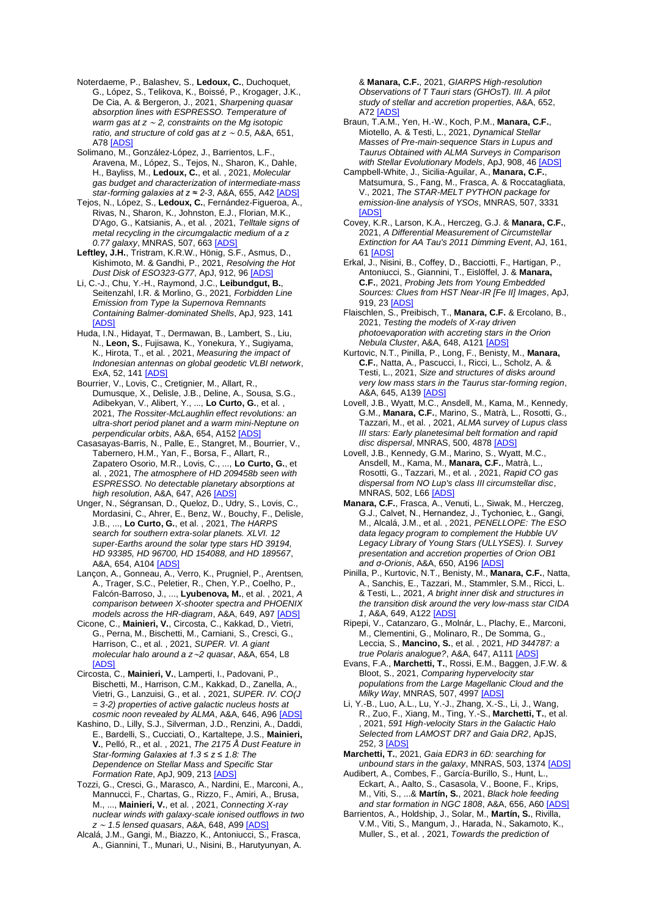Noterdaeme, P., Balashev, S., **Ledoux, C.**, Duchoquet, G., López, S., Telikova, K., Boissé, P., Krogager, J.K., De Cia, A. & Bergeron, J., 2021, *Sharpening quasar absorption lines with ESPRESSO. Temperature of warm gas at z* <sup>∼</sup> *2, constraints on the Mg isotopic ratio, and structure of cold gas at z* <sup>∼</sup> *0.5*, A&A, 651, A7[8 \[ADS\]](https://ui.adsabs.harvard.edu/#abs/2021A%26A...651A..78N)

Solimano, M., González-López, J., Barrientos, L.F. Aravena, M., López, S., Tejos, N., Sharon, K., Dahle, H., Bayliss, M., **Ledoux, C.**, et al. , 2021, *Molecular gas budget and characterization of intermediate-mass star-forming galaxies at z* ≈ 2-3, A&A, 655, A42 [\[ADS\]](https://ui.adsabs.harvard.edu/#abs/2021A%26A...655A..42S)

Tejos, N., López, S., **Ledoux, C.**, Fernández-Figueroa, A., Rivas, N., Sharon, K., Johnston, E.J., Florian, M.K., D'Ago, G., Katsianis, A., et al. , 2021, *Telltale signs of metal recycling in the circumgalactic medium of a z 0.77 galaxy*, MNRAS, 507, 663 [\[ADS\]](https://ui.adsabs.harvard.edu/#abs/2021MNRAS.507..663T)

**Leftley, J.H.**, Tristram, K.R.W., Hönig, S.F., Asmus, D., Kishimoto, M. & Gandhi, P., 2021, *Resolving the Hot Dust Disk of ESO323-G77*, ApJ, 912, 96 [\[ADS\]](https://ui.adsabs.harvard.edu/#abs/2021ApJ...912...96L)

Li, C.-J., Chu, Y.-H., Raymond, J.C., **Leibundgut, B.**, Seitenzahl, I.R. & Morlino, G., 2021, *Forbidden Line Emission from Type Ia Supernova Remnants Containing Balmer-dominated Shells*, ApJ, 923, 141 [\[ADS\]](https://ui.adsabs.harvard.edu/#abs/2021ApJ...923..141L)

Huda, I.N., Hidayat, T., Dermawan, B., Lambert, S., Liu, N., **Leon, S.**, Fujisawa, K., Yonekura, Y., Sugiyama, K., Hirota, T., et al. , 2021, *Measuring the impact of Indonesian antennas on global geodetic VLBI network*, ExA, 52, 141 [\[ADS\]](https://ui.adsabs.harvard.edu/#abs/2021ExA....52..141H)

Bourrier, V., Lovis, C., Cretignier, M., Allart, R., Dumusque, X., Delisle, J.B., Deline, A., Sousa, S.G., Adibekyan, V., Alibert, Y., ..., **Lo Curto, G.**, et al. , 2021, *The Rossiter-McLaughlin effect revolutions: an ultra-short period planet and a warm mini-Neptune on perpendicular orbits*, A&A, 654, A152 [\[ADS\]](https://ui.adsabs.harvard.edu/#abs/2021A%26A...654A.152B)

Casasayas-Barris, N., Palle, E., Stangret, M., Bourrier, V., Tabernero, H.M., Yan, F., Borsa, F., Allart, R., Zapatero Osorio, M.R., Lovis, C., ..., **Lo Curto, G.**, et al. , 2021, *The atmosphere of HD 209458b seen with ESPRESSO. No detectable planetary absorptions at high resolution*, A&A, 647, A2[6 \[ADS\]](https://ui.adsabs.harvard.edu/#abs/2021A%26A...647A..26C)

Unger, N., Ségransan, D., Queloz, D., Udry, S., Lovis, C., Mordasini, C., Ahrer, E., Benz, W., Bouchy, F., Delisle, J.B., ..., **Lo Curto, G.**, et al. , 2021, *The HARPS search for southern extra-solar planets. XLVI. 12 super-Earths around the solar type stars HD 39194, HD 93385, HD 96700, HD 154088, and HD 189567*, A&A, 654, A104 [\[ADS\]](https://ui.adsabs.harvard.edu/#abs/2021A%26A...654A.104U)

Lançon, A., Gonneau, A., Verro, K., Prugniel, P., Arentsen, A., Trager, S.C., Peletier, R., Chen, Y.P., Coelho, P., Falcón-Barroso, J., ..., **Lyubenova, M.**, et al. , 2021, *A comparison between X-shooter spectra and PHOENIX models across the HR-diagram*, A&A, 649, A9[7 \[ADS\]](https://ui.adsabs.harvard.edu/#abs/2021A%26A...649A..97L)

Cicone, C., **Mainieri, V.**, Circosta, C., Kakkad, D., Vietri, G., Perna, M., Bischetti, M., Carniani, S., Cresci, G., Harrison, C., et al. , 2021, *SUPER. VI. A giant molecular halo around a z*∼*2 quasar*, A&A, 654, L8 [\[ADS\]](https://ui.adsabs.harvard.edu/#abs/2021A%26A...654L...8C)

Circosta, C., **Mainieri, V.**, Lamperti, I., Padovani, P., Bischetti, M., Harrison, C.M., Kakkad, D., Zanella, A., Vietri, G., Lanzuisi, G., et al. , 2021, *SUPER. IV. CO(J = 3-2) properties of active galactic nucleus hosts at cosmic noon revealed by ALMA*, A&A, 646, A9[6 \[ADS\]](https://ui.adsabs.harvard.edu/#abs/2021A%26A...646A..96C)

Kashino, D., Lilly, S.J., Silverman, J.D., Renzini, A., Daddi, E., Bardelli, S., Cucciati, O., Kartaltepe, J.S., **Mainieri, V.**, Pelló, R., et al. , 2021, *The 2175 Å Dust Feature in Star-forming Galaxies at 1.3 ≤ z ≤ 1.8: The Dependence on Stellar Mass and Specific Star Formation Rate*, ApJ, 909, 21[3 \[ADS\]](https://ui.adsabs.harvard.edu/#abs/2021ApJ...909..213K)

Tozzi, G., Cresci, G., Marasco, A., Nardini, E., Marconi, A., Mannucci, F., Chartas, G., Rizzo, F., Amiri, A., Brusa, M., ..., **Mainieri, V.**, et al. , 2021, *Connecting X-ray nuclear winds with galaxy-scale ionised outflows in two z* <sup>∼</sup> *1.5 lensed quasars*, A&A, 648, A99 [\[ADS\]](https://ui.adsabs.harvard.edu/#abs/2021A%26A...648A..99T)

Alcalá, J.M., Gangi, M., Biazzo, K., Antoniucci, S., Frasca, A., Giannini, T., Munari, U., Nisini, B., Harutyunyan, A.

& **Manara, C.F.**, 2021, *GIARPS High-resolution Observations of T Tauri stars (GHOsT). III. A pilot study of stellar and accretion properties*, A&A, 652, A7[2 \[ADS\]](https://ui.adsabs.harvard.edu/#abs/2021A%26A...652A..72A)

Braun, T.A.M., Yen, H.-W., Koch, P.M., **Manara, C.F.**, Miotello, A. & Testi, L., 2021, *Dynamical Stellar Masses of Pre-main-sequence Stars in Lupus and Taurus Obtained with ALMA Surveys in Comparison with Stellar Evolutionary Models*, ApJ, 908, 4[6 \[ADS\]](https://ui.adsabs.harvard.edu/#abs/2021ApJ...908...46B)

Campbell-White, J., Sicilia-Aguilar, A., **Manara, C.F.**, Matsumura, S., Fang, M., Frasca, A. & Roccatagliata, V., 2021, *The STAR-MELT PYTHON package for emission-line analysis of YSOs*, MNRAS, 507, 3331 **[ADS** 

Covey, K.R., Larson, K.A., Herczeg, G.J. & **Manara, C.F.**, 2021, *A Differential Measurement of Circumstellar Extinction for AA Tau's 2011 Dimming Event*, AJ, 161, 61 [\[ADS\]](https://ui.adsabs.harvard.edu/#abs/2021AJ....161...61C)

Erkal, J., Nisini, B., Coffey, D., Bacciotti, F., Hartigan, P., Antoniucci, S., Giannini, T., Eislöffel, J. & **Manara, C.F.**, 2021, *Probing Jets from Young Embedded Sources: Clues from HST Near-IR [Fe II] Images*, ApJ, 919, 2[3 \[ADS\]](https://ui.adsabs.harvard.edu/#abs/2021ApJ...919...23E)

Flaischlen, S., Preibisch, T., **Manara, C.F.** & Ercolano, B., 2021, *Testing the models of X-ray driven photoevaporation with accreting stars in the Orion Nebula Cluster*, A&A, 648, A12[1 \[ADS\]](https://ui.adsabs.harvard.edu/#abs/2021A%26A...648A.121F)

Kurtovic, N.T., Pinilla, P., Long, F., Benisty, M., **Manara, C.F.**, Natta, A., Pascucci, I., Ricci, L., Scholz, A. & Testi, L., 2021, *Size and structures of disks around very low mass stars in the Taurus star-forming region*, A&A, 645, A139 [\[ADS\]](https://ui.adsabs.harvard.edu/#abs/2021A%26A...645A.139K)

Lovell, J.B., Wyatt, M.C., Ansdell, M., Kama, M., Kennedy, G.M., **Manara, C.F.**, Marino, S., Matrà, L., Rosotti, G., Tazzari, M., et al. , 2021, *ALMA survey of Lupus class III stars: Early planetesimal belt formation and rapid disc dispersal*, MNRAS, 500, 4878 [\[ADS\]](https://ui.adsabs.harvard.edu/#abs/2021MNRAS.500.4878L)

Lovell, J.B., Kennedy, G.M., Marino, S., Wyatt, M.C., Ansdell, M., Kama, M., **Manara, C.F.**, Matrà, L., Rosotti, G., Tazzari, M., et al. , 2021, *Rapid CO gas dispersal from NO Lup's class III circumstellar disc*, MNRAS, 502, L6[6 \[ADS\]](https://ui.adsabs.harvard.edu/#abs/2021MNRAS.502L..66L)

**Manara, C.F.**, Frasca, A., Venuti, L., Siwak, M., Herczeg, G.J., Calvet, N., Hernandez, J., Tychoniec, Ł., Gangi, M., Alcalá, J.M., et al. , 2021, *PENELLOPE: The ESO data legacy program to complement the Hubble UV Legacy Library of Young Stars (ULLYSES). I. Survey presentation and accretion properties of Orion OB1 and σ-Orionis*, A&A, 650, A196 [ADS

Pinilla, P., Kurtovic, N.T., Benisty, M., **Manara, C.F.**, Natta, A., Sanchis, E., Tazzari, M., Stammler, S.M., Ricci, L. & Testi, L., 2021, *A bright inner disk and structures in the transition disk around the very low-mass star CIDA 1*, A&A, 649, A122 [\[ADS\]](https://ui.adsabs.harvard.edu/#abs/2021A%26A...649A.122P)

Ripepi, V., Catanzaro, G., Molnár, L., Plachy, E., Marconi, M., Clementini, G., Molinaro, R., De Somma, G., Leccia, S., **Mancino, S.**, et al. , 2021, *HD 344787: a true Polaris analogue?*, A&A, 647, A11[1 \[ADS\]](https://ui.adsabs.harvard.edu/#abs/2021A%26A...647A.111R)

Evans, F.A., **Marchetti, T.**, Rossi, E.M., Baggen, J.F.W. & Bloot, S., 2021, *Comparing hypervelocity star populations from the Large Magellanic Cloud and the Milky Way*, MNRAS, 507, 4997 [\[ADS\]](https://ui.adsabs.harvard.edu/#abs/2021MNRAS.507.4997E)

Li, Y.-B., Luo, A.L., Lu, Y.-J., Zhang, X.-S., Li, J., Wang, R., Zuo, F., Xiang, M., Ting, Y.-S., **Marchetti, T.**, et al. , 2021, *591 High-velocity Stars in the Galactic Halo Selected from LAMOST DR7 and Gaia DR2*, ApJS, 252, [3 \[ADS\]](https://ui.adsabs.harvard.edu/#abs/2021ApJS..252....3L)

**Marchetti, T.**, 2021, *Gaia EDR3 in 6D: searching for unbound stars in the galaxy*, MNRAS, 503, 137[4 \[ADS\]](https://ui.adsabs.harvard.edu/#abs/2021MNRAS.503.1374M)

Audibert, A., Combes, F., García-Burillo, S., Hunt, L., Eckart, A., Aalto, S., Casasola, V., Boone, F., Krips, M., Viti, S., ...& **Martín, S.**, 2021, *Black hole feeding and star formation in NGC 1808*, A&A, 656, A60 [\[ADS\]](https://ui.adsabs.harvard.edu/#abs/2021A%26A...656A..60A)

Barrientos, A., Holdship, J., Solar, M., **Martín, S.**, Rivilla, V.M., Viti, S., Mangum, J., Harada, N., Sakamoto, K., Muller, S., et al. , 2021, *Towards the prediction of*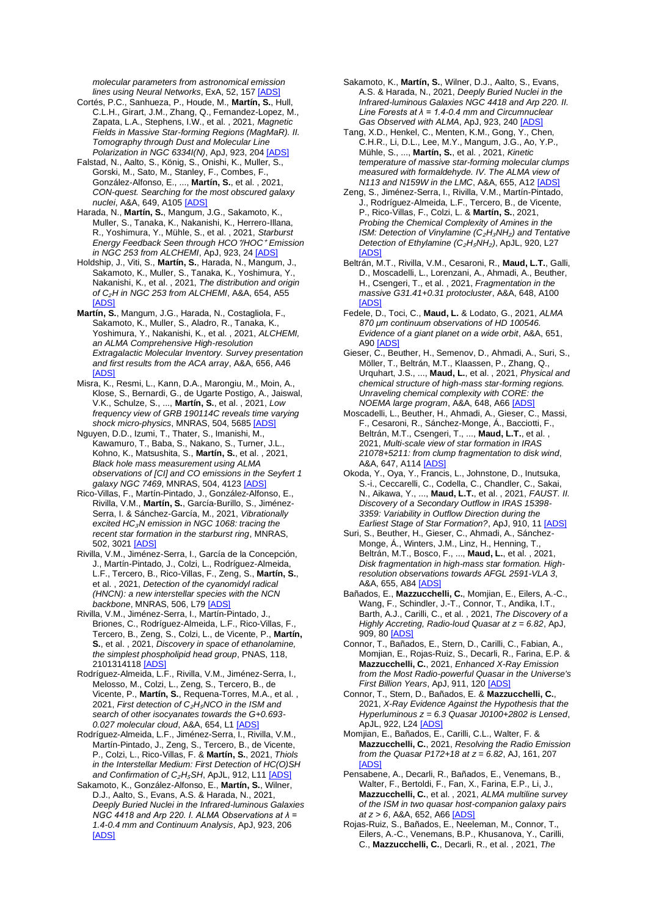*molecular parameters from astronomical emission lines using Neural Networks*, ExA, 52, 15[7 \[ADS\]](https://ui.adsabs.harvard.edu/#abs/2021ExA....52..157B)

- Cortés, P.C., Sanhueza, P., Houde, M., **Martín, S.**, Hull, C.L.H., Girart, J.M., Zhang, Q., Fernandez-Lopez, M., Zapata, L.A., Stephens, I.W., et al. , 2021, *Magnetic Fields in Massive Star-forming Regions (MagMaR). II. Tomography through Dust and Molecular Line Polarization in NGC 6334I(N)*, ApJ, 923, 20[4 \[ADS\]](https://ui.adsabs.harvard.edu/#abs/2021ApJ...923..204C)
- Falstad, N., Aalto, S., König, S., Onishi, K., Muller, S., Gorski, M., Sato, M., Stanley, F., Combes, F., González-Alfonso, E., ..., **Martín, S.**, et al. , 2021, *CON-quest. Searching for the most obscured galaxy nuclei*, A&A, 649, A10[5 \[ADS\]](https://ui.adsabs.harvard.edu/#abs/2021A%26A...649A.105F)
- Harada, N., **Martín, S.**, Mangum, J.G., Sakamoto, K., Muller, S., Tanaka, K., Nakanishi, K., Herrero-Illana, R., Yoshimura, Y., Mühle, S., et al. , 2021, *Starburst Energy Feedback Seen through HCO*⁺*/HOC*<sup>⁺</sup> *Emission in NGC 253 from ALCHEMI*, ApJ, 923, 2[4 \[ADS\]](https://ui.adsabs.harvard.edu/#abs/2021ApJ...923...24H)
- Holdship, J., Viti, S., **Martín, S.**, Harada, N., Mangum, J., Sakamoto, K., Muller, S., Tanaka, K., Yoshimura, Y., Nakanishi, K., et al. , 2021, *The distribution and origin of C*₂*H in NGC 253 from ALCHEMI*, A&A, 654, A55 [\[ADS\]](https://ui.adsabs.harvard.edu/#abs/2021A%26A...654A..55H)
- **Martín, S.**, Mangum, J.G., Harada, N., Costagliola, F., Sakamoto, K., Muller, S., Aladro, R., Tanaka, K., Yoshimura, Y., Nakanishi, K., et al. , 2021, *ALCHEMI, an ALMA Comprehensive High-resolution Extragalactic Molecular Inventory. Survey presentation and first results from the ACA array*, A&A, 656, A46 [\[ADS\]](https://ui.adsabs.harvard.edu/#abs/2021A%26A...656A..46M)
- Misra, K., Resmi, L., Kann, D.A., Marongiu, M., Moin, A., Klose, S., Bernardi, G., de Ugarte Postigo, A., Jaiswal, V.K., Schulze, S., ..., **Martín, S.**, et al. , 2021, *Low frequency view of GRB 190114C reveals time varying shock micro-physics*, MNRAS, 504, 568[5 \[ADS\]](https://ui.adsabs.harvard.edu/#abs/2021MNRAS.504.5685M)
- Nguyen, D.D., Izumi, T., Thater, S., Imanishi, M., Kawamuro, T., Baba, S., Nakano, S., Turner, J.L., Kohno, K., Matsushita, S., **Martín, S.**, et al. , 2021, *Black hole mass measurement using ALMA observations of [CI] and CO emissions in the Seyfert 1 galaxy NGC 7469*, MNRAS, 504, 412[3 \[ADS\]](https://ui.adsabs.harvard.edu/#abs/2021MNRAS.504.4123N)
- Rico-Villas, F., Martín-Pintado, J., González-Alfonso, E., Rivilla, V.M., **Martín, S.**, García-Burillo, S., Jiménez-Serra, I. & Sánchez-García, M., 2021, *Vibrationally excited HC*₃*N emission in NGC 1068: tracing the recent star formation in the starburst ring*, MNRAS, 502, 3021 [\[ADS\]](https://ui.adsabs.harvard.edu/#abs/2021MNRAS.502.3021R)
- Rivilla, V.M., Jiménez-Serra, I., García de la Concepción, J., Martín-Pintado, J., Colzi, L., Rodríguez-Almeida, L.F., Tercero, B., Rico-Villas, F., Zeng, S., **Martín, S.**, et al. , 2021, *Detection of the cyanomidyl radical (HNCN): a new interstellar species with the NCN backbone*, MNRAS, 506, L79 [\[ADS\]](https://ui.adsabs.harvard.edu/#abs/2021MNRAS.506L..79R)
- Rivilla, V.M., Jiménez-Serra, I., Martín-Pintado, J., Briones, C., Rodríguez-Almeida, L.F., Rico-Villas, F., Tercero, B., Zeng, S., Colzi, L., de Vicente, P., **Martín, S.**, et al. , 2021, *Discovery in space of ethanolamine, the simplest phospholipid head group*, PNAS, 118, 210131411[8 \[ADS\]](https://ui.adsabs.harvard.edu/#abs/2021PNAS..11801314R)
- Rodríguez-Almeida, L.F., Rivilla, V.M., Jiménez-Serra, I., Melosso, M., Colzi, L., Zeng, S., Tercero, B., de Vicente, P., **Martín, S.**, Requena-Torres, M.A., et al. , 2021, First detection of C<sub>2</sub>H<sub>5</sub>NCO in the ISM and *search of other isocyanates towards the G+0.693- 0.027 molecular cloud*, A&A, 654, L1 [\[ADS\]](https://ui.adsabs.harvard.edu/#abs/2021A%26A...654L...1R)
- Rodríguez-Almeida, L.F., Jiménez-Serra, I., Rivilla, V.M., Martín-Pintado, J., Zeng, S., Tercero, B., de Vicente, P., Colzi, L., Rico-Villas, F. & **Martín, S.**, 2021, *Thiols in the Interstellar Medium: First Detection of HC(O)SH*  and Confirmation of C<sub>2</sub>H<sub>5</sub>SH, ApJL, 912, L1[1 \[ADS\]](https://ui.adsabs.harvard.edu/#abs/2021ApJ...912L..11R)
- Sakamoto, K., González-Alfonso, E., **Martín, S.**, Wilner, D.J., Aalto, S., Evans, A.S. & Harada, N., 2021, *Deeply Buried Nuclei in the Infrared-luminous Galaxies NGC 4418 and Arp 220. I. ALMA Observations at λ = 1.4-0.4 mm and Continuum Analysis*, ApJ, 923, 206 [\[ADS\]](https://ui.adsabs.harvard.edu/#abs/2021ApJ...923..206S)
- Sakamoto, K., **Martín, S.**, Wilner, D.J., Aalto, S., Evans, A.S. & Harada, N., 2021, *Deeply Buried Nuclei in the Infrared-luminous Galaxies NGC 4418 and Arp 220. II. Line Forests at λ = 1.4-0.4 mm and Circumnuclear*  Gas Observed with ALMA, ApJ, 923, 240 [ADS
- Tang, X.D., Henkel, C., Menten, K.M., Gong, Y., Chen, C.H.R., Li, D.L., Lee, M.Y., Mangum, J.G., Ao, Y.P., Mühle, S., ..., **Martín, S.**, et al. , 2021, *Kinetic temperature of massive star-forming molecular clumps measured with formaldehyde. IV. The ALMA view of N113 and N159W in the LMC*, A&A, 655, A1[2 \[ADS\]](https://ui.adsabs.harvard.edu/#abs/2021A%26A...655A..12T)
- Zeng, S., Jiménez-Serra, I., Rivilla, V.M., Martín-Pintado, J., Rodríguez-Almeida, L.F., Tercero, B., de Vicente, P., Rico-Villas, F., Colzi, L. & **Martín, S.**, 2021, *Probing the Chemical Complexity of Amines in the ISM: Detection of Vinylamine (C<sub>2</sub>H<sub>3</sub>NH<sub>2</sub>) and Tentative Detection of Ethylamine (C*₂*H*₅*NH*₂*)*, ApJL, 920, L27 [\[ADS\]](https://ui.adsabs.harvard.edu/#abs/2021ApJ...920L..27Z)
- Beltrán, M.T., Rivilla, V.M., Cesaroni, R., **Maud, L.T.**, Galli, D., Moscadelli, L., Lorenzani, A., Ahmadi, A., Beuther, H., Csengeri, T., et al. , 2021, *Fragmentation in the massive G31.41+0.31 protocluster*, A&A, 648, A100 [\[ADS\]](https://ui.adsabs.harvard.edu/#abs/2021A%26A...648A.100B)
- Fedele, D., Toci, C., **Maud, L.** & Lodato, G., 2021, *ALMA 870 μm continuum observations of HD 100546. Evidence of a giant planet on a wide orbit*, A&A, 651, A9[0 \[ADS\]](https://ui.adsabs.harvard.edu/#abs/2021A%26A...651A..90F)
- Gieser, C., Beuther, H., Semenov, D., Ahmadi, A., Suri, S., Möller, T., Beltrán, M.T., Klaassen, P., Zhang, Q., Urquhart, J.S., ..., **Maud, L.**, et al. , 2021, *Physical and chemical structure of high-mass star-forming regions. Unraveling chemical complexity with CORE: the NOEMA large program*, A&A, 648, A6[6 \[ADS\]](https://ui.adsabs.harvard.edu/#abs/2021A%26A...648A..66G)
- Moscadelli, L., Beuther, H., Ahmadi, A., Gieser, C., Massi, F., Cesaroni, R., Sánchez-Monge, Á., Bacciotti, F., Beltrán, M.T., Csengeri, T., ..., **Maud, L.T.**, et al. , 2021, *Multi-scale view of star formation in IRAS 21078+5211: from clump fragmentation to disk wind*, A&A, 647, A114 [\[ADS\]](https://ui.adsabs.harvard.edu/#abs/2021A%26A...647A.114M)
- Okoda, Y., Oya, Y., Francis, L., Johnstone, D., Inutsuka, S.-i., Ceccarelli, C., Codella, C., Chandler, C., Sakai, N., Aikawa, Y., ..., **Maud, L.T.**, et al. , 2021, *FAUST. II. Discovery of a Secondary Outflow in IRAS 15398- 3359: Variability in Outflow Direction during the Earliest Stage of Star Formation?*, ApJ, 910, 1[1 \[ADS\]](https://ui.adsabs.harvard.edu/#abs/2021ApJ...910...11O)
- Suri, S., Beuther, H., Gieser, C., Ahmadi, A., Sánchez-Monge, Á., Winters, J.M., Linz, H., Henning, T., Beltrán, M.T., Bosco, F., ..., **Maud, L.**, et al. , 2021, *Disk fragmentation in high-mass star formation. Highresolution observations towards AFGL 2591-VLA 3*, A&A, 655, A8[4 \[ADS\]](https://ui.adsabs.harvard.edu/#abs/2021A%26A...655A..84S)
- Bañados, E., **Mazzucchelli, C.**, Momjian, E., Eilers, A.-C., Wang, F., Schindler, J.-T., Connor, T., Andika, I.T., Barth, A.J., Carilli, C., et al. , 2021, *The Discovery of a Highly Accreting, Radio-loud Quasar at z = 6.82*, ApJ, 909, 8[0 \[ADS\]](https://ui.adsabs.harvard.edu/#abs/2021ApJ...909...80B)
- Connor, T., Bañados, E., Stern, D., Carilli, C., Fabian, A., Momjian, E., Rojas-Ruiz, S., Decarli, R., Farina, E.P. & **Mazzucchelli, C.**, 2021, *Enhanced X-Ray Emission from the Most Radio-powerful Quasar in the Universe's First Billion Years*, ApJ, 911, 12[0 \[ADS\]](https://ui.adsabs.harvard.edu/#abs/2021ApJ...911..120C)
- Connor, T., Stern, D., Bañados, E. & **Mazzucchelli, C.**, 2021, *X-Ray Evidence Against the Hypothesis that the Hyperluminous z = 6.3 Quasar J0100+2802 is Lensed*, ApJL, 922, L24 [\[ADS\]](https://ui.adsabs.harvard.edu/#abs/2021ApJ...922L..24C)
- Momjian, E., Bañados, E., Carilli, C.L., Walter, F. & **Mazzucchelli, C.**, 2021, *Resolving the Radio Emission from the Quasar P172+18 at z = 6.82*, AJ, 161, 207 [\[ADS\]](https://ui.adsabs.harvard.edu/#abs/2021AJ....161..207M)
- Pensabene, A., Decarli, R., Bañados, E., Venemans, B., Walter, F., Bertoldi, F., Fan, X., Farina, E.P., Li, J., **Mazzucchelli, C.**, et al. , 2021, *ALMA multiline survey of the ISM in two quasar host-companion galaxy pairs at z > 6*, A&A, 652, A6[6 \[ADS\]](https://ui.adsabs.harvard.edu/#abs/2021A%26A...652A..66P)
- Rojas-Ruiz, S., Bañados, E., Neeleman, M., Connor, T., Eilers, A.-C., Venemans, B.P., Khusanova, Y., Carilli, C., **Mazzucchelli, C.**, Decarli, R., et al. , 2021, *The*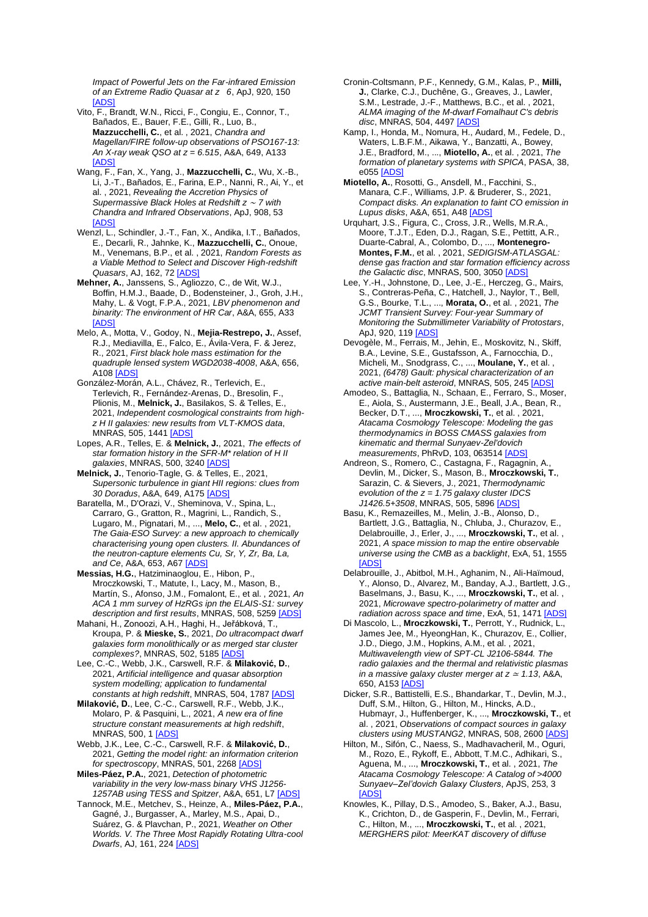*Impact of Powerful Jets on the Far-infrared Emission of an Extreme Radio Quasar at z 6*, ApJ, 920, 150 [\[ADS\]](https://ui.adsabs.harvard.edu/#abs/2021ApJ...920..150R)

- Vito, F., Brandt, W.N., Ricci, F., Congiu, E., Connor, T., Bañados, E., Bauer, F.E., Gilli, R., Luo, B., **Mazzucchelli, C.**, et al. , 2021, *Chandra and Magellan/FIRE follow-up observations of PSO167-13: An X-ray weak QSO at z = 6.515*, A&A, 649, A133 [\[ADS\]](https://ui.adsabs.harvard.edu/#abs/2021A%26A...649A.133V)
- Wang, F., Fan, X., Yang, J., **Mazzucchelli, C.**, Wu, X.-B., Li, J.-T., Bañados, E., Farina, E.P., Nanni, R., Ai, Y., et al. , 2021, *Revealing the Accretion Physics of Supermassive Black Holes at Redshift z* <sup>∼</sup> *7 with Chandra and Infrared Observations*, ApJ, 908, 53 [\[ADS\]](https://ui.adsabs.harvard.edu/#abs/2021ApJ...908...53W)
- Wenzl, L., Schindler, J.-T., Fan, X., Andika, I.T., Bañados, E., Decarli, R., Jahnke, K., **Mazzucchelli, C.**, Onoue, M., Venemans, B.P., et al. , 2021, *Random Forests as a Viable Method to Select and Discover High-redshift Quasars*, AJ, 162, 7[2 \[ADS\]](https://ui.adsabs.harvard.edu/#abs/2021AJ....162...72W)
- **Mehner, A.**, Janssens, S., Agliozzo, C., de Wit, W.J., Boffin, H.M.J., Baade, D., Bodensteiner, J., Groh, J.H., Mahy, L. & Vogt, F.P.A., 2021, *LBV phenomenon and binarity: The environment of HR Car*, A&A, 655, A33 [\[ADS\]](https://ui.adsabs.harvard.edu/#abs/2021A%26A...655A..33M)
- Melo, A., Motta, V., Godoy, N., **Mejia-Restrepo, J.**, Assef, R.J., Mediavilla, E., Falco, E., Ávila-Vera, F. & Jerez, R., 2021, *First black hole mass estimation for the quadruple lensed system WGD2038-4008*, A&A, 656, A108 [\[ADS\]](https://ui.adsabs.harvard.edu/#abs/2021A%26A...656A.108M)
- González-Morán, A.L., Chávez, R., Terlevich, E., Terlevich, R., Fernández-Arenas, D., Bresolin, F., Plionis, M., **Melnick, J.**, Basilakos, S. & Telles, E., 2021, *Independent cosmological constraints from highz H II galaxies: new results from VLT-KMOS data*, MNRAS, 505, 144[1 \[ADS\]](https://ui.adsabs.harvard.edu/#abs/2021MNRAS.505.1441G)
- Lopes, A.R., Telles, E. & **Melnick, J.**, 2021, *The effects of star formation history in the SFR-M\* relation of H II galaxies*, MNRAS, 500, 3240 [\[ADS\]](https://ui.adsabs.harvard.edu/#abs/2021MNRAS.500.3240L)
- **Melnick, J.**, Tenorio-Tagle, G. & Telles, E., 2021, *Supersonic turbulence in giant HII regions: clues from 30 Doradus*, A&A, 649, A175 [\[ADS\]](https://ui.adsabs.harvard.edu/#abs/2021A%26A...649A.175M)
- Baratella, M., D'Orazi, V., Sheminova, V., Spina, L., Carraro, G., Gratton, R., Magrini, L., Randich, S., Lugaro, M., Pignatari, M., ..., **Melo, C.**, et al. , 2021, *The Gaia-ESO Survey: a new approach to chemically characterising young open clusters. II. Abundances of the neutron-capture elements Cu, Sr, Y, Zr, Ba, La, and Ce*, A&A, 653, A67 [\[ADS\]](https://ui.adsabs.harvard.edu/#abs/2021A%26A...653A..67B)
- **Messias, H.G.**, Hatziminaoglou, E., Hibon, P., Mroczkowski, T., Matute, I., Lacy, M., Mason, B., Martín, S., Afonso, J.M., Fomalont, E., et al. , 2021, *An ACA 1 mm survey of HzRGs ipn the ELAIS-S1: survey description and first results*, MNRAS, 508, 5259 [\[ADS\]](https://ui.adsabs.harvard.edu/#abs/2021MNRAS.508.5259M)
- Mahani, H., Zonoozi, A.H., Haghi, H., Jeřábková, T., Kroupa, P. & **Mieske, S.**, 2021, *Do ultracompact dwarf galaxies form monolithically or as merged star cluster complexes?*, MNRAS, 502, 518[5 \[ADS\]](https://ui.adsabs.harvard.edu/#abs/2021MNRAS.502.5185M)
- Lee, C.-C., Webb, J.K., Carswell, R.F. & **Milaković, D.**, 2021, *Artificial intelligence and quasar absorption system modelling; application to fundamental constants at high redshift*, MNRAS, 504, 178[7 \[ADS\]](https://ui.adsabs.harvard.edu/#abs/2021MNRAS.504.1787L)
- **Milaković, D.**, Lee, C.-C., Carswell, R.F., Webb, J.K., Molaro, P. & Pasquini, L., 2021, *A new era of fine structure constant measurements at high redshift*, MNRAS, 500, 1 [\[ADS\]](https://ui.adsabs.harvard.edu/#abs/2021MNRAS.500....1M)
- Webb, J.K., Lee, C.-C., Carswell, R.F. & **Milaković, D.**, 2021, *Getting the model right: an information criterion for spectroscopy*, MNRAS, 501, 226[8 \[ADS\]](https://ui.adsabs.harvard.edu/#abs/2021MNRAS.501.2268W)
- **Miles-Páez, P.A.**, 2021, *Detection of photometric variability in the very low-mass binary VHS J1256- 1257AB using TESS and Spitzer*, A&A, 651, L[7 \[ADS\]](https://ui.adsabs.harvard.edu/#abs/2021A%26A...651L...7M)
- Tannock, M.E., Metchev, S., Heinze, A., **Miles-Páez, P.A.**, Gagné, J., Burgasser, A., Marley, M.S., Apai, D., Suárez, G. & Plavchan, P., 2021, *Weather on Other Worlds. V. The Three Most Rapidly Rotating Ultra-cool Dwarfs*, AJ, 161, 22[4 \[ADS\]](https://ui.adsabs.harvard.edu/#abs/2021AJ....161..224T)
- Cronin-Coltsmann, P.F., Kennedy, G.M., Kalas, P., **Milli, J.**, Clarke, C.J., Duchêne, G., Greaves, J., Lawler, S.M., Lestrade, J.-F., Matthews, B.C., et al. , 2021, *ALMA imaging of the M-dwarf Fomalhaut C's debris disc*, MNRAS, 504, 449[7 \[ADS\]](https://ui.adsabs.harvard.edu/#abs/2021MNRAS.504.4497C)
- Kamp, I., Honda, M., Nomura, H., Audard, M., Fedele, D., Waters, L.B.F.M., Aikawa, Y., Banzatti, A., Bowey, J.E., Bradford, M., ..., **Miotello, A.**, et al. , 2021, *The formation of planetary systems with SPICA*, PASA, 38, e055 [\[ADS\]](https://ui.adsabs.harvard.edu/#abs/2021PASA...38...55K)
- **Miotello, A.**, Rosotti, G., Ansdell, M., Facchini, S., Manara, C.F., Williams, J.P. & Bruderer, S., 2021, *Compact disks. An explanation to faint CO emission in Lupus disks*, A&A, 651, A4[8 \[ADS\]](https://ui.adsabs.harvard.edu/#abs/2021A%26A...651A..48M)
- Urquhart, J.S., Figura, C., Cross, J.R., Wells, M.R.A., Moore, T.J.T., Eden, D.J., Ragan, S.E., Pettitt, A.R., Duarte-Cabral, A., Colombo, D., ..., **Montenegro-Montes, F.M.**, et al. , 2021, *SEDIGISM-ATLASGAL: dense gas fraction and star formation efficiency across the Galactic disc*, MNRAS, 500, 305[0 \[ADS\]](https://ui.adsabs.harvard.edu/#abs/2021MNRAS.500.3050U)
- Lee, Y.-H., Johnstone, D., Lee, J.-E., Herczeg, G., Mairs, S., Contreras-Peña, C., Hatchell, J., Naylor, T., Bell, G.S., Bourke, T.L., ..., **Morata, O.**, et al. , 2021, *The JCMT Transient Survey: Four-year Summary of Monitoring the Submillimeter Variability of Protostars*, ApJ, 920, 11[9 \[ADS\]](https://ui.adsabs.harvard.edu/#abs/2021ApJ...920..119L)
- Devogèle, M., Ferrais, M., Jehin, E., Moskovitz, N., Skiff, B.A., Levine, S.E., Gustafsson, A., Farnocchia, D., Micheli, M., Snodgrass, C., ..., **Moulane, Y.**, et al. , 2021, *(6478) Gault: physical characterization of an active main-belt asteroid*, MNRAS, 505, 24[5 \[ADS\]](https://ui.adsabs.harvard.edu/#abs/2021MNRAS.505..245D)
- Amodeo, S., Battaglia, N., Schaan, E., Ferraro, S., Moser, E., Aiola, S., Austermann, J.E., Beall, J.A., Bean, R., Becker, D.T., ..., **Mroczkowski, T.**, et al. , 2021, *Atacama Cosmology Telescope: Modeling the gas thermodynamics in BOSS CMASS galaxies from kinematic and thermal Sunyaev-Zel'dovich measurements*, PhRvD, 103, 06351[4 \[ADS\]](https://ui.adsabs.harvard.edu/#abs/2021PhRvD.103f3514A)
- Andreon, S., Romero, C., Castagna, F., Ragagnin, A., Devlin, M., Dicker, S., Mason, B., **Mroczkowski, T.**, Sarazin, C. & Sievers, J., 2021, *Thermodynamic evolution of the z = 1.75 galaxy cluster IDCS J1426.5+3508*, MNRAS, 505, 589[6 \[ADS\]](https://ui.adsabs.harvard.edu/#abs/2021MNRAS.505.5896A)
- Basu, K., Remazeilles, M., Melin, J.-B., Alonso, D., Bartlett, J.G., Battaglia, N., Chluba, J., Churazov, E., Delabrouille, J., Erler, J., ..., **Mroczkowski, T.**, et al. , 2021, *A space mission to map the entire observable universe using the CMB as a backlight*, ExA, 51, 1555 [\[ADS\]](https://ui.adsabs.harvard.edu/#abs/2021ExA....51.1555B)
- Delabrouille, J., Abitbol, M.H., Aghanim, N., Ali-Haïmoud, Y., Alonso, D., Alvarez, M., Banday, A.J., Bartlett, J.G., Baselmans, J., Basu, K., ..., **Mroczkowski, T.**, et al. , 2021, *Microwave spectro-polarimetry of matter and*  radiation across space and time, ExA, 51, 147[1 \[ADS\]](https://ui.adsabs.harvard.edu/#abs/2021ExA....51.1471D)
- Di Mascolo, L., **Mroczkowski, T.**, Perrott, Y., Rudnick, L., James Jee, M., HyeongHan, K., Churazov, E., Collier, J.D., Diego, J.M., Hopkins, A.M., et al., 2021 *Multiwavelength view of SPT-CL J2106-5844. The radio galaxies and the thermal and relativistic plasmas in a massive galaxy cluster merger at z* <sup>≃</sup> *1.13*, A&A, 650, A15[3 \[ADS\]](https://ui.adsabs.harvard.edu/#abs/2021A%26A...650A.153D)
- Dicker, S.R., Battistelli, E.S., Bhandarkar, T., Devlin, M.J., Duff, S.M., Hilton, G., Hilton, M., Hincks, A.D., Hubmayr, J., Huffenberger, K., ..., **Mroczkowski, T.**, et al. , 2021, *Observations of compact sources in galaxy clusters using MUSTANG2*, MNRAS, 508, 260[0 \[ADS\]](https://ui.adsabs.harvard.edu/#abs/2021MNRAS.508.2600D)
- Hilton, M., Sifón, C., Naess, S., Madhavacheril, M., Oguri, M., Rozo, E., Rykoff, E., Abbott, T.M.C., Adhikari, S., Aguena, M., ..., **Mroczkowski, T.**, et al. , 2021, *The Atacama Cosmology Telescope: A Catalog of >4000 Sunyaev–Zel'dovich Galaxy Clusters*, ApJS, 253, 3 [\[ADS\]](https://ui.adsabs.harvard.edu/#abs/2021ApJS..253....3H)
- Knowles, K., Pillay, D.S., Amodeo, S., Baker, A.J., Basu, K., Crichton, D., de Gasperin, F., Devlin, M., Ferrari, C., Hilton, M., ..., **Mroczkowski, T.**, et al. , 2021, *MERGHERS pilot: MeerKAT discovery of diffuse*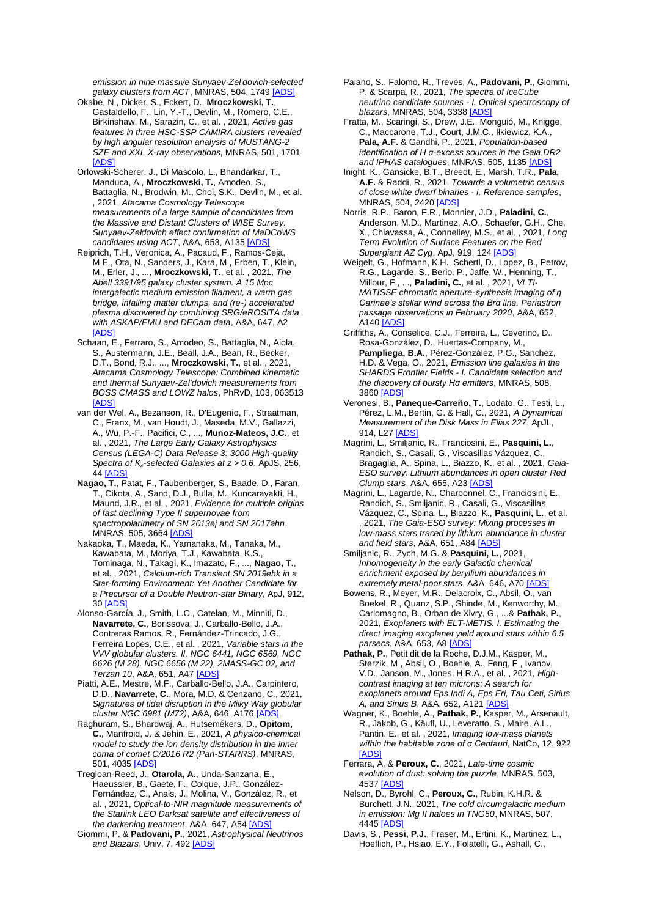*emission in nine massive Sunyaev-Zel'dovich-selected galaxy clusters from ACT*, MNRAS, 504, 1749 [\[ADS\]](https://ui.adsabs.harvard.edu/#abs/2021MNRAS.504.1749K)

- Okabe, N., Dicker, S., Eckert, D., **Mroczkowski, T.**, Gastaldello, F., Lin, Y.-T., Devlin, M., Romero, C.E., Birkinshaw, M., Sarazin, C., et al. , 2021, *Active gas features in three HSC-SSP CAMIRA clusters revealed by high angular resolution analysis of MUSTANG-2 SZE and XXL X-ray observations*, MNRAS, 501, 1701 [\[ADS\]](https://ui.adsabs.harvard.edu/#abs/2021MNRAS.501.1701O)
- Orlowski-Scherer, J., Di Mascolo, L., Bhandarkar, T., Manduca, A., **Mroczkowski, T.**, Amodeo, S., Battaglia, N., Brodwin, M., Choi, S.K., Devlin, M., et al. , 2021, *Atacama Cosmology Telescope measurements of a large sample of candidates from the Massive and Distant Clusters of WISE Survey. Sunyaev-Zeldovich effect confirmation of MaDCoWS candidates using ACT*, A&A, 653, A13[5 \[ADS\]](https://ui.adsabs.harvard.edu/#abs/2021A%26A...653A.135O)
- Reiprich, T.H., Veronica, A., Pacaud, F., Ramos-Ceja, M.E., Ota, N., Sanders, J., Kara, M., Erben, T., Klein, M., Erler, J., ..., **Mroczkowski, T.**, et al. , 2021, *The Abell 3391/95 galaxy cluster system. A 15 Mpc intergalactic medium emission filament, a warm gas bridge, infalling matter clumps, and (re-) accelerated plasma discovered by combining SRG/eROSITA data with ASKAP/EMU and DECam data*, A&A, 647, A2 [\[ADS\]](https://ui.adsabs.harvard.edu/#abs/2021A%26A...647A...2R)
- Schaan, E., Ferraro, S., Amodeo, S., Battaglia, N., Aiola, S., Austermann, J.E., Beall, J.A., Bean, R., Becker, D.T., Bond, R.J., ..., **Mroczkowski, T.**, et al. , 2021, *Atacama Cosmology Telescope: Combined kinematic and thermal Sunyaev-Zel'dovich measurements from BOSS CMASS and LOWZ halos*, PhRvD, 103, 063513 [\[ADS\]](https://ui.adsabs.harvard.edu/#abs/2021PhRvD.103f3513S)
- van der Wel, A., Bezanson, R., D'Eugenio, F., Straatman, C., Franx, M., van Houdt, J., Maseda, M.V., Gallazzi, A., Wu, P.-F., Pacifici, C., ..., **Munoz-Mateos, J.C.**, et al. , 2021, *The Large Early Galaxy Astrophysics Census (LEGA-C) Data Release 3: 3000 High-quality Spectra of K*ₛ*-selected Galaxies at z > 0.6*, ApJS, 256, 44 [\[ADS\]](https://ui.adsabs.harvard.edu/#abs/2021ApJS..256...44V)
- **Nagao, T.**, Patat, F., Taubenberger, S., Baade, D., Faran, T., Cikota, A., Sand, D.J., Bulla, M., Kuncarayakti, H., Maund, J.R., et al. , 2021, *Evidence for multiple origins of fast declining Type II supernovae from spectropolarimetry of SN 2013ej and SN 2017ahn*, MNRAS, 505, 366[4 \[ADS\]](https://ui.adsabs.harvard.edu/#abs/2021MNRAS.505.3664N)
- Nakaoka, T., Maeda, K., Yamanaka, M., Tanaka, M., Kawabata, M., Moriya, T.J., Kawabata, K.S., Tominaga, N., Takagi, K., Imazato, F., ..., **Nagao, T.**, et al. , 2021, *Calcium-rich Transient SN 2019ehk in a Star-forming Environment: Yet Another Candidate for a Precursor of a Double Neutron-star Binary*, ApJ, 912, 30 [\[ADS\]](https://ui.adsabs.harvard.edu/#abs/2021ApJ...912...30N)
- Alonso-García, J., Smith, L.C., Catelan, M., Minniti, D., **Navarrete, C.**, Borissova, J., Carballo-Bello, J.A., Contreras Ramos, R., Fernández-Trincado, J.G., Ferreira Lopes, C.E., et al. , 2021, *Variable stars in the VVV globular clusters. II. NGC 6441, NGC 6569, NGC 6626 (M 28), NGC 6656 (M 22), 2MASS-GC 02, and Terzan 10, A&A, 651, A4[7 \[ADS\]](https://ui.adsabs.harvard.edu/#abs/2021A%26A...651A..47A)*
- Piatti, A.E., Mestre, M.F., Carballo-Bello, J.A., Carpintero, D.D., **Navarrete, C.**, Mora, M.D. & Cenzano, C., 2021, *Signatures of tidal disruption in the Milky Way globular cluster NGC 6981 (M72)*, A&A, 646, A176 [AI
- Raghuram, S., Bhardwaj, A., Hutsemékers, D., **Opitom, C.**, Manfroid, J. & Jehin, E., 2021, *A physico-chemical model to study the ion density distribution in the inner coma of comet C/2016 R2 (Pan-STARRS)*, MNRAS, 501, 4035 [ADS
- Tregloan-Reed, J., **Otarola, A.**, Unda-Sanzana, E., Haeussler, B., Gaete, F., Colque, J.P., González-Fernández, C., Anais, J., Molina, V., González, R., et al. , 2021, *Optical-to-NIR magnitude measurements of the Starlink LEO Darksat satellite and effectiveness of the darkening treatment*, A&A, 647, A5[4 \[ADS\]](https://ui.adsabs.harvard.edu/#abs/2021A%26A...647A..54T)
- Giommi, P. & **Padovani, P.**, 2021, *Astrophysical Neutrinos and Blazars*, Univ, 7, 49[2 \[ADS\]](https://ui.adsabs.harvard.edu/#abs/2021Univ....7..492G)
- Paiano, S., Falomo, R., Treves, A., **Padovani, P.**, Giommi, P. & Scarpa, R., 2021, *The spectra of IceCube neutrino candidate sources - I. Optical spectroscopy of blazars*, MNRAS, 504, 333[8 \[ADS\]](https://ui.adsabs.harvard.edu/#abs/2021MNRAS.504.3338P)
- Fratta, M., Scaringi, S., Drew, J.E., Monguió, M., Knigge, C., Maccarone, T.J., Court, J.M.C., Iłkiewicz, K.A. **Pala, A.F.** & Gandhi, P., 2021, *Population-based identification of H α-excess sources in the Gaia DR2 and IPHAS catalogues*, MNRAS, 505, 1135 [\[ADS\]](https://ui.adsabs.harvard.edu/#abs/2021MNRAS.505.1135F)
- Inight, K., Gänsicke, B.T., Breedt, E., Marsh, T.R., **Pala, A.F.** & Raddi, R., 2021, *Towards a volumetric census of close white dwarf binaries - I. Reference samples*, MNRAS, 504, 242[0 \[ADS\]](https://ui.adsabs.harvard.edu/#abs/2021MNRAS.504.2420I)
- Norris, R.P., Baron, F.R., Monnier, J.D., **Paladini, C.**, Anderson, M.D., Martinez, A.O., Schaefer, G.H., Che, X., Chiavassa, A., Connelley, M.S., et al. , 2021, *Long Term Evolution of Surface Features on the Red Supergiant AZ Cyg*, ApJ, 919, 12[4 \[ADS\]](https://ui.adsabs.harvard.edu/#abs/2021ApJ...919..124N)
- Weigelt, G., Hofmann, K.H., Schertl, D., Lopez, B., Petrov, R.G., Lagarde, S., Berio, P., Jaffe, W., Henning, T., Millour, F., ..., **Paladini, C.**, et al. , 2021, *VLTI-MATISSE chromatic aperture-synthesis imaging of η Carinae's stellar wind across the Brα line. Periastron passage observations in February 2020*, A&A, 652, A<sub>140</sub> [ADS]
- Griffiths, A., Conselice, C.J., Ferreira, L., Ceverino, D., Rosa-González, D., Huertas-Company, M., **Pampliega, B.A.**, Pérez-González, P.G., Sanchez, H.D. & Vega, O., 2021, *Emission line galaxies in the SHARDS Frontier Fields - I. Candidate selection and the discovery of bursty Hα emitters*, MNRAS, 508, 3860 [\[ADS\]](https://ui.adsabs.harvard.edu/#abs/2021MNRAS.508.3860G)
- Veronesi, B., **Paneque-Carreño, T.**, Lodato, G., Testi, L., Pérez, L.M., Bertin, G. & Hall, C., 2021, *A Dynamical Measurement of the Disk Mass in Elias 227*, ApJL, 914, L2[7 \[ADS\]](https://ui.adsabs.harvard.edu/#abs/2021ApJ...914L..27V)
- Magrini, L., Smiljanic, R., Franciosini, E., **Pasquini, L.**, Randich, S., Casali, G., Viscasillas Vázquez, C., Bragaglia, A., Spina, L., Biazzo, K., et al. , 2021, *Gaia-ESO survey: Lithium abundances in open cluster Red Clump stars*, A&A, 655, A2[3 \[ADS\]](https://ui.adsabs.harvard.edu/#abs/2021A%26A...655A..23M)
- Magrini, L., Lagarde, N., Charbonnel, C., Franciosini, E., Randich, S., Smiljanic, R., Casali, G., Viscasillas Vázquez, C., Spina, L., Biazzo, K., **Pasquini, L.**, et al. , 2021, *The Gaia-ESO survey: Mixing processes in low-mass stars traced by lithium abundance in cluster and field stars*, A&A, 651, A8[4 \[ADS\]](https://ui.adsabs.harvard.edu/#abs/2021A%26A...651A..84M)
- Smiljanic, R., Zych, M.G. & **Pasquini, L.**, 2021, *Inhomogeneity in the early Galactic chemical enrichment exposed by beryllium abundances in extremely metal-poor stars*, A&A, 646, A7[0 \[ADS\]](https://ui.adsabs.harvard.edu/#abs/2021A%26A...646A..70S)
- Bowens, R., Meyer, M.R., Delacroix, C., Absil, O., van Boekel, R., Quanz, S.P., Shinde, M., Kenworthy, M., Carlomagno, B., Orban de Xivry, G., ...& **Pathak, P.**, 2021, *Exoplanets with ELT-METIS. I. Estimating the direct imaging exoplanet yield around stars within 6.5 parsecs*, A&A, 653, A[8 \[ADS\]](https://ui.adsabs.harvard.edu/#abs/2021A%26A...653A...8B)
- **Pathak, P.**, Petit dit de la Roche, D.J.M., Kasper, M., Sterzik, M., Absil, O., Boehle, A., Feng, F., Ivanov, V.D., Janson, M., Jones, H.R.A., et al. , 2021, *Highcontrast imaging at ten microns: A search for exoplanets around Eps Indi A, Eps Eri, Tau Ceti, Sirius A, and Sirius B*, A&A, 652, A12[1 \[ADS\]](https://ui.adsabs.harvard.edu/#abs/2021A%26A...652A.121P)
- Wagner, K., Boehle, A., **Pathak, P.**, Kasper, M., Arsenault, R., Jakob, G., Käufl, U., Leveratto, S., Maire, A.L., Pantin, E., et al. , 2021, *Imaging low-mass planets within the habitable zone of α Centauri*, NatCo, 12, 922 [ADS
- Ferrara, A. & **Peroux, C.**, 2021, *Late-time cosmic evolution of dust: solving the puzzle*, MNRAS, 503, 4537 **[ADS**
- Nelson, D., Byrohl, C., **Peroux, C.**, Rubin, K.H.R. & Burchett, J.N., 2021, *The cold circumgalactic medium in emission: Mg II haloes in TNG50*, MNRAS, 507, 4445 <u>[ADS</u>
- Davis, S., **Pessi, P.J.**, Fraser, M., Ertini, K., Martinez, L., Hoeflich, P., Hsiao, E.Y., Folatelli, G., Ashall, C.,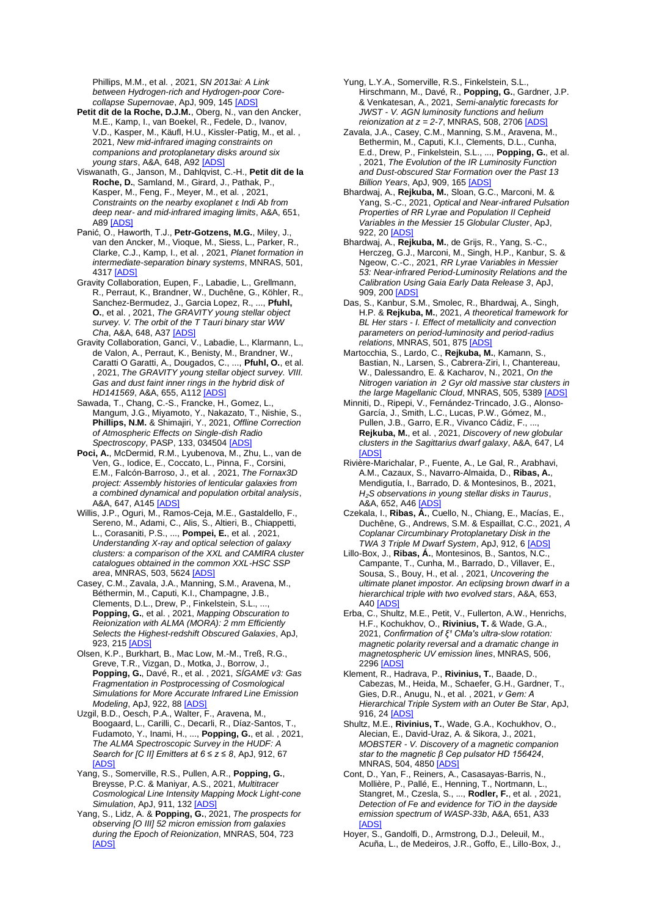Phillips, M.M., et al. , 2021, *SN 2013ai: A Link between Hydrogen-rich and Hydrogen-poor Corecollapse Supernovae*, ApJ, 909, 145 [\[ADS\]](https://ui.adsabs.harvard.edu/#abs/2021ApJ...909..145D)

**Petit dit de la Roche, D.J.M.**, Oberg, N., van den Ancker, M.E., Kamp, I., van Boekel, R., Fedele, D., Ivanov, V.D., Kasper, M., Käufl, H.U., Kissler-Patig, M., et al. , 2021, *New mid-infrared imaging constraints on companions and protoplanetary disks around six young stars*, A&A, 648, A9[2 \[ADS\]](https://ui.adsabs.harvard.edu/#abs/2021A%26A...648A..92P)

Viswanath, G., Janson, M., Dahlqvist, C.-H., **Petit dit de la Roche, D.**, Samland, M., Girard, J., Pathak, P., Kasper, M., Feng, F., Meyer, M., et al. , 2021, *Constraints on the nearby exoplanet ɛ Indi Ab from deep near- and mid-infrared imaging limits*, A&A, 651, A8[9 \[ADS\]](https://ui.adsabs.harvard.edu/#abs/2021A%26A...651A..89V)

Panić, O., Haworth, T.J., **Petr-Gotzens, M.G.**, Miley, J., van den Ancker, M., Vioque, M., Siess, L., Parker, R., Clarke, C.J., Kamp, I., et al. , 2021, *Planet formation in intermediate-separation binary systems*, MNRAS, 501, 4317 [\[ADS\]](https://ui.adsabs.harvard.edu/#abs/2021MNRAS.501.4317P)

Gravity Collaboration, Eupen, F., Labadie, L., Grellmann, R., Perraut, K., Brandner, W., Duchêne, G., Köhler, R., Sanchez-Bermudez, J., Garcia Lopez, R., ..., **Pfuhl, O.**, et al. , 2021, *The GRAVITY young stellar object survey. V. The orbit of the T Tauri binary star WW Cha*, A&A, 648, A37 [\[ADS\]](https://ui.adsabs.harvard.edu/#abs/2021A%26A...648A..37G)

Gravity Collaboration, Ganci, V., Labadie, L., Klarmann, L., de Valon, A., Perraut, K., Benisty, M., Brandner, W., Caratti O Garatti, A., Dougados, C., ..., **Pfuhl, O.**, et al. , 2021, *The GRAVITY young stellar object survey. VIII. Gas and dust faint inner rings in the hybrid disk of HD141569*, A&A, 655, A112 [\[ADS\]](https://ui.adsabs.harvard.edu/#abs/2021A%26A...655A.112G)

Sawada, T., Chang, C.-S., Francke, H., Gomez, L., Mangum, J.G., Miyamoto, Y., Nakazato, T., Nishie, S., **Phillips, N.M.** & Shimajiri, Y., 2021, *Offline Correction of Atmospheric Effects on Single-dish Radio Spectroscopy*, PASP, 133, 03450[4 \[ADS\]](https://ui.adsabs.harvard.edu/#abs/2021PASP..133c4504S)

**Poci, A.**, McDermid, R.M., Lyubenova, M., Zhu, L., van de Ven, G., Iodice, E., Coccato, L., Pinna, F., Corsini, E.M., Falcón-Barroso, J., et al. , 2021, *The Fornax3D project: Assembly histories of lenticular galaxies from a combined dynamical and population orbital analysis*, A&A, 647, A145 [\[ADS\]](https://ui.adsabs.harvard.edu/#abs/2021A%26A...647A.145P)

Willis, J.P., Oguri, M., Ramos-Ceja, M.E., Gastaldello, F., Sereno, M., Adami, C., Alis, S., Altieri, B., Chiappetti, L., Corasaniti, P.S., ..., **Pompei, E.**, et al. , 2021, *Understanding X-ray and optical selection of galaxy clusters: a comparison of the XXL and CAMIRA cluster catalogues obtained in the common XXL-HSC SSP area*, MNRAS, 503, 562[4 \[ADS\]](https://ui.adsabs.harvard.edu/#abs/2021MNRAS.503.5624W)

Casey, C.M., Zavala, J.A., Manning, S.M., Aravena, M., Béthermin, M., Caputi, K.I., Champagne, J.B., Clements, D.L., Drew, P., Finkelstein, S.L., . **Popping, G.**, et al. , 2021, *Mapping Obscuration to Reionization with ALMA (MORA): 2 mm Efficiently Selects the Highest-redshift Obscured Galaxies*, ApJ, 923, 215 **[ADS** 

Olsen, K.P., Burkhart, B., Mac Low, M.-M., Treß, R.G., Greve, T.R., Vizgan, D., Motka, J., Borrow, J., **Popping, G.**, Davé, R., et al. , 2021, *SÍGAME v3: Gas Fragmentation in Postprocessing of Cosmological Simulations for More Accurate Infrared Line Emission Modeling*, ApJ, 922, 88 [\[ADS\]](https://ui.adsabs.harvard.edu/#abs/2021ApJ...922...88O)

Uzgil, B.D., Oesch, P.A., Walter, F., Aravena, M., Boogaard, L., Carilli, C., Decarli, R., Díaz-Santos, T., Fudamoto, Y., Inami, H., ..., **Popping, G.**, et al. , 2021, *The ALMA Spectroscopic Survey in the HUDF: A Search for [C II] Emitters at 6 ≤ z ≤ 8*, ApJ, 912, 67 [\[ADS\]](https://ui.adsabs.harvard.edu/#abs/2021ApJ...912...67U)

Yang, S., Somerville, R.S., Pullen, A.R., **Popping, G.**, Breysse, P.C. & Maniyar, A.S., 2021, *Multitracer Cosmological Line Intensity Mapping Mock Light-cone Simulation*, ApJ, 911, 13[2 \[ADS\]](https://ui.adsabs.harvard.edu/#abs/2021ApJ...911..132Y)

Yang, S., Lidz, A. & **Popping, G.**, 2021, *The prospects for observing [O III] 52 micron emission from galaxies during the Epoch of Reionization*, MNRAS, 504, 723 [\[ADS\]](https://ui.adsabs.harvard.edu/#abs/2021MNRAS.504..723Y)

Yung, L.Y.A., Somerville, R.S., Finkelstein, S.L., Hirschmann, M., Davé, R., **Popping, G.**, Gardner, J.P. & Venkatesan, A., 2021, *Semi-analytic forecasts for JWST - V. AGN luminosity functions and helium reionization at*  $z = 2-7$ *, MNRAS, 508, 2706 [ADS* 

Zavala, J.A., Casey, C.M., Manning, S.M., Aravena, M., Bethermin, M., Caputi, K.I., Clements, D.L., Cunha, E.d., Drew, P., Finkelstein, S.L., ..., **Popping, G.**, et al. , 2021, *The Evolution of the IR Luminosity Function and Dust-obscured Star Formation over the Past 13 Billion Years*, ApJ, 909, 16[5 \[ADS\]](https://ui.adsabs.harvard.edu/#abs/2021ApJ...909..165Z)

Bhardwaj, A., **Rejkuba, M.**, Sloan, G.C., Marconi, M. & Yang, S.-C., 2021, *Optical and Near-infrared Pulsation Properties of RR Lyrae and Population II Cepheid Variables in the Messier 15 Globular Cluster*, ApJ, 922, 2[0 \[ADS\]](https://ui.adsabs.harvard.edu/#abs/2021ApJ...922...20B)

Bhardwaj, A., **Rejkuba, M.**, de Grijs, R., Yang, S.-C., Herczeg, G.J., Marconi, M., Singh, H.P., Kanbur, S. & Ngeow, C.-C., 2021, *RR Lyrae Variables in Messier 53: Near-infrared Period-Luminosity Relations and the Calibration Using Gaia Early Data Release 3*, ApJ, 909, 20[0 \[ADS\]](https://ui.adsabs.harvard.edu/#abs/2021ApJ...909..200B)

Das, S., Kanbur, S.M., Smolec, R., Bhardwaj, A., Singh, H.P. & **Rejkuba, M.**, 2021, *A theoretical framework for BL Her stars - I. Effect of metallicity and convection parameters on period-luminosity and period-radius relations*, MNRAS, 501, 87[5 \[ADS\]](https://ui.adsabs.harvard.edu/#abs/2021MNRAS.501..875D)

Martocchia, S., Lardo, C., **Rejkuba, M.**, Kamann, S., Bastian, N., Larsen, S., Cabrera-Ziri, I., Chantereau, W., Dalessandro, E. & Kacharov, N., 2021, *On the Nitrogen variation in 2 Gyr old massive star clusters in the large Magellanic Cloud*, MNRAS, 505, 538[9 \[ADS\]](https://ui.adsabs.harvard.edu/#abs/2021MNRAS.505.5389M)

Minniti, D., Ripepi, V., Fernández-Trincado, J.G., Alonso-García, J., Smith, L.C., Lucas, P.W., Gómez, M., Pullen, J.B., Garro, E.R., Vivanco Cádiz, F., ..., **Rejkuba, M.**, et al. , 2021, *Discovery of new globular clusters in the Sagittarius dwarf galaxy*, A&A, 647, L4 [\[ADS\]](https://ui.adsabs.harvard.edu/#abs/2021A%26A...647L...4M)

Rivière-Marichalar, P., Fuente, A., Le Gal, R., Arabhavi, A.M., Cazaux, S., Navarro-Almaida, D., **Ribas, A.**, Mendigutía, I., Barrado, D. & Montesinos, B., 2021, *H*₂*S observations in young stellar disks in Taurus*, A&A, 652, A4[6 \[ADS\]](https://ui.adsabs.harvard.edu/#abs/2021A%26A...652A..46R)

Czekala, I., **Ribas, Á.**, Cuello, N., Chiang, E., Macías, E., Duchêne, G., Andrews, S.M. & Espaillat, C.C., 2021, *A Coplanar Circumbinary Protoplanetary Disk in the TWA 3 Triple M Dwarf System*, ApJ, 912, [6 \[ADS\]](https://ui.adsabs.harvard.edu/#abs/2021ApJ...912....6C)

Lillo-Box, J., **Ribas, Á.**, Montesinos, B., Santos, N.C., Campante, T., Cunha, M., Barrado, D., Villaver, E., Sousa, S., Bouy, H., et al. , 2021, *Uncovering the ultimate planet impostor. An eclipsing brown dwarf in a hierarchical triple with two evolved stars*, A&A, 653, A4[0 \[ADS\]](https://ui.adsabs.harvard.edu/#abs/2021A%26A...653A..40L)

Erba, C., Shultz, M.E., Petit, V., Fullerton, A.W., Henrichs, H.F., Kochukhov, O., **Rivinius, T.** & Wade, G.A., 2021, Confirmation of ξ<sup>1</sup> CMa's ultra-slow rotation: *magnetic polarity reversal and a dramatic change in magnetospheric UV emission lines*, MNRAS, 506, 2296 [\[ADS\]](https://ui.adsabs.harvard.edu/#abs/2021MNRAS.506.2296E)

Klement, R., Hadrava, P., **Rivinius, T.**, Baade, D., Cabezas, M., Heida, M., Schaefer, G.H., Gardner, T., Gies, D.R., Anugu, N., et al. , 2021, *ν Gem: A Hierarchical Triple System with an Outer Be Star*, ApJ, 916, 24 **ADS** 

Shultz, M.E., **Rivinius, T.**, Wade, G.A., Kochukhov, O., Alecian, E., David-Uraz, A. & Sikora, J., 2021, *MOBSTER - V. Discovery of a magnetic companion star to the magnetic β Cep pulsator HD 156424*, MNRAS, 504, 485[0 \[ADS\]](https://ui.adsabs.harvard.edu/#abs/2021MNRAS.504.4850S)

Cont, D., Yan, F., Reiners, A., Casasayas-Barris, N., Mollière, P., Pallé, E., Henning, T., Nortmann, L., Stangret, M., Czesla, S., ..., **Rodler, F.**, et al. , 2021, *Detection of Fe and evidence for TiO in the dayside emission spectrum of WASP-33b*, A&A, 651, A33 [\[ADS\]](https://ui.adsabs.harvard.edu/#abs/2021A%26A...651A..33C)

Hoyer, S., Gandolfi, D., Armstrong, D.J., Deleuil, M., Acuña, L., de Medeiros, J.R., Goffo, E., Lillo-Box, J.,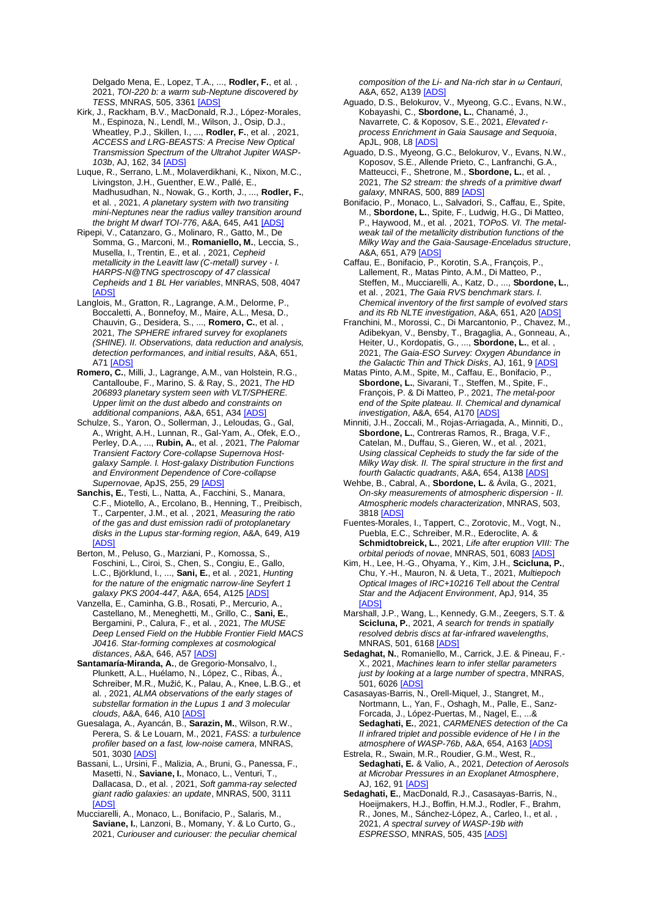Delgado Mena, E., Lopez, T.A., ..., **Rodler, F.**, et al. , 2021, *TOI-220 b: a warm sub-Neptune discovered by TESS*, MNRAS, 505, 336[1 \[ADS\]](https://ui.adsabs.harvard.edu/#abs/2021MNRAS.505.3361H)

- Kirk, J., Rackham, B.V., MacDonald, R.J., López-Morales, M., Espinoza, N., Lendl, M., Wilson, J., Osip, D.J., Wheatley, P.J., Skillen, I., ..., **Rodler, F.**, et al. , 2021, *ACCESS and LRG-BEASTS: A Precise New Optical Transmission Spectrum of the Ultrahot Jupiter WASP-103b*, AJ, 162, 34 [\[ADS\]](https://ui.adsabs.harvard.edu/#abs/2021AJ....162...34K)
- Luque, R., Serrano, L.M., Molaverdikhani, K., Nixon, M.C., Livingston, J.H., Guenther, E.W., Pallé, E., Madhusudhan, N., Nowak, G., Korth, J., ..., **Rodler, F.**, et al. , 2021, *A planetary system with two transiting mini-Neptunes near the radius valley transition around the bright M dwarf TOI-776*, A&A, 645, A4[1 \[ADS\]](https://ui.adsabs.harvard.edu/#abs/2021A%26A...645A..41L)
- Ripepi, V., Catanzaro, G., Molinaro, R., Gatto, M., De Somma, G., Marconi, M., **Romaniello, M.**, Leccia, S., Musella, I., Trentin, E., et al. , 2021, *Cepheid metallicity in the Leavitt law (C-metall) survey - I. HARPS-N@TNG spectroscopy of 47 classical Cepheids and 1 BL Her variables*, MNRAS, 508, 4047 [\[ADS\]](https://ui.adsabs.harvard.edu/#abs/2021MNRAS.508.4047R)
- Langlois, M., Gratton, R., Lagrange, A.M., Delorme, P., Boccaletti, A., Bonnefoy, M., Maire, A.L., Mesa, D., Chauvin, G., Desidera, S., ..., **Romero, C.**, et al. , 2021, *The SPHERE infrared survey for exoplanets (SHINE). II. Observations, data reduction and analysis, detection performances, and initial results*, A&A, 651, A71 [ADS
- **Romero, C.**, Milli, J., Lagrange, A.M., van Holstein, R.G., Cantalloube, F., Marino, S. & Ray, S., 2021, *The HD 206893 planetary system seen with VLT/SPHERE. Upper limit on the dust albedo and constraints on additional companions*, A&A, 651, A34 [\[ADS\]](https://ui.adsabs.harvard.edu/#abs/2021A%26A...651A..34R)
- Schulze, S., Yaron, O., Sollerman, J., Leloudas, G., Gal, A., Wright, A.H., Lunnan, R., Gal-Yam, A., Ofek, E.O., Perley, D.A., ..., **Rubin, A.**, et al. , 2021, *The Palomar Transient Factory Core-collapse Supernova Hostgalaxy Sample. I. Host-galaxy Distribution Functions and Environment Dependence of Core-collapse Supernovae*, ApJS, 255, 29 [\[ADS\]](https://ui.adsabs.harvard.edu/#abs/2021ApJS..255...29S)
- **Sanchis, E.**, Testi, L., Natta, A., Facchini, S., Manara, C.F., Miotello, A., Ercolano, B., Henning, T., Preibisch, T., Carpenter, J.M., et al. , 2021, *Measuring the ratio of the gas and dust emission radii of protoplanetary disks in the Lupus star-forming region*, A&A, 649, A19 [\[ADS\]](https://ui.adsabs.harvard.edu/#abs/2021A%26A...649A..19S)
- Berton, M., Peluso, G., Marziani, P., Komossa, S., Foschini, L., Ciroi, S., Chen, S., Congiu, E., Gallo, L.C., Björklund, I., ..., **Sani, E.**, et al. , 2021, *Hunting for the nature of the enigmatic narrow-line Seyfert 1 galaxy PKS 2004-447*, A&A, 654, A125 [\[ADS\]](https://ui.adsabs.harvard.edu/#abs/2021A%26A...654A.125B)
- Vanzella, E., Caminha, G.B., Rosati, P., Mercurio, A., Castellano, M., Meneghetti, M., Grillo, C., **Sani, E.**, Bergamini, P., Calura, F., et al. , 2021, *The MUSE Deep Lensed Field on the Hubble Frontier Field MACS J0416. Star-forming complexes at cosmological distances*, A&A, 646, A57 [\[ADS\]](https://ui.adsabs.harvard.edu/#abs/2021A%26A...646A..57V)
- **Santamaría-Miranda, A.**, de Gregorio-Monsalvo, I., Plunkett, A.L., Huélamo, N., López, C., Ribas, Á., Schreiber, M.R., Mužić, K., Palau, A., Knee, L.B.G., et al. , 2021, *ALMA observations of the early stages of substellar formation in the Lupus 1 and 3 molecular clouds*, A&A, 646, A10 [ADS
- Guesalaga, A., Ayancán, B., **Sarazin, M.**, Wilson, R.W., Perera, S. & Le Louarn, M., 2021, *FASS: a turbulence profiler based on a fast, low-noise camera*, MNRAS, 501, 3030 **ADS**
- Bassani, L., Ursini, F., Malizia, A., Bruni, G., Panessa, F., Masetti, N., **Saviane, I.**, Monaco, L., Venturi, T., Dallacasa, D., et al. , 2021, *Soft gamma-ray selected giant radio galaxies: an update*, MNRAS, 500, 3111 [\[ADS\]](https://ui.adsabs.harvard.edu/#abs/2021MNRAS.500.3111B)
- Mucciarelli, A., Monaco, L., Bonifacio, P., Salaris, M., **Saviane, I.**, Lanzoni, B., Momany, Y. & Lo Curto, G., 2021, *Curiouser and curiouser: the peculiar chemical*

*composition of the Li- and Na-rich star in ω Centauri*, A&A, 652, A139 [\[ADS\]](https://ui.adsabs.harvard.edu/#abs/2021A%26A...652A.139M)

- Aguado, D.S., Belokurov, V., Myeong, G.C., Evans, N.W., Kobayashi, C., **Sbordone, L.**, Chanamé, J., Navarrete, C. & Koposov, S.E., 2021, *Elevated rprocess Enrichment in Gaia Sausage and Sequoia*, ApJL, 908, L[8 \[ADS\]](https://ui.adsabs.harvard.edu/#abs/2021ApJ...908L...8A)
- Aguado, D.S., Myeong, G.C., Belokurov, V., Evans, N.W., Koposov, S.E., Allende Prieto, C., Lanfranchi, G.A., Matteucci, F., Shetrone, M., **Sbordone, L.**, et al. , 2021, *The S2 stream: the shreds of a primitive dwarf galaxy*, MNRAS, 500, 88[9 \[ADS\]](https://ui.adsabs.harvard.edu/#abs/2021MNRAS.500..889A)
- Bonifacio, P., Monaco, L., Salvadori, S., Caffau, E., Spite, M., **Sbordone, L.**, Spite, F., Ludwig, H.G., Di Matteo, P., Haywood, M., et al. , 2021, *TOPoS. VI. The metalweak tail of the metallicity distribution functions of the Milky Way and the Gaia-Sausage-Enceladus structure*, A&A, 651, A79 [ADS
- Caffau, E., Bonifacio, P., Korotin, S.A., François, P., Lallement, R., Matas Pinto, A.M., Di Matteo, P., Steffen, M., Mucciarelli, A., Katz, D., ..., **Sbordone, L.**, et al. , 2021, *The Gaia RVS benchmark stars. I. Chemical inventory of the first sample of evolved stars and its Rb NLTE investigation*, A&A, 651, A2[0 \[ADS\]](https://ui.adsabs.harvard.edu/#abs/2021A%26A...651A..20C)
- Franchini, M., Morossi, C., Di Marcantonio, P., Chavez, M., Adibekyan, V., Bensby, T., Bragaglia, A., Gonneau, A., Heiter, U., Kordopatis, G., ..., **Sbordone, L.**, et al. , 2021, *The Gaia-ESO Survey: Oxygen Abundance in the Galactic Thin and Thick Disks*, AJ, 161, [9 \[ADS\]](https://ui.adsabs.harvard.edu/#abs/2021AJ....161....9F)
- Matas Pinto, A.M., Spite, M., Caffau, E., Bonifacio, P., **Sbordone, L.**, Sivarani, T., Steffen, M., Spite, F., François, P. & Di Matteo, P., 2021, *The metal-poor end of the Spite plateau. II. Chemical and dynamical investigation*, A&A, 654, A170 [\[ADS\]](https://ui.adsabs.harvard.edu/#abs/2021A%26A...654A.170M)
- Minniti, J.H., Zoccali, M., Rojas-Arriagada, A., Minniti, D., **Sbordone, L.**, Contreras Ramos, R., Braga, V.F., Catelan, M., Duffau, S., Gieren, W., et al. , 2021, *Using classical Cepheids to study the far side of the Milky Way disk. II. The spiral structure in the first and fourth Galactic quadrants*, A&A, 654, A13[8 \[ADS\]](https://ui.adsabs.harvard.edu/#abs/2021A%26A...654A.138M)
- Wehbe, B., Cabral, A., **Sbordone, L.** & Ávila, G., 2021, *On-sky measurements of atmospheric dispersion - II. Atmospheric models characterization*, MNRAS, 503, 3818 [\[ADS\]](https://ui.adsabs.harvard.edu/#abs/2021MNRAS.503.3818W)
- Fuentes-Morales, I., Tappert, C., Zorotovic, M., Vogt, N., Puebla, E.C., Schreiber, M.R., Ederoclite, A. & **Schmidtobreick, L.**, 2021, *Life after eruption VIII: The orbital periods of novae*, MNRAS, 501, 608[3 \[ADS\]](https://ui.adsabs.harvard.edu/#abs/2021MNRAS.501.6083F)
- Kim, H., Lee, H.-G., Ohyama, Y., Kim, J.H., **Scicluna, P.**, Chu, Y.-H., Mauron, N. & Ueta, T., 2021, *Multiepoch Optical Images of IRC+10216 Tell about the Central Star and the Adjacent Environment*, ApJ, 914, 35 [\[ADS\]](https://ui.adsabs.harvard.edu/#abs/2021ApJ...914...35K)
- Marshall, J.P., Wang, L., Kennedy, G.M., Zeegers, S.T. & **Scicluna, P.**, 2021, *A search for trends in spatially resolved debris discs at far-infrared wavelengths*, MNRAS, 501, 616[8 \[ADS\]](https://ui.adsabs.harvard.edu/#abs/2021MNRAS.501.6168M)
- **Sedaghat, N.**, Romaniello, M., Carrick, J.E. & Pineau, F.- X., 2021, *Machines learn to infer stellar parameters just by looking at a large number of spectra*, MNRAS, 501, 6026 [ADS
- Casasayas-Barris, N., Orell-Miquel, J., Stangret, M., Nortmann, L., Yan, F., Oshagh, M., Palle, E., Sanz-Forcada, J., López-Puertas, M., Nagel, E., ...& **Sedaghati, E.**, 2021, *CARMENES detection of the Ca II infrared triplet and possible evidence of He I in the atmosphere of WASP-76b*, A&A, 654, A16[3 \[ADS\]](https://ui.adsabs.harvard.edu/#abs/2021A%26A...654A.163C)
- Estrela, R., Swain, M.R., Roudier, G.M., West, R., **Sedaghati, E.** & Valio, A., 2021, *Detection of Aerosols at Microbar Pressures in an Exoplanet Atmosphere*, AJ, 162, 9[1 \[ADS\]](https://ui.adsabs.harvard.edu/#abs/2021AJ....162...91E)
- **Sedaghati, E.**, MacDonald, R.J., Casasayas-Barris, N., Hoeijmakers, H.J., Boffin, H.M.J., Rodler, F., Brahm, R., Jones, M., Sánchez-López, A., Carleo, I., et al. , 2021, *A spectral survey of WASP-19b with ESPRESSO*, MNRAS, 505, 435 [\[ADS\]](https://ui.adsabs.harvard.edu/#abs/2021MNRAS.505..435S)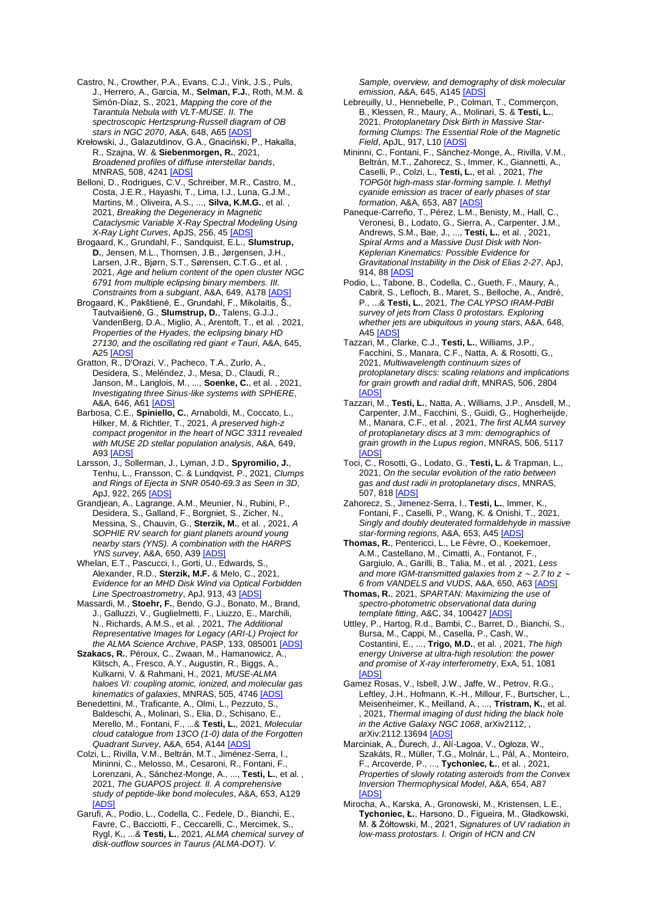Castro, N., Crowther, P.A., Evans, C.J., Vink, J.S., Puls, J., Herrero, A., Garcia, M., **Selman, F.J.**, Roth, M.M. & Simón-Díaz, S., 2021, *Mapping the core of the Tarantula Nebula with VLT-MUSE. II. The spectroscopic Hertzsprung-Russell diagram of OB stars in NGC 2070*, A&A, 648, A65 [\[ADS\]](https://ui.adsabs.harvard.edu/#abs/2021A%26A...648A..65C)

Krełowski, J., Galazutdinov, G.A., Gnaciński, P., Hakalla, R., Szajna, W. & **Siebenmorgen, R.**, 2021, *Broadened profiles of diffuse interstellar bands*, MNRAS, 508, 4241 **JADS** 

Belloni, D., Rodrigues, C.V., Schreiber, M.R., Castro, M., Costa, J.E.R., Hayashi, T., Lima, I.J., Luna, G.J.M., Martins, M., Oliveira, A.S., ..., **Silva, K.M.G.**, et al. , 2021, *Breaking the Degeneracy in Magnetic Cataclysmic Variable X-Ray Spectral Modeling Using X-Ray Light Curves*, ApJS, 256, 4[5 \[ADS\]](https://ui.adsabs.harvard.edu/#abs/2021ApJS..256...45B)

Brogaard, K., Grundahl, F., Sandquist, E.L., **Slumstrup, D.**, Jensen, M.L., Thomsen, J.B., Jørgensen, J.H., Larsen, J.R., Bjørn, S.T., Sørensen, C.T.G., et al. 2021, *Age and helium content of the open cluster NGC 6791 from multiple eclipsing binary members. III. Constraints from a subgiant*, A&A, 649, A17[8 \[ADS\]](https://ui.adsabs.harvard.edu/#abs/2021A%26A...649A.178B)

Brogaard, K., Pakštienė, E., Grundahl, F., Mikolaitis, Š., Tautvaišienė, G., **Slumstrup, D.**, Talens, G.J.J., VandenBerg, D.A., Miglio, A., Arentoft, T., et al. , 2021, *Properties of the Hyades, the eclipsing binary HD 27130, and the oscillating red giant* <sup>∊</sup> *Tauri*, A&A, 645, A2[5 \[ADS\]](https://ui.adsabs.harvard.edu/#abs/2021A%26A...645A..25B)

Gratton, R., D'Orazi, V., Pacheco, T.A., Zurlo, A., Desidera, S., Meléndez, J., Mesa, D., Claudi, R., Janson, M., Langlois, M., ..., **Soenke, C.**, et al. , 2021, *Investigating three Sirius-like systems with SPHERE*, A&A, 646, A6[1 \[ADS\]](https://ui.adsabs.harvard.edu/#abs/2021A%26A...646A..61G)

Barbosa, C.E., **Spiniello, C.**, Arnaboldi, M., Coccato, L., Hilker, M. & Richtler, T., 2021, *A preserved high-z compact progenitor in the heart of NGC 3311 revealed with MUSE 2D stellar population analysis*, A&A, 649, A9[3 \[ADS\]](https://ui.adsabs.harvard.edu/#abs/2021A%26A...649A..93B)

Larsson, J., Sollerman, J., Lyman, J.D., **Spyromilio, J.**, Tenhu, L., Fransson, C. & Lundqvist, P., 2021, *Clumps and Rings of Ejecta in SNR 0540-69.3 as Seen in 3D*, ApJ, 922, 26[5 \[ADS\]](https://ui.adsabs.harvard.edu/#abs/2021ApJ...922..265L)

Grandjean, A., Lagrange, A.M., Meunier, N., Rubini, P., Desidera, S., Galland, F., Borgniet, S., Zicher, N., Messina, S., Chauvin, G., **Sterzik, M.**, et al. , 2021, *A SOPHIE RV search for giant planets around young nearby stars (YNS). A combination with the HARPS YNS survey*, A&A, 650, A3[9 \[ADS\]](https://ui.adsabs.harvard.edu/#abs/2021A%26A...650A..39G)

Whelan, E.T., Pascucci, I., Gorti, U., Edwards, S. Alexander, R.D., **Sterzik, M.F.** & Melo, C., 2021, *Evidence for an MHD Disk Wind via Optical Forbidden Line Spectroastrometry*, ApJ, 913, 4[3 \[ADS\]](https://ui.adsabs.harvard.edu/#abs/2021ApJ...913...43W)

Massardi, M., **Stoehr, F.**, Bendo, G.J., Bonato, M., Brand, J., Galluzzi, V., Guglielmetti, F., Liuzzo, E., Marchili, N., Richards, A.M.S., et al. , 2021, *The Additional Representative Images for Legacy (ARI-L) Project for the ALMA Science Archive*, PASP, 133, 08500[1 \[ADS\]](https://ui.adsabs.harvard.edu/#abs/2021PASP..133h5001M)

**Szakacs, R.**, Péroux, C., Zwaan, M., Hamanowicz, A., Klitsch, A., Fresco, A.Y., Augustin, R., Biggs, A., Kulkarni, V. & Rahmani, H., 2021, *MUSE-ALMA haloes VI: coupling atomic, ionized, and molecular gas kinematics of galaxies*, MNRAS, 505, 4746 [\[ADS\]](https://ui.adsabs.harvard.edu/#abs/2021MNRAS.505.4746S)

Benedettini, M., Traficante, A., Olmi, L., Pezzuto, S., Baldeschi, A., Molinari, S., Elia, D., Schisano, E., Merello, M., Fontani, F., ...& **Testi, L.**, 2021, *Molecular cloud catalogue from 13CO (1-0) data of the Forgotten Quadrant Survey*, A&A, 654, A144 [\[ADS\]](https://ui.adsabs.harvard.edu/#abs/2021A%26A...654A.144B)

Colzi, L., Rivilla, V.M., Beltrán, M.T., Jiménez-Serra, I., Mininni, C., Melosso, M., Cesaroni, R., Fontani, F., Lorenzani, A., Sánchez-Monge, A., ..., **Testi, L.**, et al. , 2021, *The GUAPOS project. II. A comprehensive study of peptide-like bond molecules*, A&A, 653, A129 [\[ADS\]](https://ui.adsabs.harvard.edu/#abs/2021A%26A...653A.129C)

Garufi, A., Podio, L., Codella, C., Fedele, D., Bianchi, E., Favre, C., Bacciotti, F., Ceccarelli, C., Mercimek, S., Rygl, K., ...& **Testi, L.**, 2021, *ALMA chemical survey of disk-outflow sources in Taurus (ALMA-DOT). V.* 

*Sample, overview, and demography of disk molecular emission*, A&A, 645, A14[5 \[ADS\]](https://ui.adsabs.harvard.edu/#abs/2021A%26A...645A.145G)

- Lebreuilly, U., Hennebelle, P., Colman, T., Commerçon, B., Klessen, R., Maury, A., Molinari, S. & **Testi, L.**, 2021, *Protoplanetary Disk Birth in Massive Starforming Clumps: The Essential Role of the Magnetic Field*, ApJL, 917, L1[0 \[ADS\]](https://ui.adsabs.harvard.edu/#abs/2021ApJ...917L..10L)
- Mininni, C., Fontani, F., Sánchez-Monge, A., Rivilla, V.M., Beltrán, M.T., Zahorecz, S., Immer, K., Giannetti, A., Caselli, P., Colzi, L., **Testi, L.**, et al. , 2021, *The TOPGöt high-mass star-forming sample. I. Methyl cyanide emission as tracer of early phases of star formation, A&A, 653, A8[7 \[ADS\]](https://ui.adsabs.harvard.edu/#abs/2021A%26A...653A..87M)*

Paneque-Carreño, T., Pérez, L.M., Benisty, M., Hall, C., Veronesi, B., Lodato, G., Sierra, A., Carpenter, J.M., Andrews, S.M., Bae, J., ..., **Testi, L.**, et al. , 2021, *Spiral Arms and a Massive Dust Disk with Non-Keplerian Kinematics: Possible Evidence for Gravitational Instability in the Disk of Elias 2-27*, ApJ, 914, 8[8 \[ADS\]](https://ui.adsabs.harvard.edu/#abs/2021ApJ...914...88P)

Podio, L., Tabone, B., Codella, C., Gueth, F., Maury, A., Cabrit, S., Lefloch, B., Maret, S., Belloche, A., André, P., ...& **Testi, L.**, 2021, *The CALYPSO IRAM-PdBI survey of jets from Class 0 protostars. Exploring whether jets are ubiquitous in young stars*, A&A, 648, A4[5 \[ADS\]](https://ui.adsabs.harvard.edu/#abs/2021A%26A...648A..45P)

Tazzari, M., Clarke, C.J., **Testi, L.**, Williams, J.P., Facchini, S., Manara, C.F., Natta, A. & Rosotti, G., 2021, *Multiwavelength continuum sizes of protoplanetary discs: scaling relations and implications for grain growth and radial drift*, MNRAS, 506, 2804  $[AA]$ 

- Tazzari, M., **Testi, L.**, Natta, A., Williams, J.P., Ansdell, M., Carpenter, J.M., Facchini, S., Guidi, G., Hogherheijde, M., Manara, C.F., et al. , 2021, *The first ALMA survey of protoplanetary discs at 3 mm: demographics of grain growth in the Lupus region*, MNRAS, 506, 5117 [\[ADS\]](https://ui.adsabs.harvard.edu/#abs/2021MNRAS.506.5117T)
- Toci, C., Rosotti, G., Lodato, G., **Testi, L.** & Trapman, L., 2021, *On the secular evolution of the ratio between gas and dust radii in protoplanetary discs*, MNRAS, 507, 81[8 \[ADS\]](https://ui.adsabs.harvard.edu/#abs/2021MNRAS.507..818T)

Zahorecz, S., Jimenez-Serra, I., **Testi, L.**, Immer, K., Fontani, F., Caselli, P., Wang, K. & Onishi, T., 2021, *Singly and doubly deuterated formaldehyde in massive star-forming regions*, A&A, 653, A4[5 \[ADS\]](https://ui.adsabs.harvard.edu/#abs/2021A%26A...653A..45Z)

**Thomas, R.**, Pentericci, L., Le Fèvre, O., Koekemoer, A.M., Castellano, M., Cimatti, A., Fontanot, F., Gargiulo, A., Garilli, B., Talia, M., et al. , 2021, *Less and more IGM-transmitted galaxies from z* <sup>∼</sup> *2.7 to z* <sup>∼</sup> *6 from VANDELS and VUDS*, A&A, 650, A6[3 \[ADS\]](https://ui.adsabs.harvard.edu/#abs/2021A%26A...650A..63T)

**Thomas, R.**, 2021, *SPARTAN: Maximizing the use of spectro-photometric observational data during template fitting*, A&C, 34, 10042[7 \[ADS\]](https://ui.adsabs.harvard.edu/#abs/2021A%26C....3400427T)

Uttley, P., Hartog, R.d., Bambi, C., Barret, D., Bianchi, S., Bursa, M., Cappi, M., Casella, P., Cash, W., Costantini, E., ..., **Trigo, M.D.**, et al. , 2021, *The high energy Universe at ultra-high resolution: the power and promise of X-ray interferometry*, ExA, 51, 1081 [\[ADS\]](https://ui.adsabs.harvard.edu/#abs/2021ExA....51.1081U)

Gamez Rosas, V., Isbell, J.W., Jaffe, W., Petrov, R.G., Leftley, J.H., Hofmann, K.-H., Millour, F., Burtscher, L., Meisenheimer, K., Meilland, A., ..., **Tristram, K.**, et al. , 2021, *Thermal imaging of dust hiding the black hole in the Active Galaxy NGC 1068*, arXiv2112, , arXiv:2112.1369[4 \[ADS\]](https://ui.adsabs.harvard.edu/#abs/2021arXiv211213694G)

Marciniak, A., Ďurech, J., Alí-Lagoa, V., Ogłoza, W., Szakáts, R., Müller, T.G., Molnár, L., Pál, A., Monteiro, F., Arcoverde, P., ..., **Tychoniec, Ł.**, et al. , 2021, *Properties of slowly rotating asteroids from the Convex Inversion Thermophysical Model*, A&A, 654, A87 [\[ADS\]](https://ui.adsabs.harvard.edu/#abs/2021A%26A...654A..87M)

Mirocha, A., Karska, A., Gronowski, M., Kristensen, L.E., **Tychoniec, Ł.**, Harsono, D., Figueira, M., Gładkowski, M. & Żółtowski, M., 2021, *Signatures of UV radiation in low-mass protostars. I. Origin of HCN and CN*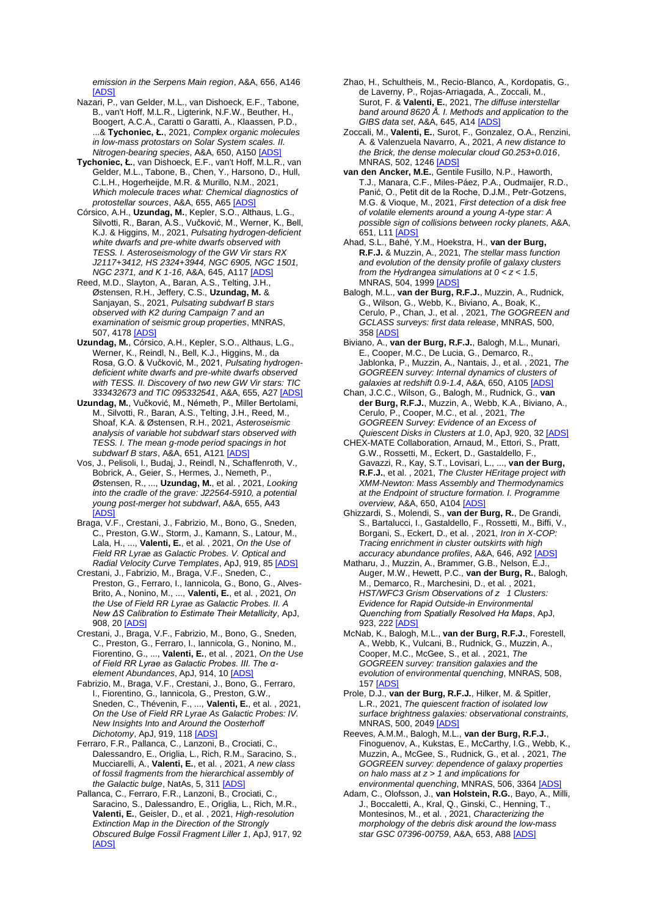*emission in the Serpens Main region*, A&A, 656, A146 [\[ADS\]](https://ui.adsabs.harvard.edu/#abs/2021A%26A...656A.146M)

- Nazari, P., van Gelder, M.L., van Dishoeck, E.F., Tabone, B., van't Hoff, M.L.R., Ligterink, N.F.W., Beuther, H., Boogert, A.C.A., Caratti o Garatti, A., Klaassen, P.D., ...& **Tychoniec, Ł.**, 2021, *Complex organic molecules in low-mass protostars on Solar System scales. II. Nitrogen-bearing species*, A&A, 650, A15[0 \[ADS\]](https://ui.adsabs.harvard.edu/#abs/2021A%26A...650A.150N)
- **Tychoniec, Ł.**, van Dishoeck, E.F., van't Hoff, M.L.R., van Gelder, M.L., Tabone, B., Chen, Y., Harsono, D., Hull, C.L.H., Hogerheijde, M.R. & Murillo, N.M., 2021, *Which molecule traces what: Chemical diagnostics of protostellar sources*, A&A, 655, A65 [\[ADS\]](https://ui.adsabs.harvard.edu/#abs/2021A%26A...655A..65T)
- Córsico, A.H., **Uzundag, M.**, Kepler, S.O., Althaus, L.G., Silvotti, R., Baran, A.S., Vučković, M., Werner, K., Bell, K.J. & Higgins, M., 2021, *Pulsating hydrogen-deficient white dwarfs and pre-white dwarfs observed with TESS. I. Asteroseismology of the GW Vir stars RX J2117+3412, HS 2324+3944, NGC 6905, NGC 1501, NGC 2371, and K 1-16*, A&A, 645, A117 [\[ADS\]](https://ui.adsabs.harvard.edu/#abs/2021A%26A...645A.117C)
- Reed, M.D., Slayton, A., Baran, A.S., Telting, J.H., Østensen, R.H., Jeffery, C.S., **Uzundag, M.** & Sanjayan, S., 2021, *Pulsating subdwarf B stars observed with K2 during Campaign 7 and an examination of seismic group properties*, MNRAS, 507, 4178 [\[ADS\]](https://ui.adsabs.harvard.edu/#abs/2021MNRAS.507.4178R)
- **Uzundag, M.**, Córsico, A.H., Kepler, S.O., Althaus, L.G., Werner, K., Reindl, N., Bell, K.J., Higgins, M., da Rosa, G.O. & Vučković, M., 2021, *Pulsating hydrogendeficient white dwarfs and pre-white dwarfs observed with TESS. II. Discovery of two new GW Vir stars: TIC 333432673 and TIC 095332541*, A&A, 655, A2[7 \[ADS\]](https://ui.adsabs.harvard.edu/#abs/2021A%26A...655A..27U)
- **Uzundag, M.**, Vučković, M., Németh, P., Miller Bertolami, M., Silvotti, R., Baran, A.S., Telting, J.H., Reed, M., Shoaf, K.A. & Østensen, R.H., 2021, *Asteroseismic analysis of variable hot subdwarf stars observed with TESS. I. The mean g-mode period spacings in hot subdwarf B stars*, A&A, 651, A12[1 \[ADS\]](https://ui.adsabs.harvard.edu/#abs/2021A%26A...651A.121U)
- Vos, J., Pelisoli, I., Budaj, J., Reindl, N., Schaffenroth, V., Bobrick, A., Geier, S., Hermes, J., Nemeth, P., Østensen, R., ..., **Uzundag, M.**, et al. , 2021, *Looking into the cradle of the grave: J22564-5910, a potential young post-merger hot subdwarf*, A&A, 655, A43 **[ADS**
- Braga, V.F., Crestani, J., Fabrizio, M., Bono, G., Sneden, C., Preston, G.W., Storm, J., Kamann, S., Latour, M., Lala, H., ..., **Valenti, E.**, et al. , 2021, *On the Use of Field RR Lyrae as Galactic Probes. V. Optical and Radial Velocity Curve Templates*, ApJ, 919, 8[5 \[ADS\]](https://ui.adsabs.harvard.edu/#abs/2021ApJ...919...85B)
- Crestani, J., Fabrizio, M., Braga, V.F., Sneden, C., Preston, G., Ferraro, I., Iannicola, G., Bono, G., Alves-Brito, A., Nonino, M., ..., **Valenti, E.**, et al. , 2021, *On the Use of Field RR Lyrae as Galactic Probes. II. A New ΔS Calibration to Estimate Their Metallicity*, ApJ, 908, 20 [\[ADS\]](https://ui.adsabs.harvard.edu/#abs/2021ApJ...908...20C)
- Crestani, J., Braga, V.F., Fabrizio, M., Bono, G., Sneden, C., Preston, G., Ferraro, I., Iannicola, G., Nonino, M., Fiorentino, G., ..., **Valenti, E.**, et al. , 2021, *On the Use of Field RR Lyrae as Galactic Probes. III. The αelement Abundances*, ApJ, 914, 10 [\[ADS\]](https://ui.adsabs.harvard.edu/#abs/2021ApJ...914...10C)
- Fabrizio, M., Braga, V.F., Crestani, J., Bono, G., Ferraro, I., Fiorentino, G., Iannicola, G., Preston, G.W., Sneden, C., Thévenin, F., ..., **Valenti, E.**, et al. , 2021, *On the Use of Field RR Lyrae As Galactic Probes: IV. New Insights Into and Around the Oosterhoff Dichotomy*, ApJ, 919, 118 [\[ADS\]](https://ui.adsabs.harvard.edu/#abs/2021ApJ...919..118F)
- Ferraro, F.R., Pallanca, C., Lanzoni, B., Crociati, C., Dalessandro, E., Origlia, L., Rich, R.M., Saracino, S., Mucciarelli, A., **Valenti, E.**, et al. , 2021, *A new class of fossil fragments from the hierarchical assembly of the Galactic bulge*, NatAs, 5, 31[1 \[ADS\]](https://ui.adsabs.harvard.edu/#abs/2021NatAs...5..311F)
- Pallanca, C., Ferraro, F.R., Lanzoni, B., Crociati, C., Saracino, S., Dalessandro, E., Origlia, L., Rich, M.R., **Valenti, E.**, Geisler, D., et al. , 2021, *High-resolution Extinction Map in the Direction of the Strongly Obscured Bulge Fossil Fragment Liller 1*, ApJ, 917, 92 [\[ADS\]](https://ui.adsabs.harvard.edu/#abs/2021ApJ...917...92P)
- Zhao, H., Schultheis, M., Recio-Blanco, A., Kordopatis, G., de Laverny, P., Rojas-Arriagada, A., Zoccali, M., Surot, F. & **Valenti, E.**, 2021, *The diffuse interstellar band around 8620 Å. I. Methods and application to the GIBS data set*, A&A, 645, A1[4 \[ADS\]](https://ui.adsabs.harvard.edu/#abs/2021A%26A...645A..14Z)
- Zoccali, M., **Valenti, E.**, Surot, F., Gonzalez, O.A., Renzini, A. & Valenzuela Navarro, A., 2021, *A new distance to the Brick, the dense molecular cloud G0.253+0.016*, MNRAS, 502, 124[6 \[ADS\]](https://ui.adsabs.harvard.edu/#abs/2021MNRAS.502.1246Z)
- **van den Ancker, M.E.**, Gentile Fusillo, N.P., Haworth, T.J., Manara, C.F., Miles-Páez, P.A., Oudmaijer, R.D., Panić, O., Petit dit de la Roche, D.J.M., Petr-Gotzens, M.G. & Vioque, M., 2021, *First detection of a disk free of volatile elements around a young A-type star: A possible sign of collisions between rocky planets*, A&A, 651, L1[1 \[ADS\]](https://ui.adsabs.harvard.edu/#abs/2021A%26A...651L..11V)
- Ahad, S.L., Bahé, Y.M., Hoekstra, H., **van der Burg, R.F.J.** & Muzzin, A., 2021, *The stellar mass function and evolution of the density profile of galaxy clusters from the Hydrangea simulations at 0 < z < 1.5*, MNRAS, 504, 199[9 \[ADS\]](https://ui.adsabs.harvard.edu/#abs/2021MNRAS.504.1999A)
- Balogh, M.L., **van der Burg, R.F.J.**, Muzzin, A., Rudnick, G., Wilson, G., Webb, K., Biviano, A., Boak, K., Cerulo, P., Chan, J., et al. , 2021, *The GOGREEN and GCLASS surveys: first data release*, MNRAS, 500, 35[8 \[ADS\]](https://ui.adsabs.harvard.edu/#abs/2021MNRAS.500..358B)
- Biviano, A., **van der Burg, R.F.J.**, Balogh, M.L., Munari, E., Cooper, M.C., De Lucia, G., Demarco, R., Jablonka, P., Muzzin, A., Nantais, J., et al. , 2021, *The GOGREEN survey: Internal dynamics of clusters of galaxies at redshift 0.9-1.4*, A&A, 650, A10[5 \[ADS\]](https://ui.adsabs.harvard.edu/#abs/2021A%26A...650A.105B)
- Chan, J.C.C., Wilson, G., Balogh, M., Rudnick, G., **van der Burg, R.F.J.**, Muzzin, A., Webb, K.A., Biviano, A., Cerulo, P., Cooper, M.C., et al. , 2021, *The GOGREEN Survey: Evidence of an Excess of Quiescent Disks in Clusters at 1.0*, ApJ, 920, 3[2 \[ADS\]](https://ui.adsabs.harvard.edu/#abs/2021ApJ...920...32C)
- CHEX-MATE Collaboration, Arnaud, M., Ettori, S., Pratt, G.W., Rossetti, M., Eckert, D., Gastaldello, F., Gavazzi, R., Kay, S.T., Lovisari, L., ..., **van der Burg, R.F.J.**, et al. , 2021, *The Cluster HEritage project with XMM-Newton: Mass Assembly and Thermodynamics at the Endpoint of structure formation. I. Programme overview*, A&A, 650, A10[4 \[ADS\]](https://ui.adsabs.harvard.edu/#abs/2021A%26A...650A.104C)
- Ghizzardi, S., Molendi, S., **van der Burg, R.**, De Grandi, S., Bartalucci, I., Gastaldello, F., Rossetti, M., Biffi, V., Borgani, S., Eckert, D., et al. , 2021, *Iron in X-COP: Tracing enrichment in cluster outskirts with high accuracy abundance profiles*, A&A, 646, A9[2 \[ADS\]](https://ui.adsabs.harvard.edu/#abs/2021A%26A...646A..92G)
- Matharu, J., Muzzin, A., Brammer, G.B., Nelson, E.J., Auger, M.W., Hewett, P.C., **van der Burg, R.**, Balogh, M., Demarco, R., Marchesini, D., et al. , 2021, *HST/WFC3 Grism Observations of z 1 Clusters: Evidence for Rapid Outside-in Environmental Quenching from Spatially Resolved Hα Maps*, ApJ, 923, 22[2 \[ADS\]](https://ui.adsabs.harvard.edu/#abs/2021ApJ...923..222M)
- McNab, K., Balogh, M.L., **van der Burg, R.F.J.**, Forestell, A., Webb, K., Vulcani, B., Rudnick, G., Muzzin, A., Cooper, M.C., McGee, S., et al. , 2021, *The GOGREEN survey: transition galaxies and the evolution of environmental quenching*, MNRAS, 508, 157 **[ADS**
- Prole, D.J., **van der Burg, R.F.J.**, Hilker, M. & Spitler, L.R., 2021, *The quiescent fraction of isolated low surface brightness galaxies: observational constraints*, MNRAS, 500, 204[9 \[ADS\]](https://ui.adsabs.harvard.edu/#abs/2021MNRAS.500.2049P)
- Reeves, A.M.M., Balogh, M.L., **van der Burg, R.F.J.**, Finoguenov, A., Kukstas, E., McCarthy, I.G., Webb, K., Muzzin, A., McGee, S., Rudnick, G., et al. , 2021, *The GOGREEN survey: dependence of galaxy properties on halo mass at z > 1 and implications for environmental quenching*, MNRAS, 506, 336[4 \[ADS\]](https://ui.adsabs.harvard.edu/#abs/2021MNRAS.506.3364R)
- Adam, C., Olofsson, J., **van Holstein, R.G.**, Bayo, A., Milli, J., Boccaletti, A., Kral, Q., Ginski, C., Henning, T., Montesinos, M., et al. , 2021, *Characterizing the morphology of the debris disk around the low-mass star GSC 07396-00759*, A&A, 653, A8[8 \[ADS\]](https://ui.adsabs.harvard.edu/#abs/2021A%26A...653A..88A)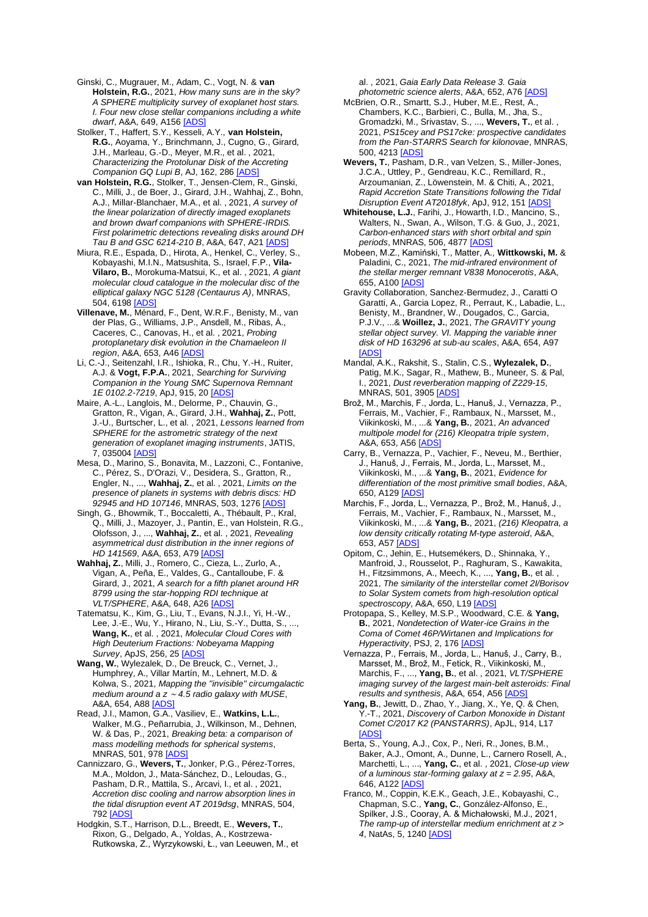Ginski, C., Mugrauer, M., Adam, C., Vogt, N. & **van Holstein, R.G.**, 2021, *How many suns are in the sky? A SPHERE multiplicity survey of exoplanet host stars. I. Four new close stellar companions including a white dwarf*, A&A, 649, A15[6 \[ADS\]](https://ui.adsabs.harvard.edu/#abs/2021A%26A...649A.156G)

Stolker, T., Haffert, S.Y., Kesseli, A.Y., **van Holstein, R.G.**, Aoyama, Y., Brinchmann, J., Cugno, G., Girard, J.H., Marleau, G.-D., Meyer, M.R., et al. , 2021, *Characterizing the Protolunar Disk of the Accreting Companion GQ Lupi B*, AJ, 162, 286 [\[ADS\]](https://ui.adsabs.harvard.edu/#abs/2021AJ....162..286S)

**van Holstein, R.G.**, Stolker, T., Jensen-Clem, R., Ginski, C., Milli, J., de Boer, J., Girard, J.H., Wahhaj, Z., Bohn, A.J., Millar-Blanchaer, M.A., et al. , 2021, *A survey of the linear polarization of directly imaged exoplanets and brown dwarf companions with SPHERE-IRDIS. First polarimetric detections revealing disks around DH Tau B and GSC 6214-210 B*, A&A, 647, A2[1 \[ADS\]](https://ui.adsabs.harvard.edu/#abs/2021A%26A...647A..21V)

Miura, R.E., Espada, D., Hirota, A., Henkel, C., Verley, S., Kobayashi, M.I.N., Matsushita, S., Israel, F.P., **Vila-Vilaro, B.**, Morokuma-Matsui, K., et al. , 2021, *A giant molecular cloud catalogue in the molecular disc of the elliptical galaxy NGC 5128 (Centaurus A)*, MNRAS, 504, 6198 [\[ADS\]](https://ui.adsabs.harvard.edu/#abs/2021MNRAS.504.6198M)

**Villenave, M.**, Ménard, F., Dent, W.R.F., Benisty, M., van der Plas, G., Williams, J.P., Ansdell, M., Ribas, Á., Caceres, C., Canovas, H., et al. , 2021, *Probing protoplanetary disk evolution in the Chamaeleon II region*, A&A, 653, A4[6 \[ADS\]](https://ui.adsabs.harvard.edu/#abs/2021A%26A...653A..46V)

Li, C.-J., Seitenzahl, I.R., Ishioka, R., Chu, Y.-H., Ruiter, A.J. & **Vogt, F.P.A.**, 2021, *Searching for Surviving Companion in the Young SMC Supernova Remnant 1E 0102.2-7219*, ApJ, 915, 2[0 \[ADS\]](https://ui.adsabs.harvard.edu/#abs/2021ApJ...915...20L)

Maire, A.-L., Langlois, M., Delorme, P., Chauvin, G., Gratton, R., Vigan, A., Girard, J.H., **Wahhaj, Z.**, Pott, J.-U., Burtscher, L., et al. , 2021, *Lessons learned from SPHERE for the astrometric strategy of the next generation of exoplanet imaging instruments*, JATIS, 7, 035004 [\[ADS\]](https://ui.adsabs.harvard.edu/#abs/2021JATIS...7c5004M)

Mesa, D., Marino, S., Bonavita, M., Lazzoni, C., Fontanive, C., Pérez, S., D'Orazi, V., Desidera, S., Gratton, R., Engler, N., ..., **Wahhaj, Z.**, et al. , 2021, *Limits on the presence of planets in systems with debris discs: HD 92945 and HD 107146*, MNRAS, 503, 127[6 \[ADS\]](https://ui.adsabs.harvard.edu/#abs/2021MNRAS.503.1276M)

Singh, G., Bhowmik, T., Boccaletti, A., Thébault, P., Kral, Q., Milli, J., Mazoyer, J., Pantin, E., van Holstein, R.G., Olofsson, J., ..., **Wahhaj, Z.**, et al. , 2021, *Revealing asymmetrical dust distribution in the inner regions of HD 141569*, A&A, 653, A7[9 \[ADS\]](https://ui.adsabs.harvard.edu/#abs/2021A%26A...653A..79S)

**Wahhaj, Z.**, Milli, J., Romero, C., Cieza, L., Zurlo, A., Vigan, A., Peña, E., Valdes, G., Cantalloube, F. & Girard, J., 2021, *A search for a fifth planet around HR 8799 using the star-hopping RDI technique at VLT/SPHERE*, A&A, 648, A26 [\[ADS\]](https://ui.adsabs.harvard.edu/#abs/2021A%26A...648A..26W)

Tatematsu, K., Kim, G., Liu, T., Evans, N.J.I., Yi, H.-W., Lee, J.-E., Wu, Y., Hirano, N., Liu, S.-Y., Dutta, S., ..., **Wang, K.**, et al. , 2021, *Molecular Cloud Cores with High Deuterium Fractions: Nobeyama Mapping Survey*, ApJS, 256, 25 [\[ADS\]](https://ui.adsabs.harvard.edu/#abs/2021ApJS..256...25T)

**Wang, W.**, Wylezalek, D., De Breuck, C., Vernet, J., Humphrey, A., Villar Martín, M., Lehnert, M.D. & Kolwa, S., 2021, *Mapping the ''invisible'' circumgalactic medium around a z* <sup>∼</sup> *4.5 radio galaxy with MUSE*, A&A, 654, A8[8 \[ADS\]](https://ui.adsabs.harvard.edu/#abs/2021A%26A...654A..88W)

Read, J.I., Mamon, G.A., Vasiliev, E., **Watkins, L.L.**, Walker, M.G., Peñarrubia, J., Wilkinson, M., Dehnen, W. & Das, P., 2021, *Breaking beta: a comparison of mass modelling methods for spherical systems*, MNRAS, 501, 978 **[ADS** 

Cannizzaro, G., **Wevers, T.**, Jonker, P.G., Pérez-Torres, M.A., Moldon, J., Mata-Sánchez, D., Leloudas, G., Pasham, D.R., Mattila, S., Arcavi, I., et al. , 2021, *Accretion disc cooling and narrow absorption lines in the tidal disruption event AT 2019dsg*, MNRAS, 504, 79[2 \[ADS\]](https://ui.adsabs.harvard.edu/#abs/2021MNRAS.504..792C)

Hodgkin, S.T., Harrison, D.L., Breedt, E., **Wevers, T.**, Rixon, G., Delgado, A., Yoldas, A., Kostrzewa-Rutkowska, Z., Wyrzykowski, Ł., van Leeuwen, M., et al. , 2021, *Gaia Early Data Release 3. Gaia photometric science alerts*, A&A, 652, A76 [\[ADS\]](https://ui.adsabs.harvard.edu/#abs/2021A%26A...652A..76H)

- McBrien, O.R., Smartt, S.J., Huber, M.E., Rest, A., Chambers, K.C., Barbieri, C., Bulla, M., Jha, S., Gromadzki, M., Srivastav, S., ..., **Wevers, T.**, et al. , 2021, *PS15cey and PS17cke: prospective candidates from the Pan-STARRS Search for kilonovae*, MNRAS, 500, 421[3 \[ADS\]](https://ui.adsabs.harvard.edu/#abs/2021MNRAS.500.4213M)
- **Wevers, T.**, Pasham, D.R., van Velzen, S., Miller-Jones, J.C.A., Uttley, P., Gendreau, K.C., Remillard, R., Arzoumanian, Z., Löwenstein, M. & Chiti, A., 2021, *Rapid Accretion State Transitions following the Tidal Disruption Event AT2018fyk*, ApJ, 912, 15[1 \[ADS\]](https://ui.adsabs.harvard.edu/#abs/2021ApJ...912..151W)
- **Whitehouse, L.J.**, Farihi, J., Howarth, I.D., Mancino, S., Walters, N., Swan, A., Wilson, T.G. & Guo, J., 2021, *Carbon-enhanced stars with short orbital and spin periods*, MNRAS, 506, 4877 [\[ADS\]](https://ui.adsabs.harvard.edu/#abs/2021MNRAS.506.4877W)

Mobeen, M.Z., Kamiński, T., Matter, A., **Wittkowski, M.** & Paladini, C., 2021, *The mid-infrared environment of the stellar merger remnant V838 Monocerotis*, A&A, 655, A10[0 \[ADS\]](https://ui.adsabs.harvard.edu/#abs/2021A%26A...655A.100M)

- Gravity Collaboration, Sanchez-Bermudez, J., Caratti O Garatti, A., Garcia Lopez, R., Perraut, K., Labadie, L., Benisty, M., Brandner, W., Dougados, C., Garcia, P.J.V., ...& **Woillez, J.**, 2021, *The GRAVITY young stellar object survey. VI. Mapping the variable inner disk of HD 163296 at sub-au scales*, A&A, 654, A97 [AD
- Mandal, A.K., Rakshit, S., Stalin, C.S., **Wylezalek, D.**, Patig, M.K., Sagar, R., Mathew, B., Muneer, S. & Pal, I., 2021, *Dust reverberation mapping of Z229-15*, MNRAS, 501, 390[5 \[ADS\]](https://ui.adsabs.harvard.edu/#abs/2021MNRAS.501.3905M)
- Brož, M., Marchis, F., Jorda, L., Hanuš, J., Vernazza, P., Ferrais, M., Vachier, F., Rambaux, N., Marsset, M., Viikinkoski, M., ...& **Yang, B.**, 2021, *An advanced multipole model for (216) Kleopatra triple system*, A&A, 653, A5[6 \[ADS\]](https://ui.adsabs.harvard.edu/#abs/2021A%26A...653A..56B)

Carry, B., Vernazza, P., Vachier, F., Neveu, M., Berthier, J., Hanuš, J., Ferrais, M., Jorda, L., Marsset, M., Viikinkoski, M., ...& **Yang, B.**, 2021, *Evidence for differentiation of the most primitive small bodies*, A&A, 650, A12[9 \[ADS\]](https://ui.adsabs.harvard.edu/#abs/2021A%26A...650A.129C)

- Marchis, F., Jorda, L., Vernazza, P., Brož, M., Hanuš, J., Ferrais, M., Vachier, F., Rambaux, N., Marsset, M., Viikinkoski, M., ...& **Yang, B.**, 2021, *(216) Kleopatra, a low density critically rotating M-type asteroid*, A&A, 653, A5[7 \[ADS\]](https://ui.adsabs.harvard.edu/#abs/2021A%26A...653A..57M)
- Opitom, C., Jehin, E., Hutsemékers, D., Shinnaka, Y., Manfroid, J., Rousselot, P., Raghuram, S., Kawakita, H., Fitzsimmons, A., Meech, K., ..., **Yang, B.**, et al. , 2021, *The similarity of the interstellar comet 2I/Borisov to Solar System comets from high-resolution optical spectroscopy*, A&A, 650, L1[9 \[ADS\]](https://ui.adsabs.harvard.edu/#abs/2021A%26A...650L..19O)

Protopapa, S., Kelley, M.S.P., Woodward, C.E. & **Yang, B.**, 2021, *Nondetection of Water-ice Grains in the Coma of Comet 46P/Wirtanen and Implications for Hyperactivity*, PSJ, 2, 176 [ADS

Vernazza, P., Ferrais, M., Jorda, L., Hanuš, J., Carry, B., Marsset, M., Brož, M., Fetick, R., Viikinkoski, M., Marchis, F., ..., **Yang, B.**, et al. , 2021, *VLT/SPHERE imaging survey of the largest main-belt asteroids: Final results and synthesis*, A&A, 654, A5[6 \[ADS\]](https://ui.adsabs.harvard.edu/#abs/2021A%26A...654A..56V)

**Yang, B.**, Jewitt, D., Zhao, Y., Jiang, X., Ye, Q. & Chen, Y.-T., 2021, *Discovery of Carbon Monoxide in Distant Comet C/2017 K2 (PANSTARRS)*, ApJL, 914, L17 **[ADS** 

Berta, S., Young, A.J., Cox, P., Neri, R., Jones, B.M., Baker, A.J., Omont, A., Dunne, L., Carnero Rosell, A., Marchetti, L., ..., **Yang, C.**, et al. , 2021, *Close-up view of a luminous star-forming galaxy at z = 2.95*, A&A, 646, A122 [ADS

Franco, M., Coppin, K.E.K., Geach, J.E., Kobayashi, C., Chapman, S.C., **Yang, C.**, González-Alfonso, E., Spilker, J.S., Cooray, A. & Michałowski, M.J., 2021, *The ramp-up of interstellar medium enrichment at z > 4*, NatAs, 5, 1240 [\[ADS\]](https://ui.adsabs.harvard.edu/#abs/2021NatAs...5.1240F)